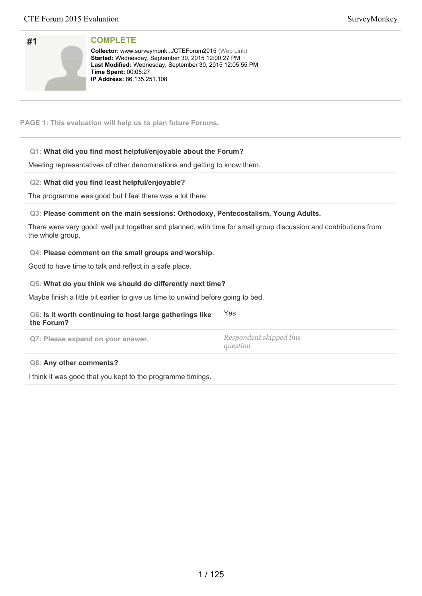| #1 |  |
|----|--|
|    |  |
|    |  |
|    |  |

**Collector:** www.surveymonk.../CTEForum2015 (Web Link) Started: Wednesday, September 30, 2015 12:00:27 PM Last Modified: Wednesday, September 30, 2015 12:05:55 PM **Time Spent: 00:05:27 IP Address: 86.135.251.108** 

**PAGE 1: This evaluation will help us to plan future Forums.**

# **Q1: What did you find most helpful/enjoyable about the Forum?**

Meeting representatives of other denominations and getting to know them.

# **Q2: What did you find least helpful/enjoyable?**

The programme was good but I feel there was a lot there.

# **Q3: Please comment on the main sessions: Orthodoxy, Pentecostalism, Young Adults.**

There were very good, well put together and planned, with time for small group discussion and contributions from the whole group.

## **Q4: Please comment on the small groups and worship.**

Good to have time to talk and reflect in a safe place.

# **Q5: What do you think we should do differently next time?**

Maybe finish a little bit earlier to give us time to unwind before going to bed.

# **Q6: Is it worth continuing to host large gatherings like the Forum?** Yes **Q7: Please expand on your answer.** *Respondent skipped this*

*question*

### **Q8: Any other comments?**

I think it was good that you kept to the programme timings.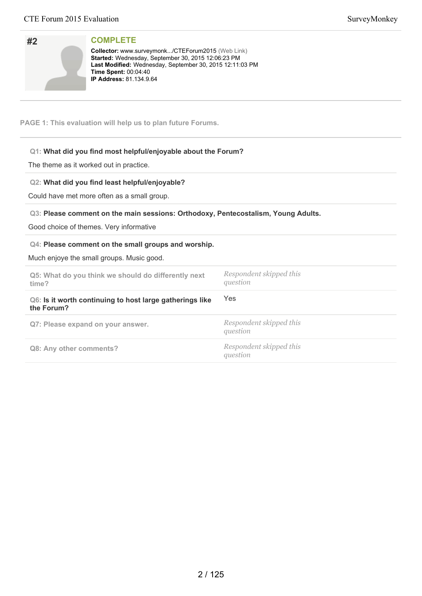| #2 | <b>COMPLETE</b> |
|----|-----------------|

**Collector:** www.surveymonk.../CTEForum2015 (Web Link) Started: Wednesday, September 30, 2015 12:06:23 PM Last Modified: Wednesday, September 30, 2015 12:11:03 PM **Time Spent:** 00:04:40 **IP Address:** 81.134.9.64

**PAGE 1: This evaluation will help us to plan future Forums.**

# **Q1: What did you find most helpful/enjoyable about the Forum?**

The theme as it worked out in practice.

## **Q2: What did you find least helpful/enjoyable?**

Could have met more often as a small group.

## **Q3: Please comment on the main sessions: Orthodoxy, Pentecostalism, Young Adults.**

Good choice of themes. Very informative

## **Q4: Please comment on the small groups and worship.**

Much enjoye the small groups. Music good.

| Q5: What do you think we should do differently next<br>time?           | Respondent skipped this<br>question |
|------------------------------------------------------------------------|-------------------------------------|
| Q6: Is it worth continuing to host large gatherings like<br>the Forum? | Yes                                 |
| Q7: Please expand on your answer.                                      | Respondent skipped this<br>question |
| Q8: Any other comments?                                                | Respondent skipped this<br>question |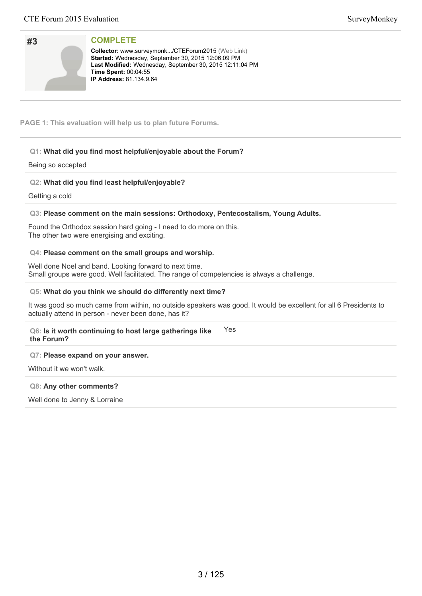| #3 |  |  |
|----|--|--|
|    |  |  |
|    |  |  |
|    |  |  |

**Collector:** www.surveymonk.../CTEForum2015 (Web Link) Started: Wednesday, September 30, 2015 12:06:09 PM Last Modified: Wednesday, September 30, 2015 12:11:04 PM **Time Spent: 00:04:55 IP Address:** 81.134.9.64

**PAGE 1: This evaluation will help us to plan future Forums.**

# **Q1: What did you find most helpful/enjoyable about the Forum?**

## Being so accepted

# **Q2: What did you find least helpful/enjoyable?**

Getting a cold

# **Q3: Please comment on the main sessions: Orthodoxy, Pentecostalism, Young Adults.**

Found the Orthodox session hard going - I need to do more on this. The other two were energising and exciting.

## **Q4: Please comment on the small groups and worship.**

Well done Noel and band. Looking forward to next time. Small groups were good. Well facilitated. The range of competencies is always a challenge.

## **Q5: What do you think we should do differently next time?**

It was good so much came from within, no outside speakers was good. It would be excellent for all 6 Presidents to actually attend in person - never been done, has it?

#### **Q6: Is it worth continuing to host large gatherings like the Forum?** Yes

### **Q7: Please expand on your answer.**

Without it we won't walk.

### **Q8: Any other comments?**

Well done to Jenny & Lorraine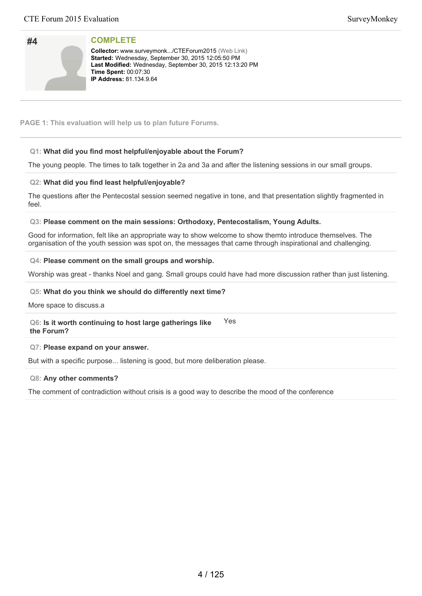| #4 |  |  |
|----|--|--|
|    |  |  |
|    |  |  |
|    |  |  |

**Collector:** www.surveymonk.../CTEForum2015 (Web Link) Started: Wednesday, September 30, 2015 12:05:50 PM Last Modified: Wednesday, September 30, 2015 12:13:20 PM **Time Spent: 00:07:30 IP Address:** 81.134.9.64

## **PAGE 1: This evaluation will help us to plan future Forums.**

# **Q1: What did you find most helpful/enjoyable about the Forum?**

The young people. The times to talk together in 2a and 3a and after the listening sessions in our small groups.

## **Q2: What did you find least helpful/enjoyable?**

The questions after the Pentecostal session seemed negative in tone, and that presentation slightly fragmented in feel.

### **Q3: Please comment on the main sessions: Orthodoxy, Pentecostalism, Young Adults.**

Good for information, felt like an appropriate way to show welcome to show themto introduce themselves. The organisation of the youth session was spot on, the messages that came through inspirational and challenging.

### **Q4: Please comment on the small groups and worship.**

Worship was great - thanks Noel and gang. Small groups could have had more discussion rather than just listening.

## **Q5: What do you think we should do differently next time?**

More space to discuss.a

**Q6: Is it worth continuing to host large gatherings like the Forum?** Yes

### **Q7: Please expand on your answer.**

But with a specific purpose... listening is good, but more deliberation please.

### **Q8: Any other comments?**

The comment of contradiction without crisis is a good way to describe the mood of the conference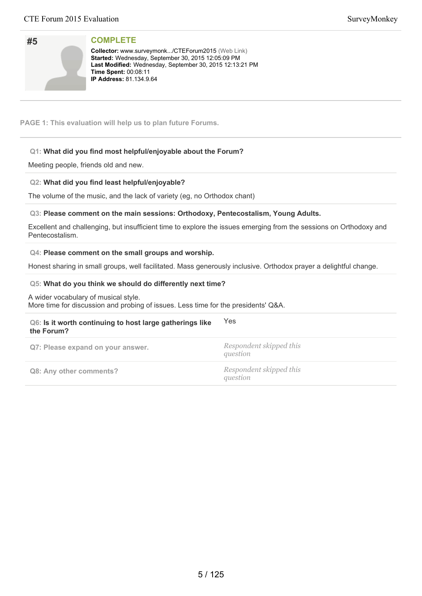| <b>COMPLETE</b> |
|-----------------|
|                 |

**#5**

**Collector:** www.surveymonk.../CTEForum2015 (Web Link) Started: Wednesday, September 30, 2015 12:05:09 PM Last Modified: Wednesday, September 30, 2015 12:13:21 PM **Time Spent: 00:08:11 IP Address:** 81.134.9.64

**PAGE 1: This evaluation will help us to plan future Forums.**

## **Q1: What did you find most helpful/enjoyable about the Forum?**

Meeting people, friends old and new.

## **Q2: What did you find least helpful/enjoyable?**

The volume of the music, and the lack of variety (eg, no Orthodox chant)

# **Q3: Please comment on the main sessions: Orthodoxy, Pentecostalism, Young Adults.**

Excellent and challenging, but insufficient time to explore the issues emerging from the sessions on Orthodoxy and Pentecostalism.

### **Q4: Please comment on the small groups and worship.**

Honest sharing in small groups, well facilitated. Mass generously inclusive. Orthodox prayer a delightful change.

## **Q5: What do you think we should do differently next time?**

A wider vocabulary of musical style. More time for discussion and probing of issues. Less time for the presidents' Q&A.

| Q6: Is it worth continuing to host large gatherings like<br>the Forum? | <b>Yes</b>                          |
|------------------------------------------------------------------------|-------------------------------------|
| Q7: Please expand on your answer.                                      | Respondent skipped this<br>question |
| Q8: Any other comments?                                                | Respondent skipped this<br>question |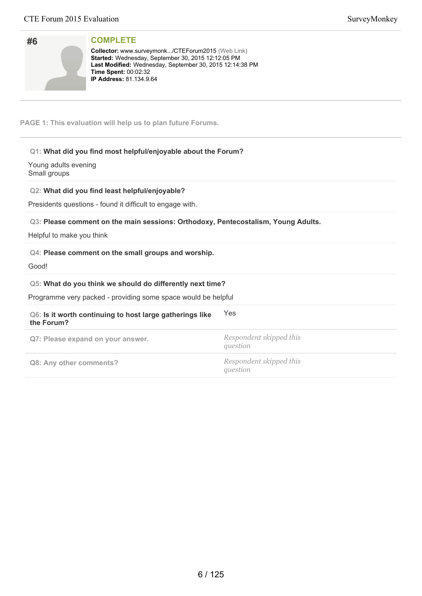| #6                                   | <b>COMPLETE</b><br>Collector: www.surveymonk/CTEForum2015 (Web Link)<br>Started: Wednesday, September 30, 2015 12:12:05 PM<br>Last Modified: Wednesday, September 30, 2015 12:14:38 PM<br>Time Spent: 00:02:32<br>IP Address: 81.134.9.64                         |                                     |
|--------------------------------------|-------------------------------------------------------------------------------------------------------------------------------------------------------------------------------------------------------------------------------------------------------------------|-------------------------------------|
|                                      | PAGE 1: This evaluation will help us to plan future Forums.                                                                                                                                                                                                       |                                     |
| Young adults evening<br>Small groups | Q1: What did you find most helpful/enjoyable about the Forum?<br>Q2: What did you find least helpful/enjoyable?<br>Presidents questions - found it difficult to engage with.<br>Q3: Please comment on the main sessions: Orthodoxy, Pentecostalism, Young Adults. |                                     |
|                                      | Helpful to make you think<br>Q4: Please comment on the small groups and worship.                                                                                                                                                                                  |                                     |
| Good!                                | Q5: What do you think we should do differently next time?<br>Programme very packed - providing some space would be helpful                                                                                                                                        |                                     |
| the Forum?                           | Q6: Is it worth continuing to host large gatherings like                                                                                                                                                                                                          | Yes                                 |
|                                      | Q7: Please expand on your answer.                                                                                                                                                                                                                                 | Respondent skipped this<br>question |
|                                      | Q8: Any other comments?                                                                                                                                                                                                                                           | Respondent skipped this<br>question |
|                                      |                                                                                                                                                                                                                                                                   |                                     |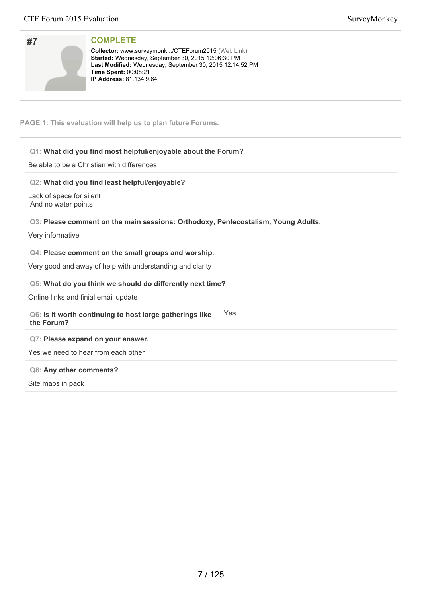| #7 |  |  |
|----|--|--|
|    |  |  |
|    |  |  |

**Collector:** www.surveymonk.../CTEForum2015 (Web Link) Started: Wednesday, September 30, 2015 12:06:30 PM Last Modified: Wednesday, September 30, 2015 12:14:52 PM **Time Spent:** 00:08:21 **IP Address:** 81.134.9.64

**PAGE 1: This evaluation will help us to plan future Forums.**

# **Q1: What did you find most helpful/enjoyable about the Forum?**

Be able to be a Christian with differences

# **Q2: What did you find least helpful/enjoyable?**

Lack of space for silent And no water points

# **Q3: Please comment on the main sessions: Orthodoxy, Pentecostalism, Young Adults.**

### Very informative

# **Q4: Please comment on the small groups and worship.**

Very good and away of help with understanding and clarity

# **Q5: What do you think we should do differently next time?**

Online links and finial email update

#### **Q6: Is it worth continuing to host large gatherings like the Forum?** Yes

**Q7: Please expand on your answer.**

Yes we need to hear from each other

## **Q8: Any other comments?**

Site maps in pack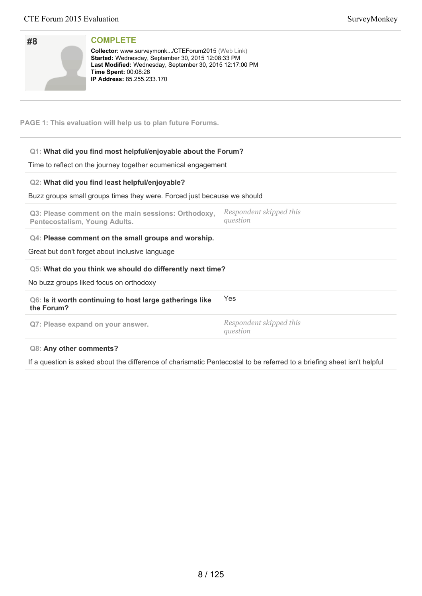**#8**

**COMPLETE**

Collector: www.surveymonk.../CTEForum2015 (Web Link)

| Started: Wednesday, September 30, 2015 12:08:33 PM<br>Last Modified: Wednesday, September 30, 2015 12:17:00 PM<br>Time Spent: 00:08:26<br><b>IP Address: 85.255.233.170</b> |                                     |
|-----------------------------------------------------------------------------------------------------------------------------------------------------------------------------|-------------------------------------|
| PAGE 1: This evaluation will help us to plan future Forums.                                                                                                                 |                                     |
| Q1: What did you find most helpful/enjoyable about the Forum?                                                                                                               |                                     |
| Time to reflect on the journey together ecumenical engagement                                                                                                               |                                     |
| Q2: What did you find least helpful/enjoyable?                                                                                                                              |                                     |
| Buzz groups small groups times they were. Forced just because we should                                                                                                     |                                     |
| Q3: Please comment on the main sessions: Orthodoxy,<br>Pentecostalism, Young Adults.                                                                                        | Respondent skipped this<br>question |
| Q4: Please comment on the small groups and worship.                                                                                                                         |                                     |
| Great but don't forget about inclusive language                                                                                                                             |                                     |
| Q5: What do you think we should do differently next time?                                                                                                                   |                                     |
| No buzz groups liked focus on orthodoxy                                                                                                                                     |                                     |
| Q6: Is it worth continuing to host large gatherings like<br>the Forum?                                                                                                      | Yes                                 |
| Q7: Please expand on your answer.                                                                                                                                           | Respondent skipped this<br>question |
| <b>Q8: Any other comments?</b>                                                                                                                                              |                                     |

If a question is asked about the difference of charismatic Pentecostal to be referred to a briefing sheet isn't helpful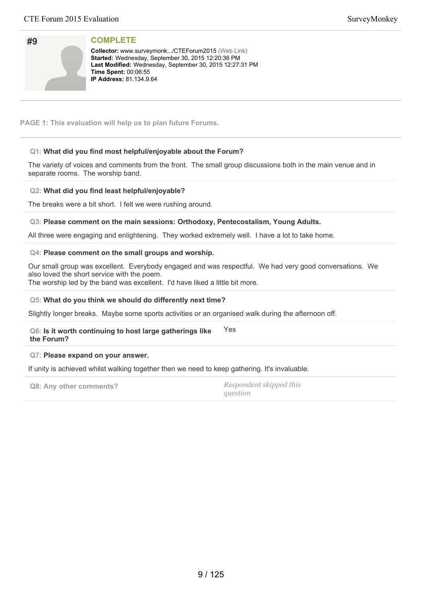| #9 |  |  |
|----|--|--|
|    |  |  |
|    |  |  |
|    |  |  |

**Collector:** www.surveymonk.../CTEForum2015 (Web Link) Started: Wednesday, September 30, 2015 12:20:36 PM Last Modified: Wednesday, September 30, 2015 12:27:31 PM **Time Spent: 00:06:55 IP Address:** 81.134.9.64

**PAGE 1: This evaluation will help us to plan future Forums.**

# **Q1: What did you find most helpful/enjoyable about the Forum?**

The variety of voices and comments from the front. The small group discussions both in the main venue and in separate rooms. The worship band.

# **Q2: What did you find least helpful/enjoyable?**

The breaks were a bit short. I felt we were rushing around.

## **Q3: Please comment on the main sessions: Orthodoxy, Pentecostalism, Young Adults.**

All three were engaging and enlightening. They worked extremely well. I have a lot to take home.

## **Q4: Please comment on the small groups and worship.**

Our small group was excellent. Everybody engaged and was respectful. We had very good conversations. We also loved the short service with the poem. The worship led by the band was excellent. I'd have liked a little bit more.

## **Q5: What do you think we should do differently next time?**

Slightly longer breaks. Maybe some sports activities or an organised walk during the afternoon off.

#### **Q6: Is it worth continuing to host large gatherings like the Forum?** Yes

### **Q7: Please expand on your answer.**

If unity is achieved whilst walking together then we need to keep gathering. It's invaluable.

**Q8: Any other comments?** *Respondent skipped this*

*question*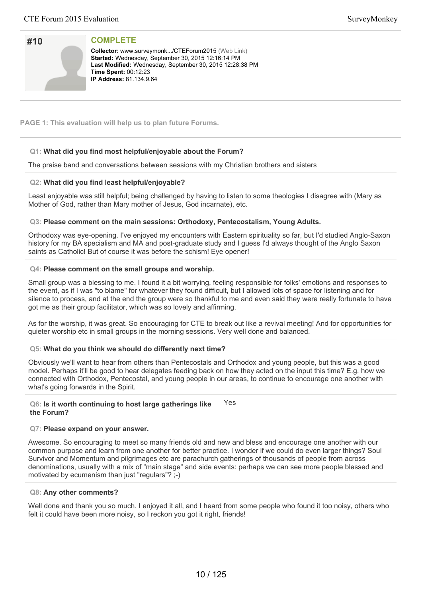| #10 |  |
|-----|--|
|     |  |
|     |  |
|     |  |

**Collector:** www.surveymonk.../CTEForum2015 (Web Link) Started: Wednesday, September 30, 2015 12:16:14 PM Last Modified: Wednesday, September 30, 2015 12:28:38 PM **Time Spent: 00:12:23 IP Address:** 81.134.9.64

**PAGE 1: This evaluation will help us to plan future Forums.**

# **Q1: What did you find most helpful/enjoyable about the Forum?**

The praise band and conversations between sessions with my Christian brothers and sisters

# **Q2: What did you find least helpful/enjoyable?**

Least enjoyable was still helpful; being challenged by having to listen to some theologies I disagree with (Mary as Mother of God, rather than Mary mother of Jesus, God incarnate), etc.

## **Q3: Please comment on the main sessions: Orthodoxy, Pentecostalism, Young Adults.**

Orthodoxy was eye-opening. I've enjoyed my encounters with Eastern spirituality so far, but I'd studied Anglo-Saxon history for my BA specialism and MA and post-graduate study and I guess I'd always thought of the Anglo Saxon saints as Catholic! But of course it was before the schism! Eye opener!

## **Q4: Please comment on the small groups and worship.**

Small group was a blessing to me. I found it a bit worrying, feeling responsible for folks' emotions and responses to the event, as if I was "to blame" for whatever they found difficult, but I allowed lots of space for listening and for silence to process, and at the end the group were so thankful to me and even said they were really fortunate to have got me as their group facilitator, which was so lovely and affirming.

As for the worship, it was great. So encouraging for CTE to break out like a revival meeting! And for opportunities for quieter worship etc in small groups in the morning sessions. Very well done and balanced.

# **Q5: What do you think we should do differently next time?**

Obviously we'll want to hear from others than Pentecostals and Orthodox and young people, but this was a good model. Perhaps it'll be good to hear delegates feeding back on how they acted on the input this time? E.g. how we connected with Orthodox, Pentecostal, and young people in our areas, to continue to encourage one another with what's going forwards in the Spirit.

#### **Q6: Is it worth continuing to host large gatherings like the Forum?** Yes

### **Q7: Please expand on your answer.**

Awesome. So encouraging to meet so many friends old and new and bless and encourage one another with our common purpose and learn from one another for better practice. I wonder if we could do even larger things? Soul Survivor and Momentum and pilgrimages etc are parachurch gatherings of thousands of people from across denominations, usually with a mix of "main stage" and side events: perhaps we can see more people blessed and motivated by ecumenism than just "regulars"? ;-)

### **Q8: Any other comments?**

Well done and thank you so much. I enjoyed it all, and I heard from some people who found it too noisy, others who felt it could have been more noisy, so I reckon you got it right, friends!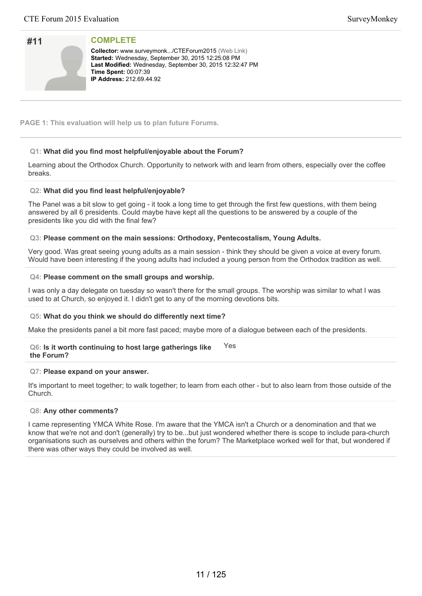| #11 |  |
|-----|--|
|     |  |
|     |  |
|     |  |

**Collector:** www.surveymonk.../CTEForum2015 (Web Link) Started: Wednesday, September 30, 2015 12:25:08 PM Last Modified: Wednesday, September 30, 2015 12:32:47 PM **Time Spent: 00:07:39 IP Address: 212.69.44.92** 

**PAGE 1: This evaluation will help us to plan future Forums.**

# **Q1: What did you find most helpful/enjoyable about the Forum?**

Learning about the Orthodox Church. Opportunity to network with and learn from others, especially over the coffee breaks.

# **Q2: What did you find least helpful/enjoyable?**

The Panel was a bit slow to get going - it took a long time to get through the first few questions, with them being answered by all 6 presidents. Could maybe have kept all the questions to be answered by a couple of the presidents like you did with the final few?

# **Q3: Please comment on the main sessions: Orthodoxy, Pentecostalism, Young Adults.**

Very good. Was great seeing young adults as a main session - think they should be given a voice at every forum. Would have been interesting if the young adults had included a young person from the Orthodox tradition as well.

## **Q4: Please comment on the small groups and worship.**

I was only a day delegate on tuesday so wasn't there for the small groups. The worship was similar to what I was used to at Church, so enjoyed it. I didn't get to any of the morning devotions bits.

# **Q5: What do you think we should do differently next time?**

Make the presidents panel a bit more fast paced; maybe more of a dialogue between each of the presidents.

#### **Q6: Is it worth continuing to host large gatherings like the Forum?** Yes

### **Q7: Please expand on your answer.**

It's important to meet together; to walk together; to learn from each other - but to also learn from those outside of the Church.

### **Q8: Any other comments?**

I came representing YMCA White Rose. I'm aware that the YMCA isn't a Church or a denomination and that we know that we're not and don't (generally) try to be...but just wondered whether there is scope to include para-church organisations such as ourselves and others within the forum? The Marketplace worked well for that, but wondered if there was other ways they could be involved as well.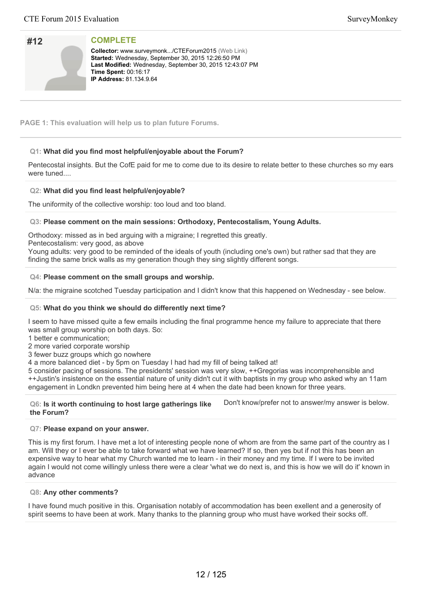| #12 |  |
|-----|--|
|     |  |
|     |  |
|     |  |

**Collector:** www.surveymonk.../CTEForum2015 (Web Link) Started: Wednesday, September 30, 2015 12:26:50 PM Last Modified: Wednesday, September 30, 2015 12:43:07 PM **Time Spent: 00:16:17 IP Address:** 81.134.9.64

**PAGE 1: This evaluation will help us to plan future Forums.**

# **Q1: What did you find most helpful/enjoyable about the Forum?**

Pentecostal insights. But the CofE paid for me to come due to its desire to relate better to these churches so my ears were tuned....

# **Q2: What did you find least helpful/enjoyable?**

The uniformity of the collective worship: too loud and too bland.

## **Q3: Please comment on the main sessions: Orthodoxy, Pentecostalism, Young Adults.**

Orthodoxy: missed as in bed arguing with a migraine; I regretted this greatly.

Pentecostalism: very good, as above

Young adults: very good to be reminded of the ideals of youth (including one's own) but rather sad that they are finding the same brick walls as my generation though they sing slightly different songs.

## **Q4: Please comment on the small groups and worship.**

N/a: the migraine scotched Tuesday participation and I didn't know that this happened on Wednesday - see below.

# **Q5: What do you think we should do differently next time?**

I seem to have missed quite a few emails including the final programme hence my failure to appreciate that there was small group worship on both days. So:

- 1 better e communication;
- 2 more varied corporate worship

3 fewer buzz groups which go nowhere

4 a more balanced diet - by 5pm on Tuesday I had had my fill of being talked at!

5 consider pacing of sessions. The presidents' session was very slow, ++Gregorias was incomprehensible and ++Justin's insistence on the essential nature of unity didn't cut it with baptists in my group who asked why an 11am engagement in Londkn prevented him being here at 4 when the date had been known for three years.

### **Q6: Is it worth continuing to host large gatherings like the Forum?**

Don't know/prefer not to answer/my answer is below.

## **Q7: Please expand on your answer.**

This is my first forum. I have met a lot of interesting people none of whom are from the same part of the country as I am. Will they or I ever be able to take forward what we have learned? If so, then yes but if not this has been an expensive way to hear what my Church wanted me to learn - in their money and my time. If I were to be invited again I would not come willingly unless there were a clear 'what we do next is, and this is how we will do it' known in advance

## **Q8: Any other comments?**

I have found much positive in this. Organisation notably of accommodation has been exellent and a generosity of spirit seems to have been at work. Many thanks to the planning group who must have worked their socks off.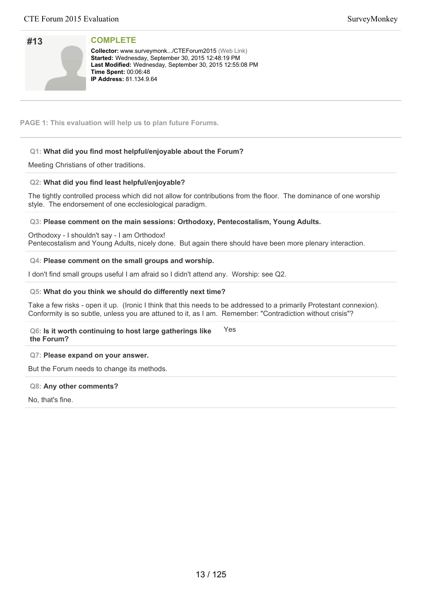| #13 |  |
|-----|--|
|     |  |
|     |  |
|     |  |

**Collector:** www.surveymonk.../CTEForum2015 (Web Link) Started: Wednesday, September 30, 2015 12:48:19 PM Last Modified: Wednesday, September 30, 2015 12:55:08 PM **Time Spent: 00:06:48 IP Address:** 81.134.9.64

**PAGE 1: This evaluation will help us to plan future Forums.**

# **Q1: What did you find most helpful/enjoyable about the Forum?**

Meeting Christians of other traditions.

# **Q2: What did you find least helpful/enjoyable?**

The tightly controlled process which did not allow for contributions from the floor. The dominance of one worship style. The endorsement of one ecclesiological paradigm.

**Q3: Please comment on the main sessions: Orthodoxy, Pentecostalism, Young Adults.**

Orthodoxy - I shouldn't say - I am Orthodox! Pentecostalism and Young Adults, nicely done. But again there should have been more plenary interaction.

## **Q4: Please comment on the small groups and worship.**

I don't find small groups useful I am afraid so I didn't attend any. Worship: see Q2.

## **Q5: What do you think we should do differently next time?**

Take a few risks - open it up. (Ironic I think that this needs to be addressed to a primarily Protestant connexion). Conformity is so subtle, unless you are attuned to it, as I am. Remember: "Contradiction without crisis"?

#### **Q6: Is it worth continuing to host large gatherings like the Forum?** Yes

### **Q7: Please expand on your answer.**

But the Forum needs to change its methods.

### **Q8: Any other comments?**

No, that's fine.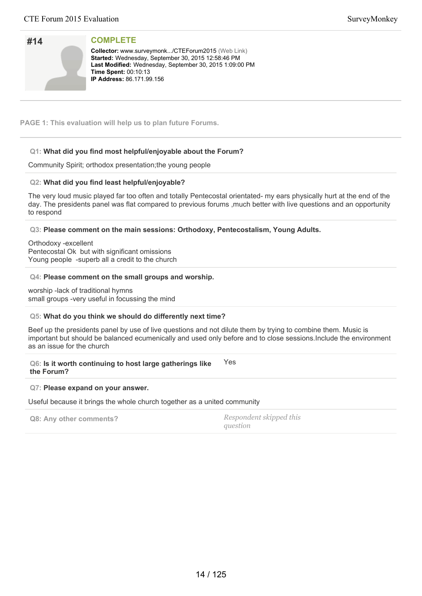| #14 |  |
|-----|--|
|     |  |
|     |  |
|     |  |

**Collector:** www.surveymonk.../CTEForum2015 (Web Link) Started: Wednesday, September 30, 2015 12:58:46 PM Last Modified: Wednesday, September 30, 2015 1:09:00 PM **Time Spent: 00:10:13 IP Address:** 86.171.99.156

**PAGE 1: This evaluation will help us to plan future Forums.**

# **Q1: What did you find most helpful/enjoyable about the Forum?**

Community Spirit; orthodox presentation;the young people

# **Q2: What did you find least helpful/enjoyable?**

The very loud music played far too often and totally Pentecostal orientated- my ears physically hurt at the end of the day. The presidents panel was flat compared to previous forums ,much better with live questions and an opportunity to respond

**Q3: Please comment on the main sessions: Orthodoxy, Pentecostalism, Young Adults.**

Orthodoxy -excellent Pentecostal Ok but with significant omissions Young people -superb all a credit to the church

## **Q4: Please comment on the small groups and worship.**

worship -lack of traditional hymns small groups -very useful in focussing the mind

# **Q5: What do you think we should do differently next time?**

Beef up the presidents panel by use of live questions and not dilute them by trying to combine them. Music is important but should be balanced ecumenically and used only before and to close sessions.Include the environment as an issue for the church

**Q6: Is it worth continuing to host large gatherings like the Forum?** Yes

### **Q7: Please expand on your answer.**

Useful because it brings the whole church together as a united community

| Q8: Any other comments? | Respondent skipped this |
|-------------------------|-------------------------|
|                         | question                |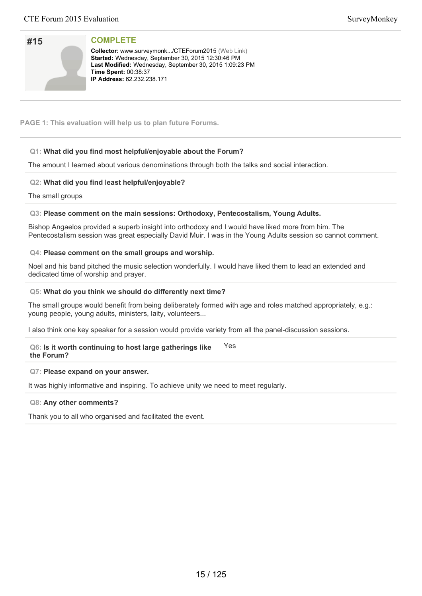| #15 |  |
|-----|--|
|     |  |

**Collector:** www.surveymonk.../CTEForum2015 (Web Link) Started: Wednesday, September 30, 2015 12:30:46 PM Last Modified: Wednesday, September 30, 2015 1:09:23 PM **Time Spent: 00:38:37 IP Address: 62.232.238.171** 

## **PAGE 1: This evaluation will help us to plan future Forums.**

# **Q1: What did you find most helpful/enjoyable about the Forum?**

The amount I learned about various denominations through both the talks and social interaction.

## **Q2: What did you find least helpful/enjoyable?**

The small groups

## **Q3: Please comment on the main sessions: Orthodoxy, Pentecostalism, Young Adults.**

Bishop Angaelos provided a superb insight into orthodoxy and I would have liked more from him. The Pentecostalism session was great especially David Muir. I was in the Young Adults session so cannot comment.

### **Q4: Please comment on the small groups and worship.**

Noel and his band pitched the music selection wonderfully. I would have liked them to lead an extended and dedicated time of worship and prayer.

### **Q5: What do you think we should do differently next time?**

The small groups would benefit from being deliberately formed with age and roles matched appropriately, e.g.: young people, young adults, ministers, laity, volunteers...

I also think one key speaker for a session would provide variety from all the panel-discussion sessions.

#### **Q6: Is it worth continuing to host large gatherings like the Forum?** Yes

## **Q7: Please expand on your answer.**

It was highly informative and inspiring. To achieve unity we need to meet regularly.

### **Q8: Any other comments?**

Thank you to all who organised and facilitated the event.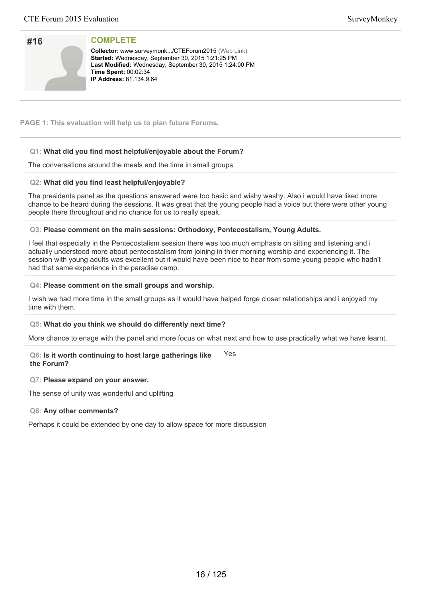| #16 |  |
|-----|--|
|     |  |
|     |  |
|     |  |

**Collector:** www.surveymonk.../CTEForum2015 (Web Link) Started: Wednesday, September 30, 2015 1:21:25 PM Last Modified: Wednesday, September 30, 2015 1:24:00 PM **Time Spent: 00:02:34 IP Address:** 81.134.9.64

**PAGE 1: This evaluation will help us to plan future Forums.**

# **Q1: What did you find most helpful/enjoyable about the Forum?**

The conversations around the meals and the time in small groups

# **Q2: What did you find least helpful/enjoyable?**

The presidents panel as the questions answered were too basic and wishy washy. Also i would have liked more chance to be heard during the sessions. It was great that the young people had a voice but there were other young people there throughout and no chance for us to really speak.

## **Q3: Please comment on the main sessions: Orthodoxy, Pentecostalism, Young Adults.**

I feel that especially in the Pentecostalism session there was too much emphasis on sitting and listening and i actually understood more about pentecostalism from joining in thier morning worship and experiencing it. The session with young adults was excellent but it would have been nice to hear from some young people who hadn't had that same experience in the paradise camp.

## **Q4: Please comment on the small groups and worship.**

I wish we had more time in the small groups as it would have helped forge closer relationships and i enjoyed my time with them.

# **Q5: What do you think we should do differently next time?**

More chance to enage with the panel and more focus on what next and how to use practically what we have learnt.

#### **Q6: Is it worth continuing to host large gatherings like the Forum?** Yes

### **Q7: Please expand on your answer.**

The sense of unity was wonderful and uplifting

### **Q8: Any other comments?**

Perhaps it could be extended by one day to allow space for more discussion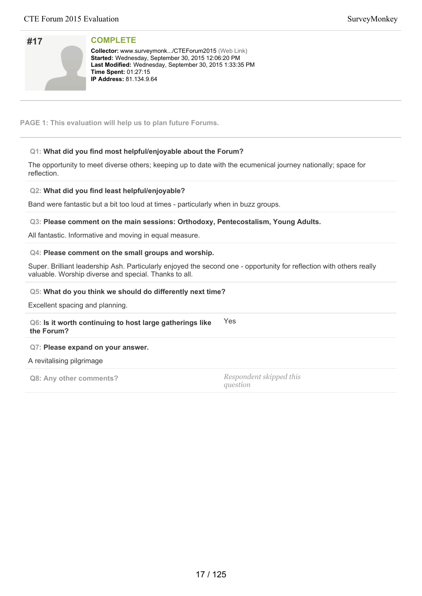| #17 |  |
|-----|--|
|     |  |
|     |  |
|     |  |

**Collector:** www.surveymonk.../CTEForum2015 (Web Link) Started: Wednesday, September 30, 2015 12:06:20 PM Last Modified: Wednesday, September 30, 2015 1:33:35 PM **Time Spent:** 01:27:15 **IP Address:** 81.134.9.64

**PAGE 1: This evaluation will help us to plan future Forums.**

# **Q1: What did you find most helpful/enjoyable about the Forum?**

The opportunity to meet diverse others; keeping up to date with the ecumenical journey nationally; space for reflection.

## **Q2: What did you find least helpful/enjoyable?**

Band were fantastic but a bit too loud at times - particularly when in buzz groups.

### **Q3: Please comment on the main sessions: Orthodoxy, Pentecostalism, Young Adults.**

All fantastic. Informative and moving in equal measure.

### **Q4: Please comment on the small groups and worship.**

Super. Brilliant leadership Ash. Particularly enjoyed the second one - opportunity for reflection with others really valuable. Worship diverse and special. Thanks to all.

### **Q5: What do you think we should do differently next time?**

Excellent spacing and planning.

**Q6: Is it worth continuing to host large gatherings like the Forum?** Yes

### **Q7: Please expand on your answer.**

A revitalising pilgrimage

**Q8: Any other comments?** *Respondent skipped this*

*question*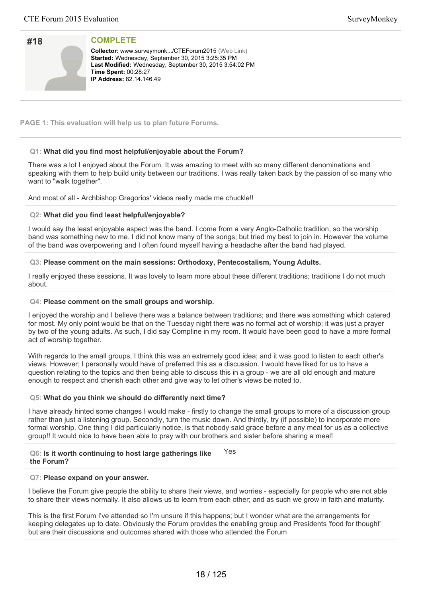| #18 |  |
|-----|--|
|     |  |
|     |  |
|     |  |

**Collector:** www.surveymonk.../CTEForum2015 (Web Link) Started: Wednesday, September 30, 2015 3:25:35 PM Last Modified: Wednesday, September 30, 2015 3:54:02 PM **Time Spent: 00:28:27 IP Address:** 82.14.146.49

**PAGE 1: This evaluation will help us to plan future Forums.**

## **Q1: What did you find most helpful/enjoyable about the Forum?**

There was a lot I enjoyed about the Forum. It was amazing to meet with so many different denominations and speaking with them to help build unity between our traditions. I was really taken back by the passion of so many who want to "walk together".

And most of all - Archbishop Gregorios' videos really made me chuckle!!

## **Q2: What did you find least helpful/enjoyable?**

I would say the least enjoyable aspect was the band. I come from a very Anglo-Catholic tradition, so the worship band was something new to me. I did not know many of the songs; but tried my best to join in. However the volume of the band was overpowering and I often found myself having a headache after the band had played.

## **Q3: Please comment on the main sessions: Orthodoxy, Pentecostalism, Young Adults.**

I really enjoyed these sessions. It was lovely to learn more about these different traditions; traditions I do not much about.

### **Q4: Please comment on the small groups and worship.**

I enjoyed the worship and I believe there was a balance between traditions; and there was something which catered for most. My only point would be that on the Tuesday night there was no formal act of worship; it was just a prayer by two of the young adults. As such, I did say Compline in my room. It would have been good to have a more formal act of worship together.

With regards to the small groups, I think this was an extremely good idea; and it was good to listen to each other's views. However; I personally would have of preferred this as a discussion. I would have liked for us to have a question relating to the topics and then being able to discuss this in a group - we are all old enough and mature enough to respect and cherish each other and give way to let other's views be noted to.

### **Q5: What do you think we should do differently next time?**

I have already hinted some changes I would make - firstly to change the small groups to more of a discussion group rather than just a listening group. Secondly, turn the music down. And thirdly, try (if possible) to incorporate more formal worship. One thing I did particularly notice, is that nobody said grace before a any meal for us as a collective group!! It would nice to have been able to pray with our brothers and sister before sharing a meal!

#### **Q6: Is it worth continuing to host large gatherings like the Forum?** Yes

### **Q7: Please expand on your answer.**

I believe the Forum give people the ability to share their views, and worries - especially for people who are not able to share their views normally. It also allows us to learn from each other; and as such we grow in faith and maturity.

This is the first Forum I've attended so I'm unsure if this happens; but I wonder what are the arrangements for keeping delegates up to date. Obviously the Forum provides the enabling group and Presidents 'food for thought' but are their discussions and outcomes shared with those who attended the Forum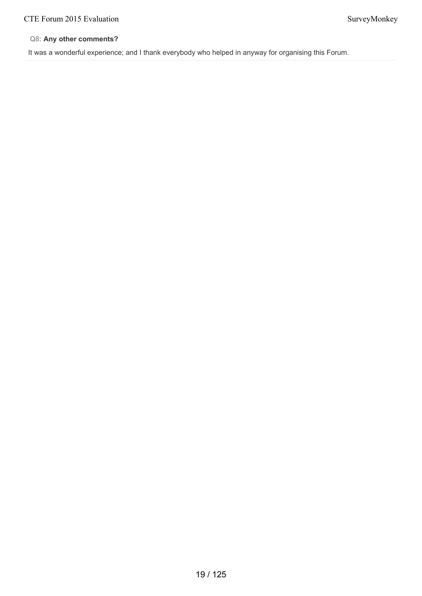# **Q8: Any other comments?**

It was a wonderful experience; and I thank everybody who helped in anyway for organising this Forum.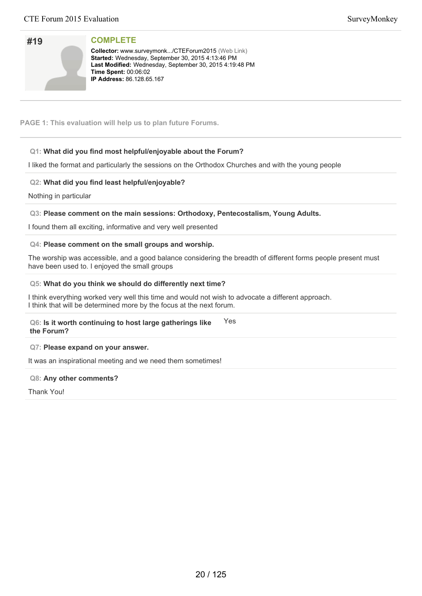| #19 |  |
|-----|--|
|     |  |
|     |  |
|     |  |

**Collector:** www.surveymonk.../CTEForum2015 (Web Link) Started: Wednesday, September 30, 2015 4:13:46 PM Last Modified: Wednesday, September 30, 2015 4:19:48 PM **Time Spent: 00:06:02 IP Address: 86.128.65.167** 

**PAGE 1: This evaluation will help us to plan future Forums.**

# **Q1: What did you find most helpful/enjoyable about the Forum?**

I liked the format and particularly the sessions on the Orthodox Churches and with the young people

# **Q2: What did you find least helpful/enjoyable?**

Nothing in particular

# **Q3: Please comment on the main sessions: Orthodoxy, Pentecostalism, Young Adults.**

I found them all exciting, informative and very well presented

# **Q4: Please comment on the small groups and worship.**

The worship was accessible, and a good balance considering the breadth of different forms people present must have been used to. I enjoyed the small groups

## **Q5: What do you think we should do differently next time?**

I think everything worked very well this time and would not wish to advocate a different approach. I think that will be determined more by the focus at the next forum.

#### **Q6: Is it worth continuing to host large gatherings like the Forum?** Yes

### **Q7: Please expand on your answer.**

It was an inspirational meeting and we need them sometimes!

# **Q8: Any other comments?**

Thank You!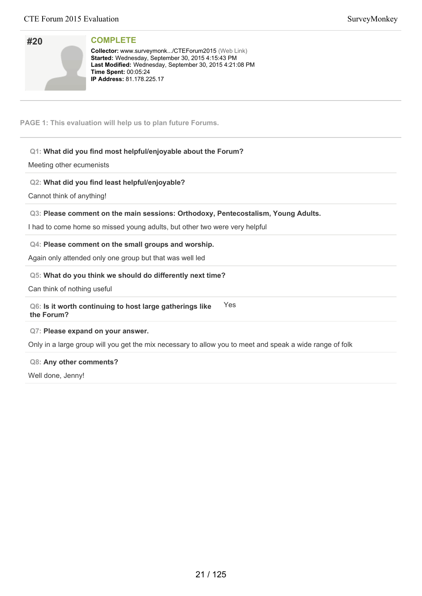| #20 |  |
|-----|--|
|     |  |
|     |  |
|     |  |

**Collector:** www.surveymonk.../CTEForum2015 (Web Link) Started: Wednesday, September 30, 2015 4:15:43 PM Last Modified: Wednesday, September 30, 2015 4:21:08 PM **Time Spent:** 00:05:24 **IP Address: 81.178.225.17** 

**PAGE 1: This evaluation will help us to plan future Forums.**

# **Q1: What did you find most helpful/enjoyable about the Forum?**

Meeting other ecumenists

# **Q2: What did you find least helpful/enjoyable?**

Cannot think of anything!

# **Q3: Please comment on the main sessions: Orthodoxy, Pentecostalism, Young Adults.**

I had to come home so missed young adults, but other two were very helpful

# **Q4: Please comment on the small groups and worship.**

Again only attended only one group but that was well led

# **Q5: What do you think we should do differently next time?**

Can think of nothing useful

#### **Q6: Is it worth continuing to host large gatherings like the Forum?** Yes

### **Q7: Please expand on your answer.**

Only in a large group will you get the mix necessary to allow you to meet and speak a wide range of folk

### **Q8: Any other comments?**

Well done, Jenny!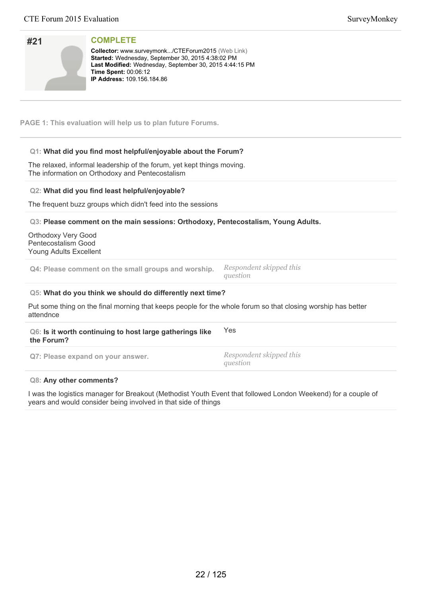| #21                                                                                | <b>COMPLETE</b><br>Collector: www.surveymonk/CTEForum2015 (Web Link)<br>Started: Wednesday, September 30, 2015 4:38:02 PM<br>Last Modified: Wednesday, September 30, 2015 4:44:15 PM<br>Time Spent: 00:06:12<br><b>IP Address: 109.156.184.86</b> |                                                                                                              |
|------------------------------------------------------------------------------------|---------------------------------------------------------------------------------------------------------------------------------------------------------------------------------------------------------------------------------------------------|--------------------------------------------------------------------------------------------------------------|
|                                                                                    | PAGE 1: This evaluation will help us to plan future Forums.                                                                                                                                                                                       |                                                                                                              |
|                                                                                    | Q1: What did you find most helpful/enjoyable about the Forum?<br>The relaxed, informal leadership of the forum, yet kept things moving.<br>The information on Orthodoxy and Pentecostalism                                                        |                                                                                                              |
|                                                                                    | Q2: What did you find least helpful/enjoyable?<br>The frequent buzz groups which didn't feed into the sessions                                                                                                                                    |                                                                                                              |
| <b>Orthodoxy Very Good</b><br>Pentecostalism Good<br><b>Young Adults Excellent</b> | Q3: Please comment on the main sessions: Orthodoxy, Pentecostalism, Young Adults.                                                                                                                                                                 |                                                                                                              |
|                                                                                    | Q4: Please comment on the small groups and worship.                                                                                                                                                                                               | Respondent skipped this<br>question                                                                          |
|                                                                                    | Q5: What do you think we should do differently next time?                                                                                                                                                                                         |                                                                                                              |
| attendnce                                                                          |                                                                                                                                                                                                                                                   | Put some thing on the final morning that keeps people for the whole forum so that closing worship has better |
| the Forum?                                                                         | Q6: Is it worth continuing to host large gatherings like                                                                                                                                                                                          | Yes                                                                                                          |
|                                                                                    | Q7: Please expand on your answer.                                                                                                                                                                                                                 | Respondent skipped this<br>question                                                                          |
|                                                                                    | Q8: Any other comments?                                                                                                                                                                                                                           |                                                                                                              |

I was the logistics manager for Breakout (Methodist Youth Event that followed London Weekend) for a couple of years and would consider being involved in that side of things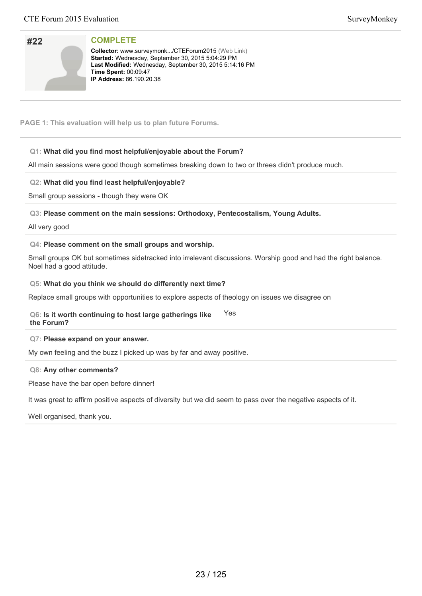| #22 |  |
|-----|--|
|     |  |
|     |  |

**Collector:** www.surveymonk.../CTEForum2015 (Web Link) Started: Wednesday, September 30, 2015 5:04:29 PM Last Modified: Wednesday, September 30, 2015 5:14:16 PM **Time Spent: 00:09:47 IP Address:** 86.190.20.38

**PAGE 1: This evaluation will help us to plan future Forums.**

# **Q1: What did you find most helpful/enjoyable about the Forum?**

All main sessions were good though sometimes breaking down to two or threes didn't produce much.

# **Q2: What did you find least helpful/enjoyable?**

Small group sessions - though they were OK

**Q3: Please comment on the main sessions: Orthodoxy, Pentecostalism, Young Adults.**

All very good

## **Q4: Please comment on the small groups and worship.**

Small groups OK but sometimes sidetracked into irrelevant discussions. Worship good and had the right balance. Noel had a good attitude.

## **Q5: What do you think we should do differently next time?**

Replace small groups with opportunities to explore aspects of theology on issues we disagree on

#### **Q6: Is it worth continuing to host large gatherings like the Forum?** Yes

### **Q7: Please expand on your answer.**

My own feeling and the buzz I picked up was by far and away positive.

### **Q8: Any other comments?**

Please have the bar open before dinner!

It was great to affirm positive aspects of diversity but we did seem to pass over the negative aspects of it.

Well organised, thank you.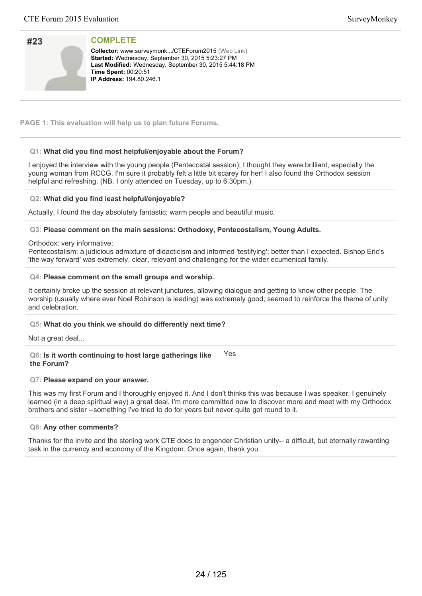| #23 |  |
|-----|--|
|     |  |
|     |  |
|     |  |

**Collector:** www.surveymonk.../CTEForum2015 (Web Link) Started: Wednesday, September 30, 2015 5:23:27 PM Last Modified: Wednesday, September 30, 2015 5:44:18 PM **Time Spent: 00:20:51 IP Address: 194.80.246.1** 

**PAGE 1: This evaluation will help us to plan future Forums.**

# **Q1: What did you find most helpful/enjoyable about the Forum?**

I enjoyed the interview with the young people (Pentecostal session); I thought they were brilliant, especially the young woman from RCCG. I'm sure it probably felt a little bit scarey for her! I also found the Orthodox session helpful and refreshing. (NB. I only attended on Tuesday, up to 6.30pm.)

## **Q2: What did you find least helpful/enjoyable?**

Actually, I found the day absolutely fantastic; warm people and beautiful music.

## **Q3: Please comment on the main sessions: Orthodoxy, Pentecostalism, Young Adults.**

### Orthodox: very informative;

Pentecostalism: a judicious admixture of didacticism and informed 'testifying'; better than I expected. Bishop Eric's 'the way forward' was extremely, clear, relevant and challenging for the wider ecumenical family.

### **Q4: Please comment on the small groups and worship.**

It certainly broke up the session at relevant junctures, allowing dialogue and getting to know other people. The worship (usually where ever Noel Robinson is leading) was extremely good; seemed to reinforce the theme of unity and celebration.

### **Q5: What do you think we should do differently next time?**

Not a great deal...

**Q6: Is it worth continuing to host large gatherings like the Forum?** Yes

### **Q7: Please expand on your answer.**

This was my first Forum and I thoroughly enjoyed it. And I don't thinks this was because I was speaker. I genuinely learned (in a deep spiritual way) a great deal. I'm more committed now to discover more and meet with my Orthodox brothers and sister --something I've tried to do for years but never quite got round to it.

# **Q8: Any other comments?**

Thanks for the invite and the sterling work CTE does to engender Christian unity-- a difficult, but eternally rewarding task in the currency and economy of the Kingdom. Once again, thank you.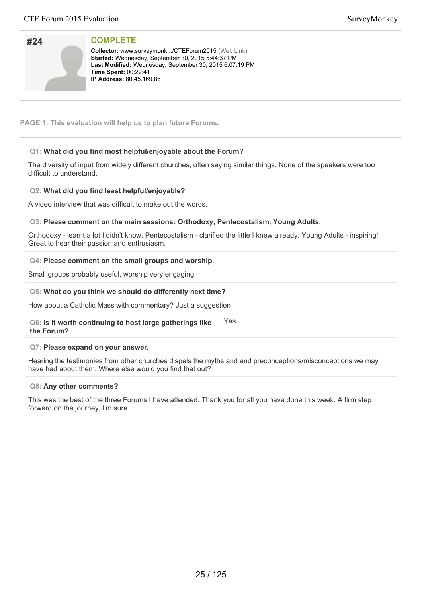| #24 |  |
|-----|--|
|     |  |
|     |  |
|     |  |

**Collector:** www.surveymonk.../CTEForum2015 (Web Link) Started: Wednesday, September 30, 2015 5:44:37 PM Last Modified: Wednesday, September 30, 2015 6:07:19 PM **Time Spent: 00:22:41 IP Address:** 80.45.169.86

**PAGE 1: This evaluation will help us to plan future Forums.**

# **Q1: What did you find most helpful/enjoyable about the Forum?**

The diversity of input from widely different churches, often saying similar things. None of the speakers were too difficult to understand.

# **Q2: What did you find least helpful/enjoyable?**

A video interview that was difficult to make out the words.

### **Q3: Please comment on the main sessions: Orthodoxy, Pentecostalism, Young Adults.**

Orthodoxy - learnt a lot I didn't know. Pentecostalism - clarified the little I knew already. Young Adults - inspiring! Great to hear their passion and enthusiasm.

## **Q4: Please comment on the small groups and worship.**

Small groups probably useful, worship very engaging.

## **Q5: What do you think we should do differently next time?**

How about a Catholic Mass with commentary? Just a suggestion

**Q6: Is it worth continuing to host large gatherings like the Forum?** Yes

### **Q7: Please expand on your answer.**

Hearing the testimonies from other churches dispels the myths and and preconceptions/misconceptions we may have had about them. Where else would you find that out?

### **Q8: Any other comments?**

This was the best of the three Forums I have attended. Thank you for all you have done this week. A firm step forward on the journey, I'm sure.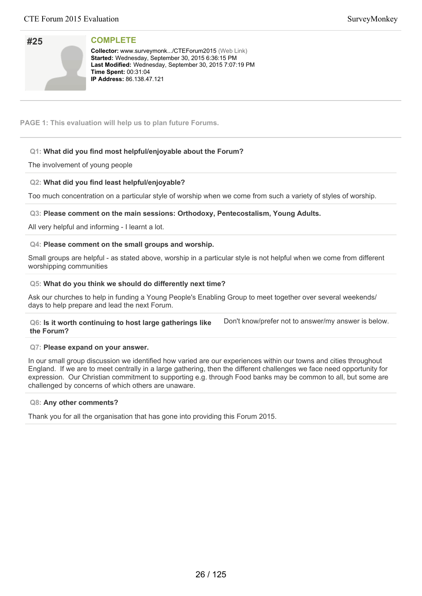| #25 |  |
|-----|--|
|     |  |
|     |  |
|     |  |

**Collector:** www.surveymonk.../CTEForum2015 (Web Link) Started: Wednesday, September 30, 2015 6:36:15 PM Last Modified: Wednesday, September 30, 2015 7:07:19 PM **Time Spent: 00:31:04 IP Address: 86.138.47.121** 

**PAGE 1: This evaluation will help us to plan future Forums.**

# **Q1: What did you find most helpful/enjoyable about the Forum?**

# The involvement of young people

# **Q2: What did you find least helpful/enjoyable?**

Too much concentration on a particular style of worship when we come from such a variety of styles of worship.

# **Q3: Please comment on the main sessions: Orthodoxy, Pentecostalism, Young Adults.**

All very helpful and informing - I learnt a lot.

## **Q4: Please comment on the small groups and worship.**

Small groups are helpful - as stated above, worship in a particular style is not helpful when we come from different worshipping communities

## **Q5: What do you think we should do differently next time?**

Ask our churches to help in funding a Young People's Enabling Group to meet together over several weekends/ days to help prepare and lead the next Forum.

#### **Q6: Is it worth continuing to host large gatherings like the Forum?** Don't know/prefer not to answer/my answer is below.

### **Q7: Please expand on your answer.**

In our small group discussion we identified how varied are our experiences within our towns and cities throughout England. If we are to meet centrally in a large gathering, then the different challenges we face need opportunity for expression. Our Christian commitment to supporting e.g. through Food banks may be common to all, but some are challenged by concerns of which others are unaware.

### **Q8: Any other comments?**

Thank you for all the organisation that has gone into providing this Forum 2015.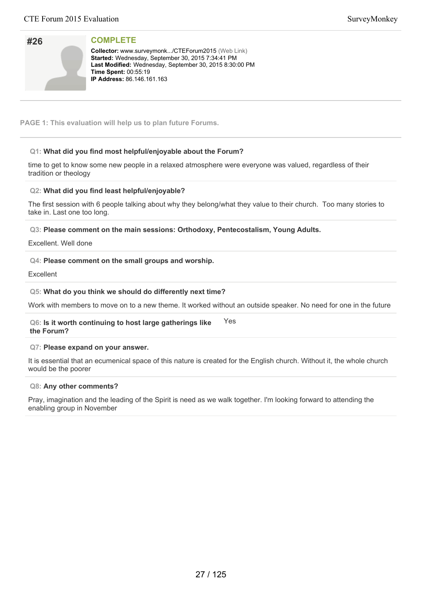| #26 |  |
|-----|--|
|     |  |
|     |  |
|     |  |

**Collector:** www.surveymonk.../CTEForum2015 (Web Link) Started: Wednesday, September 30, 2015 7:34:41 PM Last Modified: Wednesday, September 30, 2015 8:30:00 PM **Time Spent: 00:55:19 IP Address: 86.146.161.163** 

**PAGE 1: This evaluation will help us to plan future Forums.**

# **Q1: What did you find most helpful/enjoyable about the Forum?**

time to get to know some new people in a relaxed atmosphere were everyone was valued, regardless of their tradition or theology

## **Q2: What did you find least helpful/enjoyable?**

The first session with 6 people talking about why they belong/what they value to their church. Too many stories to take in. Last one too long.

**Q3: Please comment on the main sessions: Orthodoxy, Pentecostalism, Young Adults.**

Excellent. Well done

## **Q4: Please comment on the small groups and worship.**

Excellent

### **Q5: What do you think we should do differently next time?**

Work with members to move on to a new theme. It worked without an outside speaker. No need for one in the future

**Q6: Is it worth continuing to host large gatherings like the Forum?** Yes

### **Q7: Please expand on your answer.**

It is essential that an ecumenical space of this nature is created for the English church. Without it, the whole church would be the poorer

### **Q8: Any other comments?**

Pray, imagination and the leading of the Spirit is need as we walk together. I'm looking forward to attending the enabling group in November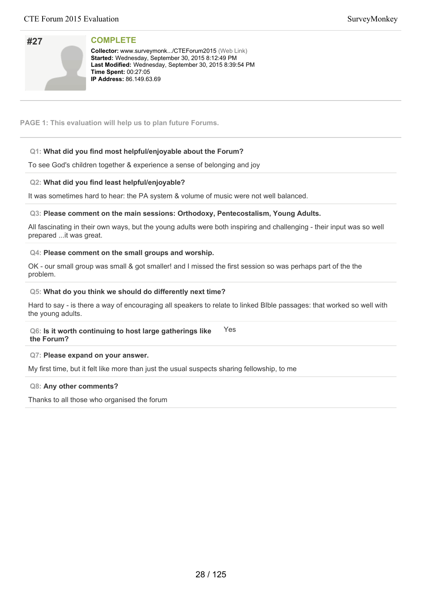| SurveyMonkey |
|--------------|
|--------------|

| #27 |  |
|-----|--|
|     |  |
|     |  |
|     |  |

**Collector:** www.surveymonk.../CTEForum2015 (Web Link) Started: Wednesday, September 30, 2015 8:12:49 PM Last Modified: Wednesday, September 30, 2015 8:39:54 PM **Time Spent: 00:27:05 IP Address:** 86.149.63.69

## **PAGE 1: This evaluation will help us to plan future Forums.**

# **Q1: What did you find most helpful/enjoyable about the Forum?**

To see God's children together & experience a sense of belonging and joy

## **Q2: What did you find least helpful/enjoyable?**

It was sometimes hard to hear: the PA system & volume of music were not well balanced.

## **Q3: Please comment on the main sessions: Orthodoxy, Pentecostalism, Young Adults.**

All fascinating in their own ways, but the young adults were both inspiring and challenging - their input was so well prepared ...it was great.

## **Q4: Please comment on the small groups and worship.**

OK - our small group was small & got smaller! and I missed the first session so was perhaps part of the the problem.

## **Q5: What do you think we should do differently next time?**

Hard to say - is there a way of encouraging all speakers to relate to linked BIble passages: that worked so well with the young adults.

#### **Q6: Is it worth continuing to host large gatherings like the Forum?** Yes

### **Q7: Please expand on your answer.**

My first time, but it felt like more than just the usual suspects sharing fellowship, to me

### **Q8: Any other comments?**

Thanks to all those who organised the forum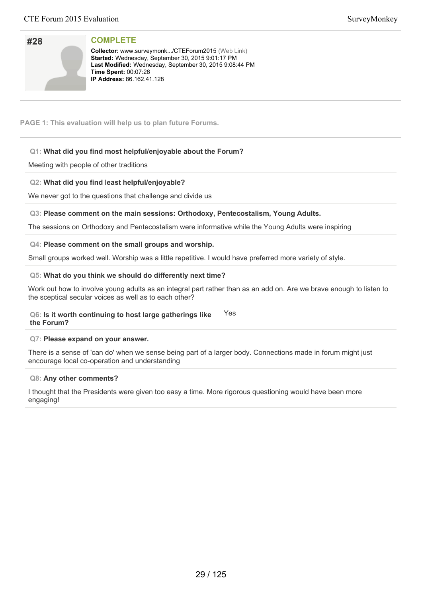| #28 |  |
|-----|--|
|     |  |
|     |  |
|     |  |

**Collector:** www.surveymonk.../CTEForum2015 (Web Link) Started: Wednesday, September 30, 2015 9:01:17 PM Last Modified: Wednesday, September 30, 2015 9:08:44 PM **Time Spent: 00:07:26 IP Address:** 86.162.41.128

**PAGE 1: This evaluation will help us to plan future Forums.**

# **Q1: What did you find most helpful/enjoyable about the Forum?**

Meeting with people of other traditions

# **Q2: What did you find least helpful/enjoyable?**

We never got to the questions that challenge and divide us

## **Q3: Please comment on the main sessions: Orthodoxy, Pentecostalism, Young Adults.**

The sessions on Orthodoxy and Pentecostalism were informative while the Young Adults were inspiring

## **Q4: Please comment on the small groups and worship.**

Small groups worked well. Worship was a little repetitive. I would have preferred more variety of style.

## **Q5: What do you think we should do differently next time?**

Work out how to involve young adults as an integral part rather than as an add on. Are we brave enough to listen to the sceptical secular voices as well as to each other?

#### **Q6: Is it worth continuing to host large gatherings like the Forum?** Yes

### **Q7: Please expand on your answer.**

There is a sense of 'can do' when we sense being part of a larger body. Connections made in forum might just encourage local co-operation and understanding

## **Q8: Any other comments?**

I thought that the Presidents were given too easy a time. More rigorous questioning would have been more engaging!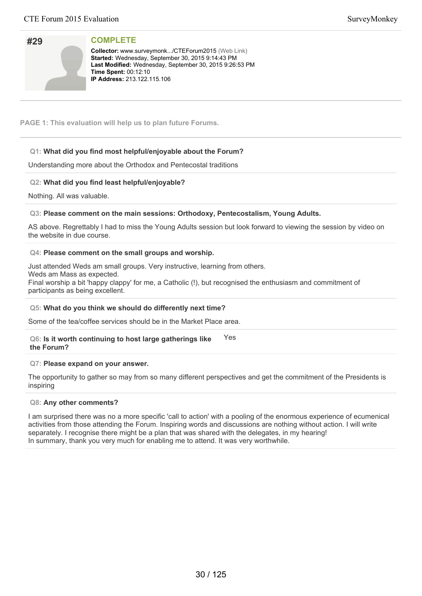| #29 |  |
|-----|--|
|     |  |
|     |  |
|     |  |

**Collector:** www.surveymonk.../CTEForum2015 (Web Link) Started: Wednesday, September 30, 2015 9:14:43 PM Last Modified: Wednesday, September 30, 2015 9:26:53 PM **Time Spent: 00:12:10 IP Address: 213.122.115.106** 

**PAGE 1: This evaluation will help us to plan future Forums.**

# **Q1: What did you find most helpful/enjoyable about the Forum?**

Understanding more about the Orthodox and Pentecostal traditions

# **Q2: What did you find least helpful/enjoyable?**

Nothing. All was valuable.

# **Q3: Please comment on the main sessions: Orthodoxy, Pentecostalism, Young Adults.**

AS above. Regrettably I had to miss the Young Adults session but look forward to viewing the session by video on the website in due course.

## **Q4: Please comment on the small groups and worship.**

Just attended Weds am small groups. Very instructive, learning from others.

Weds am Mass as expected.

Final worship a bit 'happy clappy' for me, a Catholic (!), but recognised the enthusiasm and commitment of participants as being excellent.

# **Q5: What do you think we should do differently next time?**

Some of the tea/coffee services should be in the Market Place area.

#### **Q6: Is it worth continuing to host large gatherings like the Forum?** Yes

### **Q7: Please expand on your answer.**

The opportunity to gather so may from so many different perspectives and get the commitment of the Presidents is inspiring

### **Q8: Any other comments?**

I am surprised there was no a more specific 'call to action' with a pooling of the enormous experience of ecumenical activities from those attending the Forum. Inspiring words and discussions are nothing without action. I will write separately. I recognise there might be a plan that was shared with the delegates, in my hearing! In summary, thank you very much for enabling me to attend. It was very worthwhile.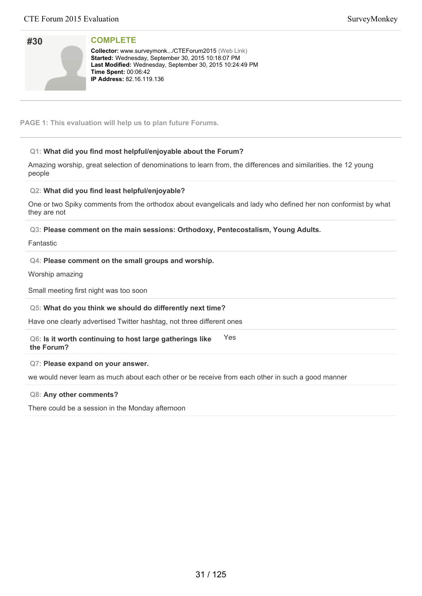| #30 |  |
|-----|--|
|     |  |
|     |  |
|     |  |

**Collector:** www.surveymonk.../CTEForum2015 (Web Link) Started: Wednesday, September 30, 2015 10:18:07 PM Last Modified: Wednesday, September 30, 2015 10:24:49 PM **Time Spent: 00:06:42 IP Address:** 82.16.119.136

**PAGE 1: This evaluation will help us to plan future Forums.**

# **Q1: What did you find most helpful/enjoyable about the Forum?**

Amazing worship, great selection of denominations to learn from, the differences and similarities. the 12 young people

# **Q2: What did you find least helpful/enjoyable?**

One or two Spiky comments from the orthodox about evangelicals and lady who defined her non conformist by what they are not

**Q3: Please comment on the main sessions: Orthodoxy, Pentecostalism, Young Adults.**

Fantastic

# **Q4: Please comment on the small groups and worship.**

Worship amazing

Small meeting first night was too soon

# **Q5: What do you think we should do differently next time?**

Have one clearly advertised Twitter hashtag, not three different ones

**Q6: Is it worth continuing to host large gatherings like the Forum?** Yes

# **Q7: Please expand on your answer.**

we would never learn as much about each other or be receive from each other in such a good manner

### **Q8: Any other comments?**

There could be a session in the Monday afternoon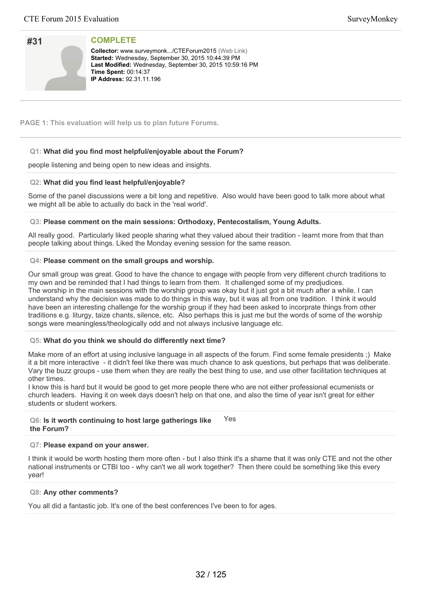| #31 |  |
|-----|--|
|     |  |
|     |  |
|     |  |

**Collector:** www.surveymonk.../CTEForum2015 (Web Link) Started: Wednesday, September 30, 2015 10:44:39 PM Last Modified: Wednesday, September 30, 2015 10:59:16 PM **Time Spent: 00:14:37 IP Address: 92.31.11.196** 

**PAGE 1: This evaluation will help us to plan future Forums.**

# **Q1: What did you find most helpful/enjoyable about the Forum?**

people listening and being open to new ideas and insights.

# **Q2: What did you find least helpful/enjoyable?**

Some of the panel discussions were a bit long and repetitive. Also would have been good to talk more about what we might all be able to actually do back in the 'real world'.

## **Q3: Please comment on the main sessions: Orthodoxy, Pentecostalism, Young Adults.**

All really good. Particularly liked people sharing what they valued about their tradition - learnt more from that than people talking about things. Liked the Monday evening session for the same reason.

## **Q4: Please comment on the small groups and worship.**

Our small group was great. Good to have the chance to engage with people from very different church traditions to my own and be reminded that I had things to learn from them. It challenged some of my predjudices. The worship in the main sessions with the worship group was okay but it just got a bit much after a while. I can understand why the decision was made to do things in this way, but it was all from one tradition. I think it would have been an interesting challenge for the worship group if they had been asked to incorprate things from other traditions e.g. liturgy, taize chants, silence, etc. Also perhaps this is just me but the words of some of the worship songs were meaningless/theologically odd and not always inclusive language etc.

# **Q5: What do you think we should do differently next time?**

Make more of an effort at using inclusive language in all aspects of the forum. Find some female presidents ;) Make it a bit more interactive - it didn't feel like there was much chance to ask questions, but perhaps that was deliberate. Vary the buzz groups - use them when they are really the best thing to use, and use other facilitation techniques at other times.

I know this is hard but it would be good to get more people there who are not either professional ecumenists or church leaders. Having it on week days doesn't help on that one, and also the time of year isn't great for either students or student workers.

#### **Q6: Is it worth continuing to host large gatherings like the Forum?** Yes

## **Q7: Please expand on your answer.**

I think it would be worth hosting them more often - but I also think it's a shame that it was only CTE and not the other national instruments or CTBI too - why can't we all work together? Then there could be something like this every year!

# **Q8: Any other comments?**

You all did a fantastic job. It's one of the best conferences I've been to for ages.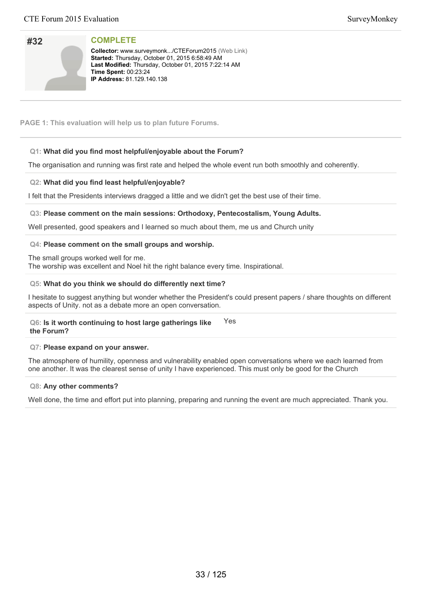| SurveyMonkey |
|--------------|
|--------------|

| #32 |  |
|-----|--|
|     |  |
|     |  |
|     |  |

**Collector:** www.surveymonk.../CTEForum2015 (Web Link) **Started:** Thursday, October 01, 2015 6:58:49 AM Last Modified: Thursday, October 01, 2015 7:22:14 AM **Time Spent: 00:23:24 IP Address: 81.129.140.138** 

**PAGE 1: This evaluation will help us to plan future Forums.**

# **Q1: What did you find most helpful/enjoyable about the Forum?**

The organisation and running was first rate and helped the whole event run both smoothly and coherently.

# **Q2: What did you find least helpful/enjoyable?**

I felt that the Presidents interviews dragged a little and we didn't get the best use of their time.

# **Q3: Please comment on the main sessions: Orthodoxy, Pentecostalism, Young Adults.**

Well presented, good speakers and I learned so much about them, me us and Church unity

# **Q4: Please comment on the small groups and worship.**

The small groups worked well for me.

The worship was excellent and Noel hit the right balance every time. Inspirational.

## **Q5: What do you think we should do differently next time?**

I hesitate to suggest anything but wonder whether the President's could present papers / share thoughts on different aspects of Unity. not as a debate more an open conversation.

#### **Q6: Is it worth continuing to host large gatherings like the Forum?** Yes

### **Q7: Please expand on your answer.**

The atmosphere of humility, openness and vulnerability enabled open conversations where we each learned from one another. It was the clearest sense of unity I have experienced. This must only be good for the Church

### **Q8: Any other comments?**

Well done, the time and effort put into planning, preparing and running the event are much appreciated. Thank you.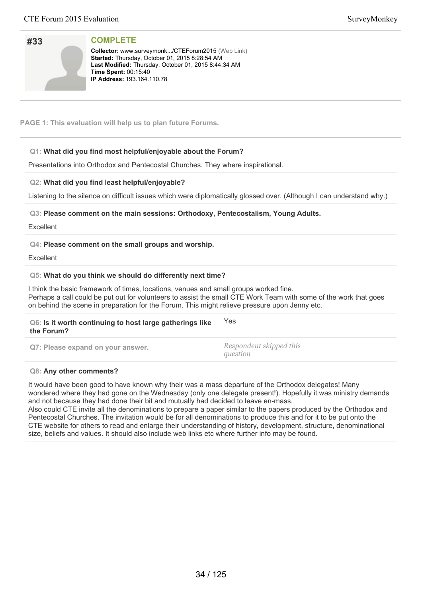| SurveyMonkey |
|--------------|
|--------------|

| #33 |  |
|-----|--|
|     |  |
|     |  |
|     |  |

**Collector:** www.surveymonk.../CTEForum2015 (Web Link) **Started:** Thursday, October 01, 2015 8:28:54 AM Last Modified: Thursday, October 01, 2015 8:44:34 AM **Time Spent: 00:15:40 IP Address: 193.164.110.78** 

**PAGE 1: This evaluation will help us to plan future Forums.**

# **Q1: What did you find most helpful/enjoyable about the Forum?**

Presentations into Orthodox and Pentecostal Churches. They where inspirational.

# **Q2: What did you find least helpful/enjoyable?**

Listening to the silence on difficult issues which were diplomatically glossed over. (Although I can understand why.)

**Q3: Please comment on the main sessions: Orthodoxy, Pentecostalism, Young Adults.**

Excellent

## **Q4: Please comment on the small groups and worship.**

**Excellent** 

## **Q5: What do you think we should do differently next time?**

I think the basic framework of times, locations, venues and small groups worked fine. Perhaps a call could be put out for volunteers to assist the small CTE Work Team with some of the work that goes on behind the scene in preparation for the Forum. This might relieve pressure upon Jenny etc.

| Q6: Is it worth continuing to host large gatherings like<br>the Forum? | Yes                                 |
|------------------------------------------------------------------------|-------------------------------------|
| Q7: Please expand on your answer.                                      | Respondent skipped this<br>question |

### **Q8: Any other comments?**

It would have been good to have known why their was a mass departure of the Orthodox delegates! Many wondered where they had gone on the Wednesday (only one delegate present!). Hopefully it was ministry demands and not because they had done their bit and mutually had decided to leave en-mass.

Also could CTE invite all the denominations to prepare a paper similar to the papers produced by the Orthodox and Pentecostal Churches. The invitation would be for all denominations to produce this and for it to be put onto the CTE website for others to read and enlarge their understanding of history, development, structure, denominational size, beliefs and values. It should also include web links etc where further info may be found.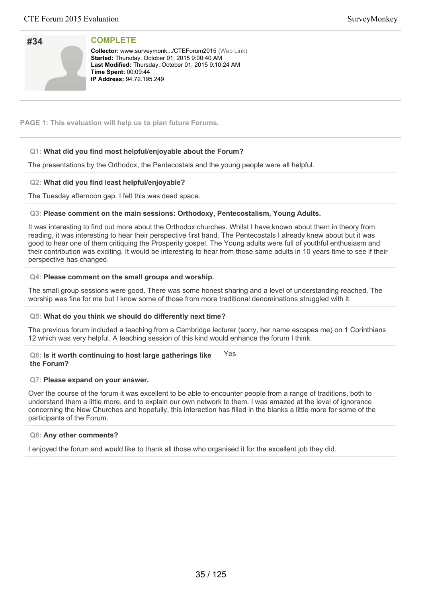| #34 |  |
|-----|--|
|     |  |
|     |  |
|     |  |

**Collector:** www.surveymonk.../CTEForum2015 (Web Link) Started: Thursday, October 01, 2015 9:00:40 AM Last Modified: Thursday, October 01, 2015 9:10:24 AM **Time Spent: 00:09:44 IP Address: 94.72.195.249** 

**PAGE 1: This evaluation will help us to plan future Forums.**

# **Q1: What did you find most helpful/enjoyable about the Forum?**

The presentations by the Orthodox, the Pentecostals and the young people were all helpful.

## **Q2: What did you find least helpful/enjoyable?**

The Tuesday afternoon gap. I felt this was dead space.

## **Q3: Please comment on the main sessions: Orthodoxy, Pentecostalism, Young Adults.**

It was interesting to find out more about the Orthodox churches. Whilst I have known about them in theory from reading, it was interesting to hear their perspective first hand. The Pentecostals I already knew about but it was good to hear one of them critiquing the Prosperity gospel. The Young adults were full of youthful enthusiasm and their contribution was exciting. It would be interesting to hear from those same adults in 10 years time to see if their perspective has changed.

## **Q4: Please comment on the small groups and worship.**

The small group sessions were good. There was some honest sharing and a level of understanding reached. The worship was fine for me but I know some of those from more traditional denominations struggled with it.

### **Q5: What do you think we should do differently next time?**

The previous forum included a teaching from a Cambridge lecturer (sorry, her name escapes me) on 1 Corinthians 12 which was very helpful. A teaching session of this kind would enhance the forum I think.

#### **Q6: Is it worth continuing to host large gatherings like the Forum?** Yes

### **Q7: Please expand on your answer.**

Over the course of the forum it was excellent to be able to encounter people from a range of traditions, both to understand them a little more, and to explain our own network to them. I was amazed at the level of ignorance concerning the New Churches and hopefully, this interaction has filled in the blanks a little more for some of the participants of the Forum.

### **Q8: Any other comments?**

I enjoyed the forum and would like to thank all those who organised it for the excellent job they did.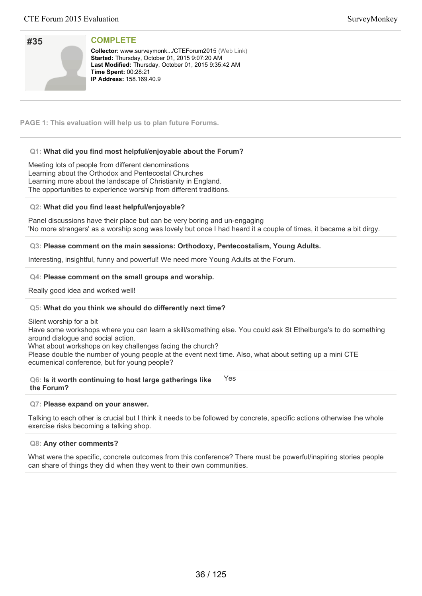| #35 |  |
|-----|--|
|     |  |
|     |  |
|     |  |

**Collector:** www.surveymonk.../CTEForum2015 (Web Link) Started: Thursday, October 01, 2015 9:07:20 AM Last Modified: Thursday, October 01, 2015 9:35:42 AM **Time Spent: 00:28:21 IP Address: 158.169.40.9** 

**PAGE 1: This evaluation will help us to plan future Forums.**

# **Q1: What did you find most helpful/enjoyable about the Forum?**

Meeting lots of people from different denominations Learning about the Orthodox and Pentecostal Churches Learning more about the landscape of Christianity in England. The opportunities to experience worship from different traditions.

## **Q2: What did you find least helpful/enjoyable?**

Panel discussions have their place but can be very boring and un-engaging 'No more strangers' as a worship song was lovely but once I had heard it a couple of times, it became a bit dirgy.

## **Q3: Please comment on the main sessions: Orthodoxy, Pentecostalism, Young Adults.**

Interesting, insightful, funny and powerful! We need more Young Adults at the Forum.

### **Q4: Please comment on the small groups and worship.**

Really good idea and worked well!

## **Q5: What do you think we should do differently next time?**

Silent worship for a bit

Have some workshops where you can learn a skill/something else. You could ask St Ethelburga's to do something around dialogue and social action.

What about workshops on key challenges facing the church?

Please double the number of young people at the event next time. Also, what about setting up a mini CTE ecumenical conference, but for young people?

#### **Q6: Is it worth continuing to host large gatherings like the Forum?** Yes

### **Q7: Please expand on your answer.**

Talking to each other is crucial but I think it needs to be followed by concrete, specific actions otherwise the whole exercise risks becoming a talking shop.

### **Q8: Any other comments?**

What were the specific, concrete outcomes from this conference? There must be powerful/inspiring stories people can share of things they did when they went to their own communities.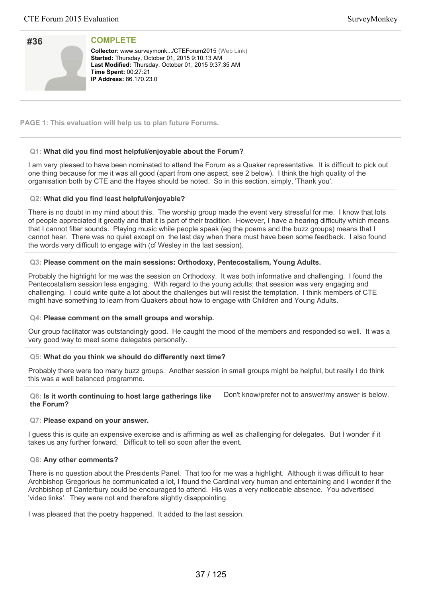| #36 |  |
|-----|--|
|     |  |
|     |  |
|     |  |

**Collector:** www.surveymonk.../CTEForum2015 (Web Link) Started: Thursday, October 01, 2015 9:10:13 AM Last Modified: Thursday, October 01, 2015 9:37:35 AM **Time Spent: 00:27:21 IP Address:** 86.170.23.0

**PAGE 1: This evaluation will help us to plan future Forums.**

# **Q1: What did you find most helpful/enjoyable about the Forum?**

I am very pleased to have been nominated to attend the Forum as a Quaker representative. It is difficult to pick out one thing because for me it was all good (apart from one aspect, see 2 below). I think the high quality of the organisation both by CTE and the Hayes should be noted. So in this section, simply, 'Thank you'.

# **Q2: What did you find least helpful/enjoyable?**

There is no doubt in my mind about this. The worship group made the event very stressful for me. I know that lots of people appreciated it greatly and that it is part of their tradition. However, I have a hearing difficulty which means that I cannot filter sounds. Playing music while people speak (eg the poems and the buzz groups) means that I cannot hear. There was no quiet except on the last day when there must have been some feedback. I also found the words very difficult to engage with (cf Wesley in the last session).

# **Q3: Please comment on the main sessions: Orthodoxy, Pentecostalism, Young Adults.**

Probably the highlight for me was the session on Orthodoxy. It was both informative and challenging. I found the Pentecostalism session less engaging. With regard to the young adults; that session was very engaging and challenging. I could write quite a lot about the challenges but will resist the temptation. I think members of CTE might have something to learn from Quakers about how to engage with Children and Young Adults.

## **Q4: Please comment on the small groups and worship.**

Our group facilitator was outstandingly good. He caught the mood of the members and responded so well. It was a very good way to meet some delegates personally.

# **Q5: What do you think we should do differently next time?**

Probably there were too many buzz groups. Another session in small groups might be helpful, but really I do think this was a well balanced programme.

**Q6: Is it worth continuing to host large gatherings like the Forum?** Don't know/prefer not to answer/my answer is below.

## **Q7: Please expand on your answer.**

I guess this is quite an expensive exercise and is affirming as well as challenging for delegates. But I wonder if it takes us any further forward. Difficult to tell so soon after the event.

## **Q8: Any other comments?**

There is no question about the Presidents Panel. That too for me was a highlight. Although it was difficult to hear Archbishop Gregorious he communicated a lot, I found the Cardinal very human and entertaining and I wonder if the Archbishop of Canterbury could be encouraged to attend. His was a very noticeable absence. You advertised 'video links'. They were not and therefore slightly disappointing.

I was pleased that the poetry happened. It added to the last session.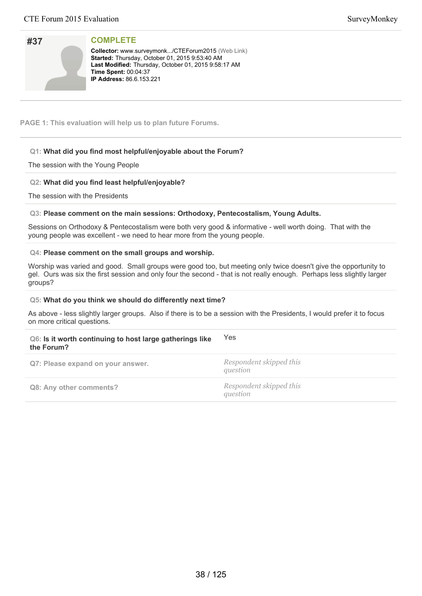| #37 |  |
|-----|--|
|     |  |
|     |  |
|     |  |

**Collector:** www.surveymonk.../CTEForum2015 (Web Link) **Started:** Thursday, October 01, 2015 9:53:40 AM Last Modified: Thursday, October 01, 2015 9:58:17 AM **Time Spent:** 00:04:37 **IP Address:** 86.6.153.221

**PAGE 1: This evaluation will help us to plan future Forums.**

# **Q1: What did you find most helpful/enjoyable about the Forum?**

# The session with the Young People

# **Q2: What did you find least helpful/enjoyable?**

The session with the Presidents

## **Q3: Please comment on the main sessions: Orthodoxy, Pentecostalism, Young Adults.**

Sessions on Orthodoxy & Pentecostalism were both very good & informative - well worth doing. That with the young people was excellent - we need to hear more from the young people.

## **Q4: Please comment on the small groups and worship.**

Worship was varied and good. Small groups were good too, but meeting only twice doesn't give the opportunity to gel. Ours was six the first session and only four the second - that is not really enough. Perhaps less slightly larger groups?

## **Q5: What do you think we should do differently next time?**

As above - less slightly larger groups. Also if there is to be a session with the Presidents, I would prefer it to focus on more critical questions.

| Q6: Is it worth continuing to host large gatherings like<br>the Forum? | Yes                                 |
|------------------------------------------------------------------------|-------------------------------------|
| Q7: Please expand on your answer.                                      | Respondent skipped this<br>question |
| Q8: Any other comments?                                                | Respondent skipped this<br>question |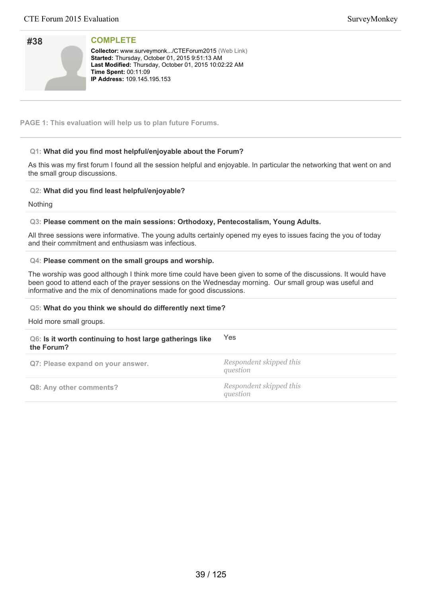| #38 |  |
|-----|--|
|     |  |
|     |  |
|     |  |

Collector: www.surveymonk.../CTEForum2015 (Web Link) **Started:** Thursday, October 01, 2015 9:51:13 AM Last Modified: Thursday, October 01, 2015 10:02:22 AM **Time Spent:** 00:11:09 **IP Address: 109.145.195.153** 

**PAGE 1: This evaluation will help us to plan future Forums.**

# **Q1: What did you find most helpful/enjoyable about the Forum?**

As this was my first forum I found all the session helpful and enjoyable. In particular the networking that went on and the small group discussions.

# **Q2: What did you find least helpful/enjoyable?**

Nothing

## **Q3: Please comment on the main sessions: Orthodoxy, Pentecostalism, Young Adults.**

All three sessions were informative. The young adults certainly opened my eyes to issues facing the you of today and their commitment and enthusiasm was infectious.

## **Q4: Please comment on the small groups and worship.**

The worship was good although I think more time could have been given to some of the discussions. It would have been good to attend each of the prayer sessions on the Wednesday morning. Our small group was useful and informative and the mix of denominations made for good discussions.

## **Q5: What do you think we should do differently next time?**

Hold more small groups.

| Q6: Is it worth continuing to host large gatherings like<br>the Forum? | Yes                                 |
|------------------------------------------------------------------------|-------------------------------------|
| Q7: Please expand on your answer.                                      | Respondent skipped this<br>question |
| Q8: Any other comments?                                                | Respondent skipped this<br>question |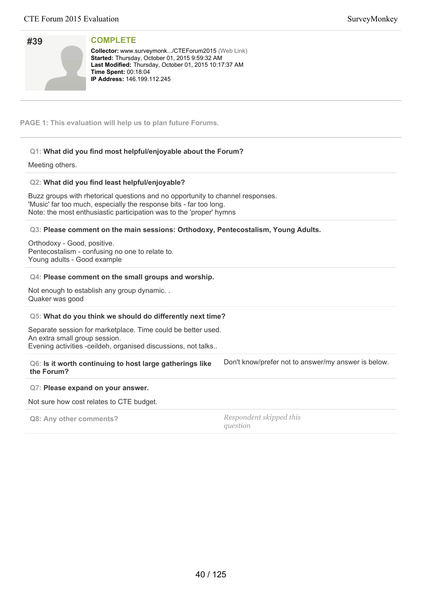| #39             | <b>COMPLETE</b>                                                                                                                                                            |
|-----------------|----------------------------------------------------------------------------------------------------------------------------------------------------------------------------|
|                 | <b>Collector: www.surveymonk/CTEForum2015 (Web Link)</b><br><b>Started:</b> Thursday, October 01, 2015 9:59:32 AM<br>Last Modified: Thursday, October 01, 2015 10:17:37 AM |
|                 | <b>Time Spent: 00:18:04</b><br><b>IP Address: 146.199.112.245</b>                                                                                                          |
|                 |                                                                                                                                                                            |
|                 |                                                                                                                                                                            |
|                 | <b>PAGE 1: This evaluation will help us to plan future Forums.</b>                                                                                                         |
|                 | Q1: What did you find most helpful/enjoyable about the Forum?                                                                                                              |
| Meeting others. |                                                                                                                                                                            |
|                 | Q2: What did you find least helpful/enjoyable?                                                                                                                             |
|                 | Buzz groups with rhetorical questions and no opportunity to channel responses.                                                                                             |
|                 | 'Music' far too much, especially the response bits - far too long.<br>Note: the most enthusiastic participation was to the 'proper' hymns                                  |

**Q3: Please comment on the main sessions: Orthodoxy, Pentecostalism, Young Adults.**

Orthodoxy - Good, positive. Pentecostalism - confusing no one to relate to. Young adults - Good example

### **Q4: Please comment on the small groups and worship.**

Not enough to establish any group dynamic. . Quaker was good

### **Q5: What do you think we should do differently next time?**

Separate session for marketplace. Time could be better used. An extra small group session. Evening activities -ceildeh, organised discussions, not talks..

| Q6: Is it worth continuing to host large gatherings like | Don't know/prefer not to answer/my answer is below. |
|----------------------------------------------------------|-----------------------------------------------------|
| the Forum?                                               |                                                     |

### **Q7: Please expand on your answer.**

Not sure how cost relates to CTE budget.

|  |  | Q8: Any other comments? |  |
|--|--|-------------------------|--|
|--|--|-------------------------|--|

**Q8: Any other comments?** *Respondent skipped this question*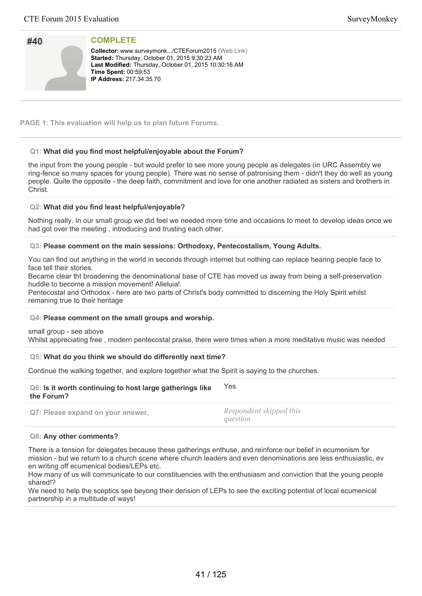| #40 |  |
|-----|--|
|     |  |
|     |  |
|     |  |
|     |  |

**Collector:** www.surveymonk.../CTEForum2015 (Web Link) Started: Thursday, October 01, 2015 9:30:23 AM Last Modified: Thursday, October 01, 2015 10:30:16 AM **Time Spent: 00:59:53 IP Address:** 217.34.35.70

**PAGE 1: This evaluation will help us to plan future Forums.**

# **Q1: What did you find most helpful/enjoyable about the Forum?**

the input from the young people - but would prefer to see more young people as delegates (in URC Assembly we ring-fence so many spaces for young people). There was no sense of patronising them - didn't they do well as young people. Quite the opposite - the deep faith, commitment and love for one another radiated as sisters and brothers in Christ.

## **Q2: What did you find least helpful/enjoyable?**

Nothing really. In our small group we did feel we needed more time and occasions to meet to develop ideas once we had got over the meeting , introducing and trusting each other.

# **Q3: Please comment on the main sessions: Orthodoxy, Pentecostalism, Young Adults.**

You can find out anything in the world in seconds through internet but nothing can replace hearing people face to face tell their stories.

Became clear tht broadening the denominational base of CTE has moved us away from being a self-preservation huddle to become a mission movement! Alleluia!

Pentecostal and Orthodox - here are two parts of Christ's body committed to discerning the Holy Spirit whilst remaning true to their heritage

## **Q4: Please comment on the small groups and worship.**

small group - see above

Whilst appreciating free , modern pentecostal praise, there were times when a more meditative music was needed

## **Q5: What do you think we should do differently next time?**

Continue the walking together, and explore together what the Spirit is saying to the churches.

| Q6: Is it worth continuing to host large gatherings like | Yes |
|----------------------------------------------------------|-----|
| the Forum?                                               |     |

**Q7: Please expand on your answer.** *Respondent skipped this question*

## **Q8: Any other comments?**

There is a tension for delegates because these gatherings enthuse, and reinforce our belief in ecumenism for mission - but we return to a church scene where church leaders and even denominations are less enthusiastic, ev en writing off ecumenical bodies/LEPs etc.

How many of us will communicate to our constituencies with the enthusiasm and conviction that the young people shared!?

We need to help the sceptics see beyong their derision of LEPs to see the exciting potential of local ecumenical partnership in a multitude of ways!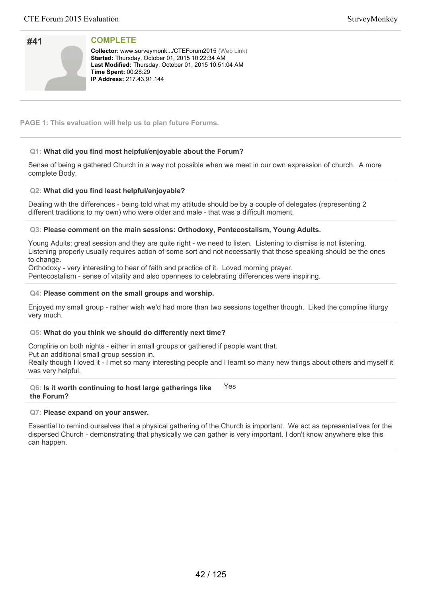| #41 |  |
|-----|--|
|     |  |
|     |  |
|     |  |

**Collector:** www.surveymonk.../CTEForum2015 (Web Link) **Started:** Thursday, October 01, 2015 10:22:34 AM Last Modified: Thursday, October 01, 2015 10:51:04 AM **Time Spent: 00:28:29 IP Address: 217.43.91.144** 

**PAGE 1: This evaluation will help us to plan future Forums.**

# **Q1: What did you find most helpful/enjoyable about the Forum?**

Sense of being a gathered Church in a way not possible when we meet in our own expression of church. A more complete Body.

# **Q2: What did you find least helpful/enjoyable?**

Dealing with the differences - being told what my attitude should be by a couple of delegates (representing 2 different traditions to my own) who were older and male - that was a difficult moment.

# **Q3: Please comment on the main sessions: Orthodoxy, Pentecostalism, Young Adults.**

Young Adults: great session and they are quite right - we need to listen. Listening to dismiss is not listening. Listening properly usually requires action of some sort and not necessarily that those speaking should be the ones to change.

Orthodoxy - very interesting to hear of faith and practice of it. Loved morning prayer. Pentecostalism - sense of vitality and also openness to celebrating differences were inspiring.

# **Q4: Please comment on the small groups and worship.**

Enjoyed my small group - rather wish we'd had more than two sessions together though. Liked the compline liturgy very much.

## **Q5: What do you think we should do differently next time?**

Compline on both nights - either in small groups or gathered if people want that.

Put an additional small group session in.

Really though I loved it - I met so many interesting people and I learnt so many new things about others and myself it was very helpful.

### **Q6: Is it worth continuing to host large gatherings like the Forum?** Yes

# **Q7: Please expand on your answer.**

Essential to remind ourselves that a physical gathering of the Church is important. We act as representatives for the dispersed Church - demonstrating that physically we can gather is very important. I don't know anywhere else this can happen.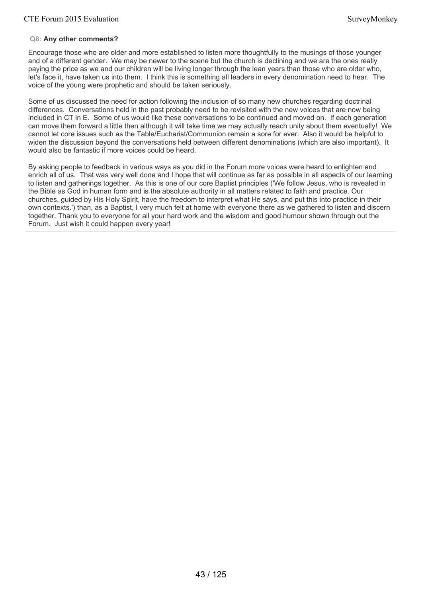# **Q8: Any other comments?**

Encourage those who are older and more established to listen more thoughtfully to the musings of those younger and of a different gender. We may be newer to the scene but the church is declining and we are the ones really paying the price as we and our children will be living longer through the lean years than those who are older who, let's face it, have taken us into them. I think this is something all leaders in every denomination need to hear. The voice of the young were prophetic and should be taken seriously.

Some of us discussed the need for action following the inclusion of so many new churches regarding doctrinal differences. Conversations held in the past probably need to be revisited with the new voices that are now being included in CT in E. Some of us would like these conversations to be continued and moved on. If each generation can move them forward a little then although it will take time we may actually reach unity about them eventually! We cannot let core issues such as the Table/Eucharist/Communion remain a sore for ever. Also it would be helpful to widen the discussion beyond the conversations held between different denominations (which are also important). It would also be fantastic if more voices could be heard.

By asking people to feedback in various ways as you did in the Forum more voices were heard to enlighten and enrich all of us. That was very well done and I hope that will continue as far as possible in all aspects of our learning to listen and gatherings together. As this is one of our core Baptist principles ('We follow Jesus, who is revealed in the Bible as God in human form and is the absolute authority in all matters related to faith and practice. Our churches, guided by His Holy Spirit, have the freedom to interpret what He says, and put this into practice in their own contexts.') than, as a Baptist, I very much felt at home with everyone there as we gathered to listen and discern together. Thank you to everyone for all your hard work and the wisdom and good humour shown through out the Forum. Just wish it could happen every year!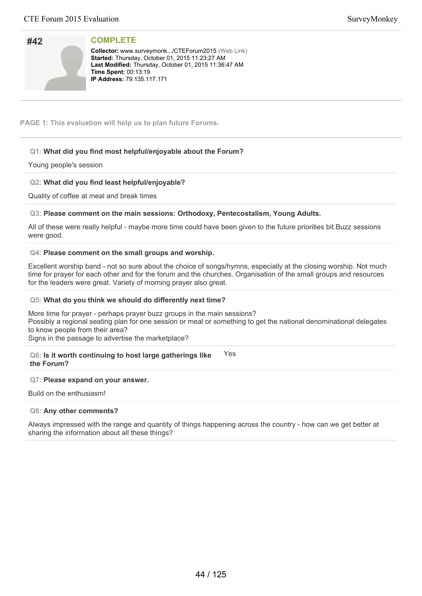| #42 |  |
|-----|--|
|     |  |
|     |  |
|     |  |

**Collector:** www.surveymonk.../CTEForum2015 (Web Link) **Started:** Thursday, October 01, 2015 11:23:27 AM Last Modified: Thursday, October 01, 2015 11:36:47 AM **Time Spent: 00:13:19 IP Address: 79.135.117.171** 

**PAGE 1: This evaluation will help us to plan future Forums.**

# **Q1: What did you find most helpful/enjoyable about the Forum?**

# Young people's session

# **Q2: What did you find least helpful/enjoyable?**

Quality of coffee at meal and break times

# **Q3: Please comment on the main sessions: Orthodoxy, Pentecostalism, Young Adults.**

All of these were really helpful - maybe more time could have been given to the future priorities bit.Buzz sessions were good.

# **Q4: Please comment on the small groups and worship.**

Excellent worship band - not so sure about the choice of songs/hymns, especially at the closing worship. Not much time for prayer for each other and for the forum and the churches. Organisation of the small groups and resources for the leaders were great. Variety of morning prayer also great.

## **Q5: What do you think we should do differently next time?**

More time for prayer - perhaps prayer buzz groups in the main sessions? Possibly a regional seating plan for one session or meal or something to get the national denominational delegates to know people from their area? Signs in the passage to advertise the marketplace?

### **Q6: Is it worth continuing to host large gatherings like the Forum?** Yes

# **Q7: Please expand on your answer.**

Build on the enthusiasm!

## **Q8: Any other comments?**

Always impressed with the range and quantity of things happening across the country - how can we get better at sharing the information about all these things?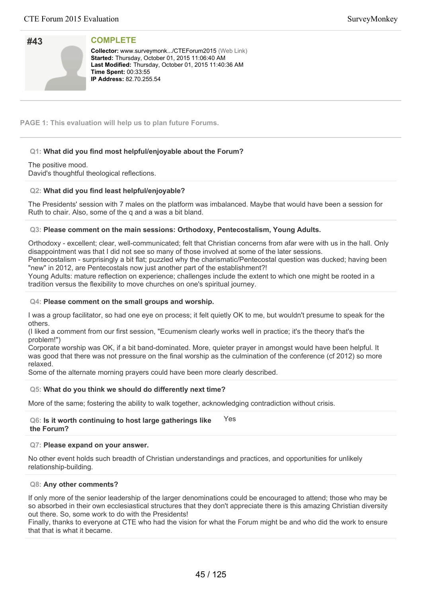| #43 |  |
|-----|--|
|     |  |
|     |  |
|     |  |

**Collector:** www.surveymonk.../CTEForum2015 (Web Link) Started: Thursday, October 01, 2015 11:06:40 AM Last Modified: Thursday, October 01, 2015 11:40:36 AM **Time Spent: 00:33:55 IP Address: 82.70.255.54** 

**PAGE 1: This evaluation will help us to plan future Forums.**

# **Q1: What did you find most helpful/enjoyable about the Forum?**

## The positive mood.

David's thoughtful theological reflections.

# **Q2: What did you find least helpful/enjoyable?**

The Presidents' session with 7 males on the platform was imbalanced. Maybe that would have been a session for Ruth to chair. Also, some of the q and a was a bit bland.

## **Q3: Please comment on the main sessions: Orthodoxy, Pentecostalism, Young Adults.**

Orthodoxy - excellent; clear, well-communicated; felt that Christian concerns from afar were with us in the hall. Only disappointment was that I did not see so many of those involved at some of the later sessions.

Pentecostalism - surprisingly a bit flat; puzzled why the charismatic/Pentecostal question was ducked; having been "new" in 2012, are Pentecostals now just another part of the establishment?!

Young Adults: mature reflection on experience; challenges include the extent to which one might be rooted in a tradition versus the flexibility to move churches on one's spiritual journey.

## **Q4: Please comment on the small groups and worship.**

I was a group facilitator, so had one eye on process; it felt quietly OK to me, but wouldn't presume to speak for the others.

(I liked a comment from our first session, "Ecumenism clearly works well in practice; it's the theory that's the problem!")

Corporate worship was OK, if a bit band-dominated. More, quieter prayer in amongst would have been helpful. It was good that there was not pressure on the final worship as the culmination of the conference (cf 2012) so more relaxed.

Some of the alternate morning prayers could have been more clearly described.

## **Q5: What do you think we should do differently next time?**

More of the same; fostering the ability to walk together, acknowledging contradiction without crisis.

### **Q6: Is it worth continuing to host large gatherings like the Forum?** Yes

## **Q7: Please expand on your answer.**

No other event holds such breadth of Christian understandings and practices, and opportunities for unlikely relationship-building.

## **Q8: Any other comments?**

If only more of the senior leadership of the larger denominations could be encouraged to attend; those who may be so absorbed in their own ecclesiastical structures that they don't appreciate there is this amazing Christian diversity out there. So, some work to do with the Presidents!

Finally, thanks to everyone at CTE who had the vision for what the Forum might be and who did the work to ensure that that is what it became.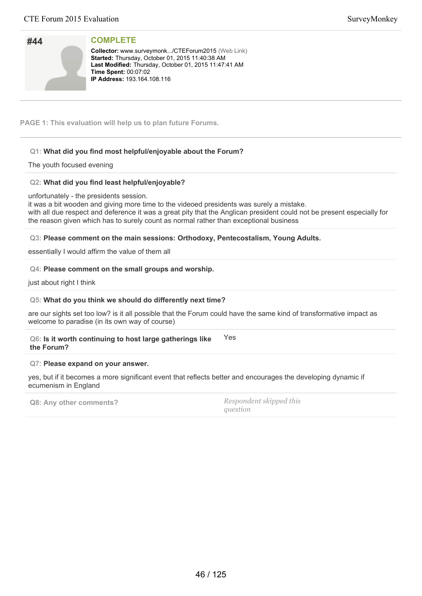| #44 |  |
|-----|--|
|     |  |
|     |  |
|     |  |

**Collector:** www.surveymonk.../CTEForum2015 (Web Link) **Started:** Thursday, October 01, 2015 11:40:38 AM Last Modified: Thursday, October 01, 2015 11:47:41 AM **Time Spent: 00:07:02 IP Address: 193.164.108.116** 

**PAGE 1: This evaluation will help us to plan future Forums.**

# **Q1: What did you find most helpful/enjoyable about the Forum?**

# The youth focused evening

# **Q2: What did you find least helpful/enjoyable?**

unfortunately - the presidents session.

it was a bit wooden and giving more time to the videoed presidents was surely a mistake. with all due respect and deference it was a great pity that the Anglican president could not be present especially for the reason given which has to surely count as normal rather than exceptional business

# **Q3: Please comment on the main sessions: Orthodoxy, Pentecostalism, Young Adults.**

essentially I would affirm the value of them all

## **Q4: Please comment on the small groups and worship.**

just about right I think

## **Q5: What do you think we should do differently next time?**

are our sights set too low? is it all possible that the Forum could have the same kind of transformative impact as welcome to paradise (in its own way of course)

### **Q6: Is it worth continuing to host large gatherings like the Forum?** Yes

## **Q7: Please expand on your answer.**

yes, but if it becomes a more significant event that reflects better and encourages the developing dynamic if ecumenism in England

**Q8: Any other comments?** *Respondent skipped this question*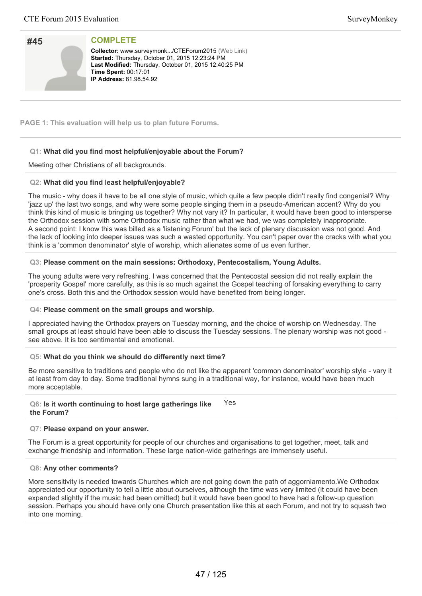| #45 |  |
|-----|--|
|     |  |
|     |  |
|     |  |

**Collector:** www.surveymonk.../CTEForum2015 (Web Link) **Started:** Thursday, October 01, 2015 12:23:24 PM Last Modified: Thursday, October 01, 2015 12:40:25 PM **Time Spent: 00:17:01 IP Address:** 81.98.54.92

**PAGE 1: This evaluation will help us to plan future Forums.**

# **Q1: What did you find most helpful/enjoyable about the Forum?**

Meeting other Christians of all backgrounds.

# **Q2: What did you find least helpful/enjoyable?**

The music - why does it have to be all one style of music, which quite a few people didn't really find congenial? Why 'jazz up' the last two songs, and why were some people singing them in a pseudo-American accent? Why do you think this kind of music is bringing us together? Why not vary it? In particular, it would have been good to intersperse the Orthodox session with some Orthodox music rather than what we had, we was completely inappropriate. A second point: I know this was billed as a 'listening Forum' but the lack of plenary discussion was not good. And the lack of looking into deeper issues was such a wasted opportunity. You can't paper over the cracks with what you think is a 'common denominator' style of worship, which alienates some of us even further.

# **Q3: Please comment on the main sessions: Orthodoxy, Pentecostalism, Young Adults.**

The young adults were very refreshing. I was concerned that the Pentecostal session did not really explain the 'prosperity Gospel' more carefully, as this is so much against the Gospel teaching of forsaking everything to carry one's cross. Both this and the Orthodox session would have benefited from being longer.

## **Q4: Please comment on the small groups and worship.**

I appreciated having the Orthodox prayers on Tuesday morning, and the choice of worship on Wednesday. The small groups at least should have been able to discuss the Tuesday sessions. The plenary worship was not good see above. It is too sentimental and emotional.

# **Q5: What do you think we should do differently next time?**

Be more sensitive to traditions and people who do not like the apparent 'common denominator' worship style - vary it at least from day to day. Some traditional hymns sung in a traditional way, for instance, would have been much more acceptable.

**Q6: Is it worth continuing to host large gatherings like the Forum?** Yes

## **Q7: Please expand on your answer.**

The Forum is a great opportunity for people of our churches and organisations to get together, meet, talk and exchange friendship and information. These large nation-wide gatherings are immensely useful.

## **Q8: Any other comments?**

More sensitivity is needed towards Churches which are not going down the path of aggorniamento.We Orthodox appreciated our opportunity to tell a little about ourselves, although the time was very limited (it could have been expanded slightly if the music had been omitted) but it would have been good to have had a follow-up question session. Perhaps you should have only one Church presentation like this at each Forum, and not try to squash two into one morning.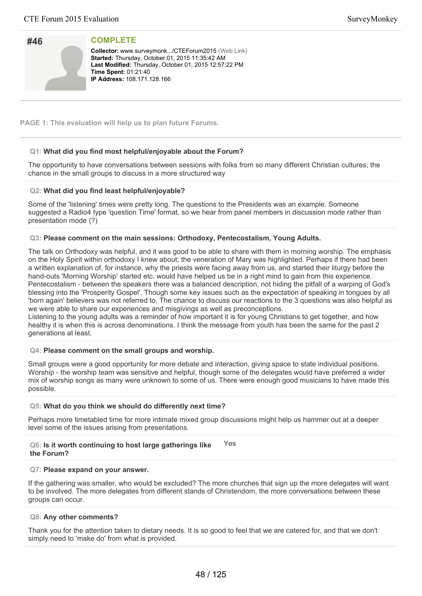| #46 |  |
|-----|--|
|     |  |
|     |  |
|     |  |

**Collector:** www.surveymonk.../CTEForum2015 (Web Link) Started: Thursday, October 01, 2015 11:35:42 AM Last Modified: Thursday, October 01, 2015 12:57:22 PM **Time Spent: 01:21:40 IP Address: 108.171.128.166** 

**PAGE 1: This evaluation will help us to plan future Forums.**

# **Q1: What did you find most helpful/enjoyable about the Forum?**

The opportunity to have conversations between sessions with folks from so many different Christian cultures; the chance in the small groups to discuss in a more structured way

# **Q2: What did you find least helpful/enjoyable?**

Some of the 'listening' times were pretty long. The questions to the Presidents was an example. Someone suggested a Radio4 type 'question Time' format, so we hear from panel members in discussion mode rather than presentation mode (?)

# **Q3: Please comment on the main sessions: Orthodoxy, Pentecostalism, Young Adults.**

The talk on Orthodoxy was helpful, and it was good to be able to share with them in morning worship. The emphasis on the Holy Spirit within orthodoxy I knew about; the veneration of Mary was highlighted. Perhaps if there had been a written explanation of, for instance, why the priests were facing away from us, and started their liturgy before the hand-outs 'Morning Worship' started etc. would have helped us be in a right mind to gain from this experience. Pentecostalism - between the speakers there was a balanced description, not hiding the pitfall of a warping of God's blessing into the 'Prosperity Gospel'. Though some key issues such as the expectation of speaking in tongues by all 'born again' believers was not referred to. The chance to discuss our reactions to the 3 questions was also helpful as we were able to share our experiences and misgivings as well as preconceptions.

Listening to the young adults was a reminder of how important it is for young Christians to get together, and how healthy it is when this is across denominations. I think the message from youth has been the same for the past 2 generations at least.

## **Q4: Please comment on the small groups and worship.**

Small groups were a good opportunity for more debate and interaction, giving space to state individual positions. Worship - the worship team was sensitive and helpful, though some of the delegates would have preferred a wider mix of worship songs as many were unknown to some of us. There were enough good musicians to have made this possible.

## **Q5: What do you think we should do differently next time?**

Perhaps more timetabled time for more intimate mixed group discussions might help us hammer out at a deeper level some of the issues arising from presentations.

### **Q6: Is it worth continuing to host large gatherings like the Forum?** Yes

# **Q7: Please expand on your answer.**

If the gathering was smaller, who would be excluded? The more churches that sign up the more delegates will want to be involved. The more delegates from different stands of Christendom, the more conversations between these groups can occur.

## **Q8: Any other comments?**

Thank you for the attention taken to dietary needs. It is so good to feel that we are catered for, and that we don't simply need to 'make do' from what is provided.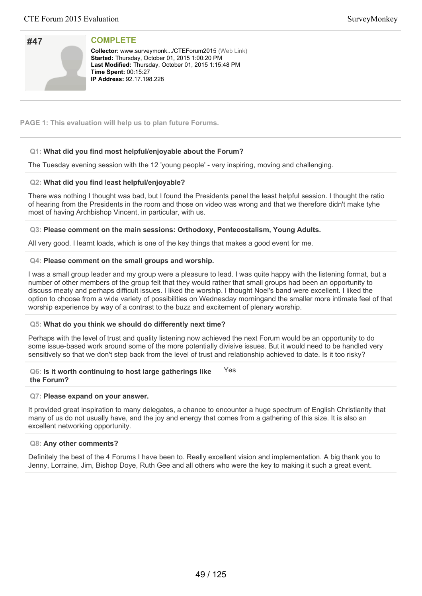| #47 |  |
|-----|--|
|     |  |
|     |  |
|     |  |

**Collector:** www.surveymonk.../CTEForum2015 (Web Link) Started: Thursday, October 01, 2015 1:00:20 PM Last Modified: Thursday, October 01, 2015 1:15:48 PM **Time Spent: 00:15:27 IP Address: 92.17.198.228** 

**PAGE 1: This evaluation will help us to plan future Forums.**

# **Q1: What did you find most helpful/enjoyable about the Forum?**

The Tuesday evening session with the 12 'young people' - very inspiring, moving and challenging.

# **Q2: What did you find least helpful/enjoyable?**

There was nothing I thought was bad, but I found the Presidents panel the least helpful session. I thought the ratio of hearing from the Presidents in the room and those on video was wrong and that we therefore didn't make tyhe most of having Archbishop Vincent, in particular, with us.

# **Q3: Please comment on the main sessions: Orthodoxy, Pentecostalism, Young Adults.**

All very good. I learnt loads, which is one of the key things that makes a good event for me.

# **Q4: Please comment on the small groups and worship.**

I was a small group leader and my group were a pleasure to lead. I was quite happy with the listening format, but a number of other members of the group felt that they would rather that small groups had been an opportunity to discuss meaty and perhaps difficult issues. I liked the worship. I thought Noel's band were excellent. I liked the option to choose from a wide variety of possibilities on Wednesday morningand the smaller more intimate feel of that worship experience by way of a contrast to the buzz and excitement of plenary worship.

# **Q5: What do you think we should do differently next time?**

Perhaps with the level of trust and quality listening now achieved the next Forum would be an opportunity to do some issue-based work around some of the more potentially divisive issues. But it would need to be handled very sensitively so that we don't step back from the level of trust and relationship achieved to date. Is it too risky?

### **Q6: Is it worth continuing to host large gatherings like the Forum?** Yes

## **Q7: Please expand on your answer.**

It provided great inspiration to many delegates, a chance to encounter a huge spectrum of English Christianity that many of us do not usually have, and the joy and energy that comes from a gathering of this size. It is also an excellent networking opportunity.

## **Q8: Any other comments?**

Definitely the best of the 4 Forums I have been to. Really excellent vision and implementation. A big thank you to Jenny, Lorraine, Jim, Bishop Doye, Ruth Gee and all others who were the key to making it such a great event.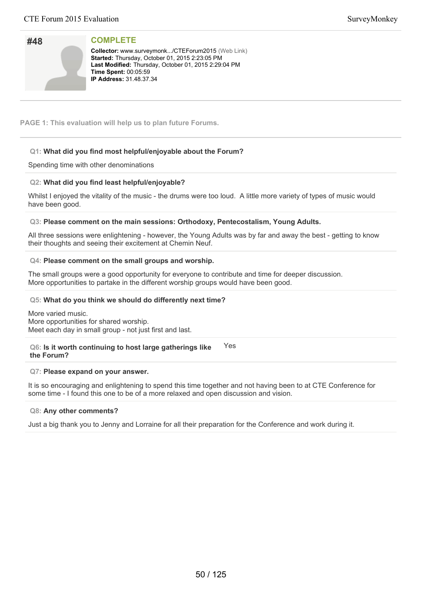| SurveyMonkey |
|--------------|
|--------------|

| #48 |  |
|-----|--|
|     |  |
|     |  |
|     |  |
|     |  |
|     |  |
|     |  |

Collector: www.surveymonk.../CTEForum2015 (Web Link) **Started:** Thursday, October 01, 2015 2:23:05 PM Last Modified: Thursday, October 01, 2015 2:29:04 PM **Time Spent: 00:05:59 IP Address: 31.48.37.34** 

**PAGE 1: This evaluation will help us to plan future Forums.**

# **Q1: What did you find most helpful/enjoyable about the Forum?**

Spending time with other denominations

# **Q2: What did you find least helpful/enjoyable?**

Whilst I enjoyed the vitality of the music - the drums were too loud. A little more variety of types of music would have been good.

# **Q3: Please comment on the main sessions: Orthodoxy, Pentecostalism, Young Adults.**

All three sessions were enlightening - however, the Young Adults was by far and away the best - getting to know their thoughts and seeing their excitement at Chemin Neuf.

# **Q4: Please comment on the small groups and worship.**

The small groups were a good opportunity for everyone to contribute and time for deeper discussion. More opportunities to partake in the different worship groups would have been good.

# **Q5: What do you think we should do differently next time?**

More varied music. More opportunities for shared worship. Meet each day in small group - not just first and last.

**Q6: Is it worth continuing to host large gatherings like the Forum?** Yes

## **Q7: Please expand on your answer.**

It is so encouraging and enlightening to spend this time together and not having been to at CTE Conference for some time - I found this one to be of a more relaxed and open discussion and vision.

# **Q8: Any other comments?**

Just a big thank you to Jenny and Lorraine for all their preparation for the Conference and work during it.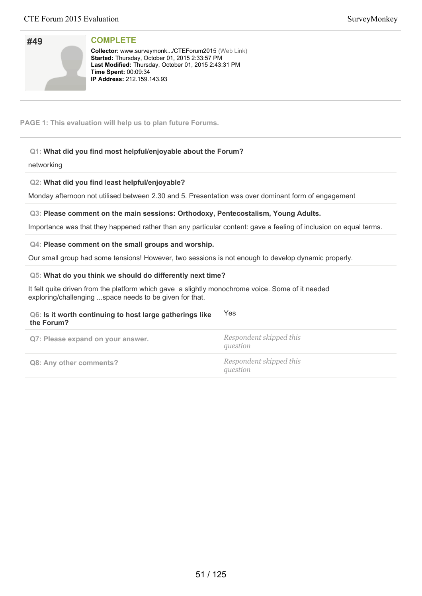| #49 |  |
|-----|--|
|     |  |
|     |  |
|     |  |

**Collector:** www.surveymonk.../CTEForum2015 (Web Link) **Started:** Thursday, October 01, 2015 2:33:57 PM Last Modified: Thursday, October 01, 2015 2:43:31 PM **Time Spent:** 00:09:34 **IP Address:** 212.159.143.93

**PAGE 1: This evaluation will help us to plan future Forums.**

# **Q1: What did you find most helpful/enjoyable about the Forum?**

networking

# **Q2: What did you find least helpful/enjoyable?**

Monday afternoon not utilised between 2.30 and 5. Presentation was over dominant form of engagement

# **Q3: Please comment on the main sessions: Orthodoxy, Pentecostalism, Young Adults.**

Importance was that they happened rather than any particular content: gave a feeling of inclusion on equal terms.

# **Q4: Please comment on the small groups and worship.**

Our small group had some tensions! However, two sessions is not enough to develop dynamic properly.

# **Q5: What do you think we should do differently next time?**

It felt quite driven from the platform which gave a slightly monochrome voice. Some of it needed exploring/challenging ...space needs to be given for that.

| Q6: Is it worth continuing to host large gatherings like<br>the Forum? | <b>Yes</b>                          |
|------------------------------------------------------------------------|-------------------------------------|
| Q7: Please expand on your answer.                                      | Respondent skipped this<br>question |
| Q8: Any other comments?                                                | Respondent skipped this<br>question |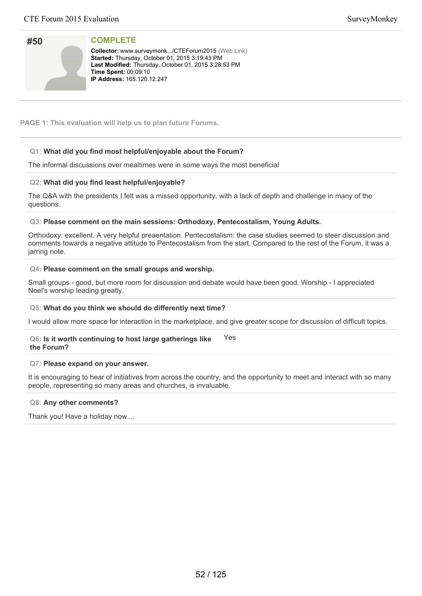| #50 |  |
|-----|--|
|     |  |
|     |  |
|     |  |

**Collector:** www.surveymonk.../CTEForum2015 (Web Link) **Started:** Thursday, October 01, 2015 3:19:43 PM Last Modified: Thursday, October 01, 2015 3:28:53 PM **Time Spent: 00:09:10 IP Address: 165.120.12.247** 

**PAGE 1: This evaluation will help us to plan future Forums.**

# **Q1: What did you find most helpful/enjoyable about the Forum?**

The informal discussions over mealtimes were in some ways the most beneficial

# **Q2: What did you find least helpful/enjoyable?**

The Q&A with the presidents I felt was a missed opportunity, with a lack of depth and challenge in many of the questions.

# **Q3: Please comment on the main sessions: Orthodoxy, Pentecostalism, Young Adults.**

Orthodoxy: excellent. A very helpful preaentation. Pentecostalism: the case studies seemed to steer discussion and comments towards a negative attitude to Pentecostalism from the start. Compared to the rest of the Forum, it was a jarring note.

# **Q4: Please comment on the small groups and worship.**

Small groups - good, but more room for discussion and debate would have been good. Worship - I appreciated Noel's worship leading greatly.

## **Q5: What do you think we should do differently next time?**

I would allow more space for interaction in the marketplace, and give greater scope for discussion of difficult topics.

### **Q6: Is it worth continuing to host large gatherings like the Forum?** Yes

# **Q7: Please expand on your answer.**

It is encouraging to hear of initiatives from across the country, and the opportunity to meet and interact with so many people, representing so many areas and churches, is invaluable.

## **Q8: Any other comments?**

Thank you! Have a holiday now....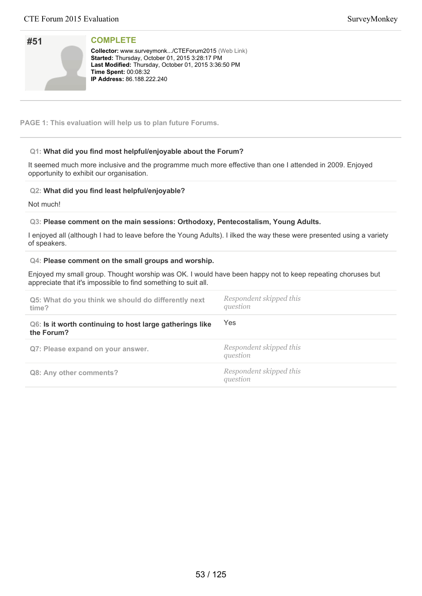| #51 |  |
|-----|--|
|     |  |
|     |  |
|     |  |

**Collector:** www.surveymonk.../CTEForum2015 (Web Link) **Started:** Thursday, October 01, 2015 3:28:17 PM Last Modified: Thursday, October 01, 2015 3:36:50 PM **Time Spent:** 00:08:32 **IP Address: 86.188.222.240** 

**PAGE 1: This evaluation will help us to plan future Forums.**

# **Q1: What did you find most helpful/enjoyable about the Forum?**

It seemed much more inclusive and the programme much more effective than one I attended in 2009. Enjoyed opportunity to exhibit our organisation.

# **Q2: What did you find least helpful/enjoyable?**

Not much!

# **Q3: Please comment on the main sessions: Orthodoxy, Pentecostalism, Young Adults.**

I enjoyed all (although I had to leave before the Young Adults). I ilked the way these were presented using a variety of speakers.

## **Q4: Please comment on the small groups and worship.**

Enjoyed my small group. Thought worship was OK. I would have been happy not to keep repeating choruses but appreciate that it's impossible to find something to suit all.

| Q5: What do you think we should do differently next<br>time?           | Respondent skipped this<br>question |
|------------------------------------------------------------------------|-------------------------------------|
| Q6: Is it worth continuing to host large gatherings like<br>the Forum? | Yes                                 |
| Q7: Please expand on your answer.                                      | Respondent skipped this<br>question |
| Q8: Any other comments?                                                | Respondent skipped this<br>question |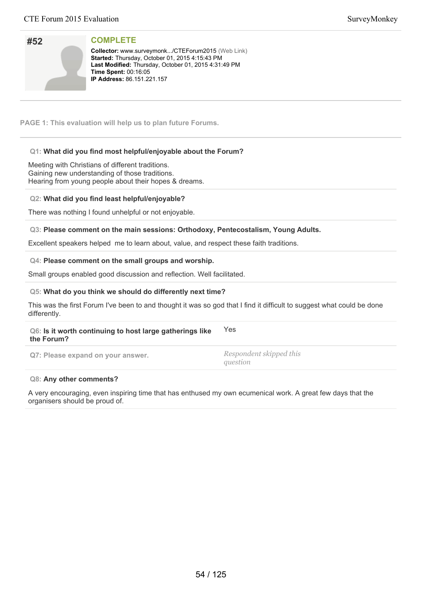| #52 |  |
|-----|--|
|     |  |
|     |  |
|     |  |

**Collector:** www.surveymonk.../CTEForum2015 (Web Link) **Started:** Thursday, October 01, 2015 4:15:43 PM Last Modified: Thursday, October 01, 2015 4:31:49 PM **Time Spent: 00:16:05 IP Address: 86.151.221.157** 

**PAGE 1: This evaluation will help us to plan future Forums.**

# **Q1: What did you find most helpful/enjoyable about the Forum?**

Meeting with Christians of different traditions. Gaining new understanding of those traditions. Hearing from young people about their hopes & dreams.

# **Q2: What did you find least helpful/enjoyable?**

There was nothing I found unhelpful or not enjoyable.

# **Q3: Please comment on the main sessions: Orthodoxy, Pentecostalism, Young Adults.**

Excellent speakers helped me to learn about, value, and respect these faith traditions.

## **Q4: Please comment on the small groups and worship.**

Small groups enabled good discussion and reflection. Well facilitated.

## **Q5: What do you think we should do differently next time?**

This was the first Forum I've been to and thought it was so god that I find it difficult to suggest what could be done differently.

### **Q6: Is it worth continuing to host large gatherings like the Forum?** Yes

**Q7: Please expand on your answer.** *Respondent skipped this*

*question*

## **Q8: Any other comments?**

A very encouraging, even inspiring time that has enthused my own ecumenical work. A great few days that the organisers should be proud of.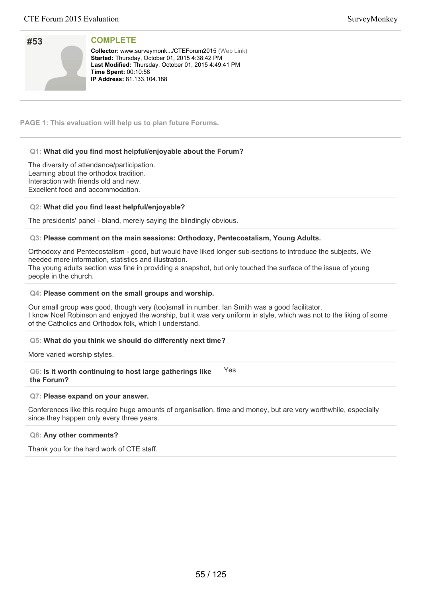| #53 |  |
|-----|--|
|     |  |
|     |  |
|     |  |

**Collector:** www.surveymonk.../CTEForum2015 (Web Link) Started: Thursday, October 01, 2015 4:38:42 PM Last Modified: Thursday, October 01, 2015 4:49:41 PM **Time Spent: 00:10:58 IP Address:** 81.133.104.188

**PAGE 1: This evaluation will help us to plan future Forums.**

# **Q1: What did you find most helpful/enjoyable about the Forum?**

The diversity of attendance/participation. Learning about the orthodox tradition. Interaction with friends old and new. Excellent food and accommodation.

# **Q2: What did you find least helpful/enjoyable?**

The presidents' panel - bland, merely saying the blindingly obvious.

# **Q3: Please comment on the main sessions: Orthodoxy, Pentecostalism, Young Adults.**

Orthodoxy and Pentecostalism - good, but would have liked longer sub-sections to introduce the subjects. We needed more information, statistics and illustration.

The young adults section was fine in providing a snapshot, but only touched the surface of the issue of young people in the church.

# **Q4: Please comment on the small groups and worship.**

Our small group was good, though very (too)small in number. Ian Smith was a good facilitator. I know Noel Robinson and enjoyed the worship, but it was very uniform in style, which was not to the liking of some of the Catholics and Orthodox folk, which I understand.

# **Q5: What do you think we should do differently next time?**

More varied worship styles.

**Q6: Is it worth continuing to host large gatherings like the Forum?** Yes

## **Q7: Please expand on your answer.**

Conferences like this require huge amounts of organisation, time and money, but are very worthwhile, especially since they happen only every three years.

## **Q8: Any other comments?**

Thank you for the hard work of CTE staff.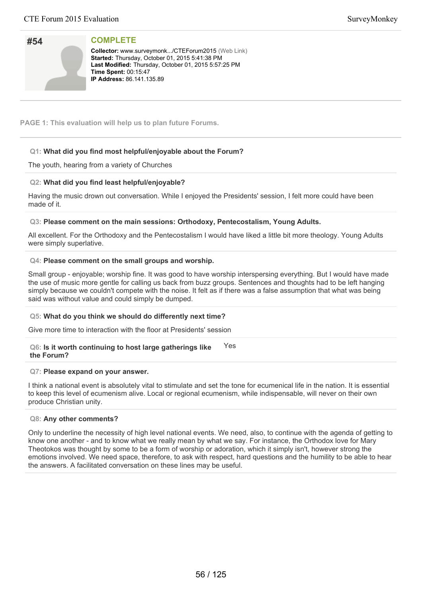| #54 |  |
|-----|--|
|     |  |
|     |  |
|     |  |

**Collector:** www.surveymonk.../CTEForum2015 (Web Link) Started: Thursday, October 01, 2015 5:41:38 PM Last Modified: Thursday, October 01, 2015 5:57:25 PM **Time Spent: 00:15:47 IP Address:** 86.141.135.89

**PAGE 1: This evaluation will help us to plan future Forums.**

# **Q1: What did you find most helpful/enjoyable about the Forum?**

The youth, hearing from a variety of Churches

# **Q2: What did you find least helpful/enjoyable?**

Having the music drown out conversation. While I enjoyed the Presidents' session, I felt more could have been made of it.

# **Q3: Please comment on the main sessions: Orthodoxy, Pentecostalism, Young Adults.**

All excellent. For the Orthodoxy and the Pentecostalism I would have liked a little bit more theology. Young Adults were simply superlative.

# **Q4: Please comment on the small groups and worship.**

Small group - enjoyable; worship fine. It was good to have worship interspersing everything. But I would have made the use of music more gentle for calling us back from buzz groups. Sentences and thoughts had to be left hanging simply because we couldn't compete with the noise. It felt as if there was a false assumption that what was being said was without value and could simply be dumped.

# **Q5: What do you think we should do differently next time?**

Give more time to interaction with the floor at Presidents' session

#### **Q6: Is it worth continuing to host large gatherings like the Forum?** Yes

## **Q7: Please expand on your answer.**

I think a national event is absolutely vital to stimulate and set the tone for ecumenical life in the nation. It is essential to keep this level of ecumenism alive. Local or regional ecumenism, while indispensable, will never on their own produce Christian unity.

## **Q8: Any other comments?**

Only to underline the necessity of high level national events. We need, also, to continue with the agenda of getting to know one another - and to know what we really mean by what we say. For instance, the Orthodox love for Mary Theotokos was thought by some to be a form of worship or adoration, which it simply isn't, however strong the emotions involved. We need space, therefore, to ask with respect, hard questions and the humility to be able to hear the answers. A facilitated conversation on these lines may be useful.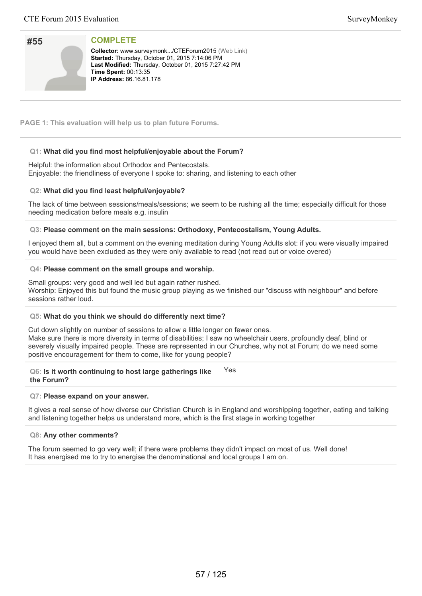| #55 |  |
|-----|--|
|     |  |
|     |  |
|     |  |

**Collector:** www.surveymonk.../CTEForum2015 (Web Link) Started: Thursday, October 01, 2015 7:14:06 PM Last Modified: Thursday, October 01, 2015 7:27:42 PM **Time Spent: 00:13:35 IP Address:** 86.16.81.178

**PAGE 1: This evaluation will help us to plan future Forums.**

# **Q1: What did you find most helpful/enjoyable about the Forum?**

# Helpful: the information about Orthodox and Pentecostals.

Enjoyable: the friendliness of everyone I spoke to: sharing, and listening to each other

# **Q2: What did you find least helpful/enjoyable?**

The lack of time between sessions/meals/sessions; we seem to be rushing all the time; especially difficult for those needing medication before meals e.g. insulin

# **Q3: Please comment on the main sessions: Orthodoxy, Pentecostalism, Young Adults.**

I enjoyed them all, but a comment on the evening meditation during Young Adults slot: if you were visually impaired you would have been excluded as they were only available to read (not read out or voice overed)

# **Q4: Please comment on the small groups and worship.**

Small groups: very good and well led but again rather rushed. Worship: Enjoyed this but found the music group playing as we finished our "discuss with neighbour" and before sessions rather loud.

# **Q5: What do you think we should do differently next time?**

Cut down slightly on number of sessions to allow a little longer on fewer ones. Make sure there is more diversity in terms of disabilities; I saw no wheelchair users, profoundly deaf, blind or severely visually impaired people. These are represented in our Churches, why not at Forum; do we need some positive encouragement for them to come, like for young people?

### **Q6: Is it worth continuing to host large gatherings like the Forum?** Yes

## **Q7: Please expand on your answer.**

It gives a real sense of how diverse our Christian Church is in England and worshipping together, eating and talking and listening together helps us understand more, which is the first stage in working together

## **Q8: Any other comments?**

The forum seemed to go very well; if there were problems they didn't impact on most of us. Well done! It has energised me to try to energise the denominational and local groups I am on.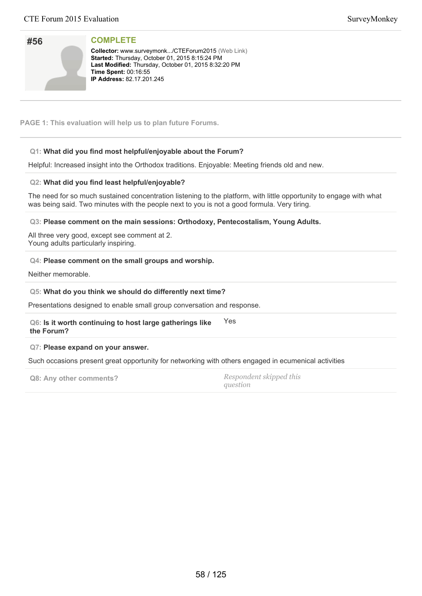| #56 |  |
|-----|--|
|     |  |
|     |  |
|     |  |
|     |  |

**Collector:** www.surveymonk.../CTEForum2015 (Web Link) **Started:** Thursday, October 01, 2015 8:15:24 PM Last Modified: Thursday, October 01, 2015 8:32:20 PM **Time Spent: 00:16:55 IP Address:** 82.17.201.245

**PAGE 1: This evaluation will help us to plan future Forums.**

# **Q1: What did you find most helpful/enjoyable about the Forum?**

Helpful: Increased insight into the Orthodox traditions. Enjoyable: Meeting friends old and new.

# **Q2: What did you find least helpful/enjoyable?**

The need for so much sustained concentration listening to the platform, with little opportunity to engage with what was being said. Two minutes with the people next to you is not a good formula. Very tiring.

**Q3: Please comment on the main sessions: Orthodoxy, Pentecostalism, Young Adults.**

All three very good, except see comment at 2. Young adults particularly inspiring.

# **Q4: Please comment on the small groups and worship.**

Neither memorable.

# **Q5: What do you think we should do differently next time?**

Presentations designed to enable small group conversation and response.

**Q6: Is it worth continuing to host large gatherings like the Forum?** Yes

# **Q7: Please expand on your answer.**

Such occasions present great opportunity for networking with others engaged in ecumenical activities

**Q8: Any other comments?** *Respondent skipped this*

*question*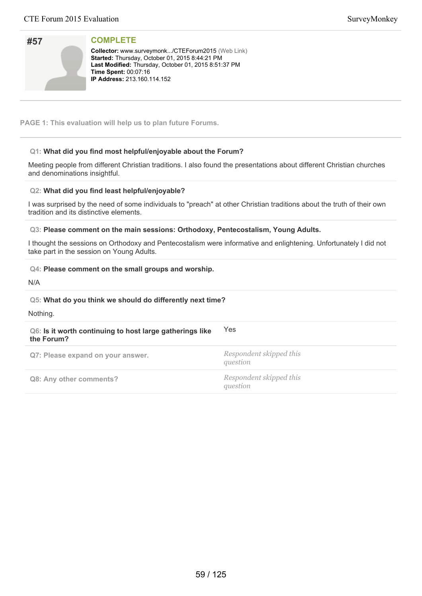| #57 |  |
|-----|--|
|     |  |
|     |  |
|     |  |

**Collector:** www.surveymonk.../CTEForum2015 (Web Link) **Started:** Thursday, October 01, 2015 8:44:21 PM Last Modified: Thursday, October 01, 2015 8:51:37 PM **Time Spent:** 00:07:16 **IP Address:** 213.160.114.152

**PAGE 1: This evaluation will help us to plan future Forums.**

# **Q1: What did you find most helpful/enjoyable about the Forum?**

Meeting people from different Christian traditions. I also found the presentations about different Christian churches and denominations insightful.

# **Q2: What did you find least helpful/enjoyable?**

I was surprised by the need of some individuals to "preach" at other Christian traditions about the truth of their own tradition and its distinctive elements.

**Q3: Please comment on the main sessions: Orthodoxy, Pentecostalism, Young Adults.**

I thought the sessions on Orthodoxy and Pentecostalism were informative and enlightening. Unfortunately I did not take part in the session on Young Adults.

# **Q4: Please comment on the small groups and worship.**

N/A

# **Q5: What do you think we should do differently next time?**

Nothing.

| Q6: Is it worth continuing to host large gatherings like<br>the Forum? | <b>Yes</b>                          |
|------------------------------------------------------------------------|-------------------------------------|
| Q7: Please expand on your answer.                                      | Respondent skipped this<br>question |
| Q8: Any other comments?                                                | Respondent skipped this<br>question |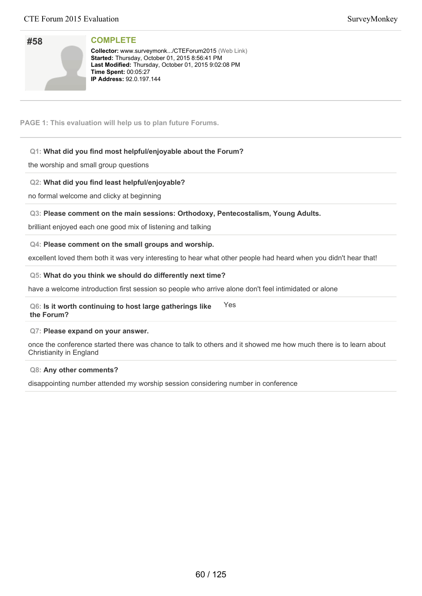| SurveyMonkey |
|--------------|
|--------------|

# **#58**

**Collector:** www.surveymonk.../CTEForum2015 (Web Link) **Started:** Thursday, October 01, 2015 8:56:41 PM Last Modified: Thursday, October 01, 2015 9:02:08 PM **Time Spent:** 00:05:27 **IP Address: 92.0.197.144** 

**PAGE 1: This evaluation will help us to plan future Forums.**

**COMPLETE**

# **Q1: What did you find most helpful/enjoyable about the Forum?**

the worship and small group questions

# **Q2: What did you find least helpful/enjoyable?**

no formal welcome and clicky at beginning

# **Q3: Please comment on the main sessions: Orthodoxy, Pentecostalism, Young Adults.**

brilliant enjoyed each one good mix of listening and talking

## **Q4: Please comment on the small groups and worship.**

excellent loved them both it was very interesting to hear what other people had heard when you didn't hear that!

## **Q5: What do you think we should do differently next time?**

have a welcome introduction first session so people who arrive alone don't feel intimidated or alone

### **Q6: Is it worth continuing to host large gatherings like the Forum?** Yes

## **Q7: Please expand on your answer.**

once the conference started there was chance to talk to others and it showed me how much there is to learn about Christianity in England

## **Q8: Any other comments?**

disappointing number attended my worship session considering number in conference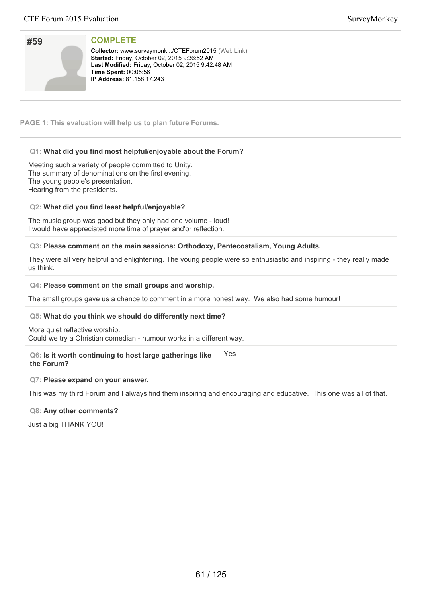| #59 |  |
|-----|--|
|     |  |
|     |  |
|     |  |
|     |  |

Collector: www.surveymonk.../CTEForum2015 (Web Link) **Started: Friday, October 02, 2015 9:36:52 AM** Last Modified: Friday, October 02, 2015 9:42:48 AM **Time Spent: 00:05:56 IP Address:** 81.158.17.243

**PAGE 1: This evaluation will help us to plan future Forums.**

# **Q1: What did you find most helpful/enjoyable about the Forum?**

Meeting such a variety of people committed to Unity. The summary of denominations on the first evening. The young people's presentation. Hearing from the presidents.

# **Q2: What did you find least helpful/enjoyable?**

The music group was good but they only had one volume - loud! I would have appreciated more time of prayer and'or reflection.

# **Q3: Please comment on the main sessions: Orthodoxy, Pentecostalism, Young Adults.**

They were all very helpful and enlightening. The young people were so enthusiastic and inspiring - they really made us think.

## **Q4: Please comment on the small groups and worship.**

The small groups gave us a chance to comment in a more honest way. We also had some humour!

## **Q5: What do you think we should do differently next time?**

More quiet reflective worship. Could we try a Christian comedian - humour works in a different way.

### **Q6: Is it worth continuing to host large gatherings like the Forum?** Yes

## **Q7: Please expand on your answer.**

This was my third Forum and I always find them inspiring and encouraging and educative. This one was all of that.

## **Q8: Any other comments?**

Just a big THANK YOU!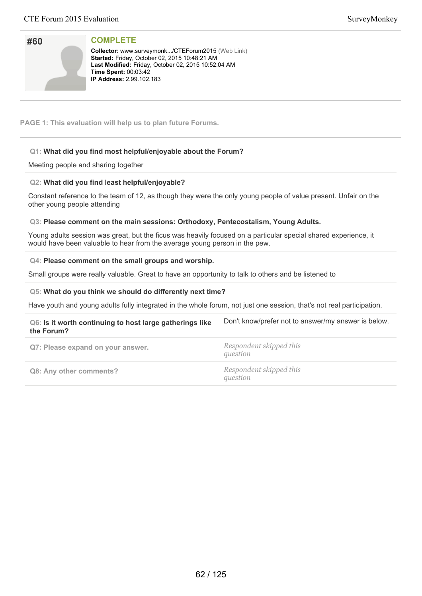| #60 |  |
|-----|--|
|     |  |
|     |  |
|     |  |

**Collector:** www.surveymonk.../CTEForum2015 (Web Link) Started: Friday, October 02, 2015 10:48:21 AM Last Modified: Friday, October 02, 2015 10:52:04 AM **Time Spent:** 00:03:42 **IP Address: 2.99.102.183** 

**PAGE 1: This evaluation will help us to plan future Forums.**

# **Q1: What did you find most helpful/enjoyable about the Forum?**

Meeting people and sharing together

# **Q2: What did you find least helpful/enjoyable?**

Constant reference to the team of 12, as though they were the only young people of value present. Unfair on the other young people attending

# **Q3: Please comment on the main sessions: Orthodoxy, Pentecostalism, Young Adults.**

Young adults session was great, but the ficus was heavily focused on a particular special shared experience, it would have been valuable to hear from the average young person in the pew.

# **Q4: Please comment on the small groups and worship.**

Small groups were really valuable. Great to have an opportunity to talk to others and be listened to

# **Q5: What do you think we should do differently next time?**

Have youth and young adults fully integrated in the whole forum, not just one session, that's not real participation.

| Q6: Is it worth continuing to host large gatherings like<br>the Forum? | Don't know/prefer not to answer/my answer is below. |
|------------------------------------------------------------------------|-----------------------------------------------------|
| Q7: Please expand on your answer.                                      | Respondent skipped this<br>question                 |
| Q8: Any other comments?                                                | Respondent skipped this<br>question                 |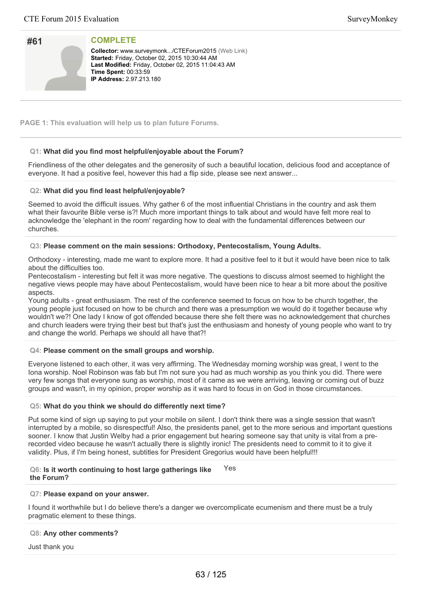| #61 |  |
|-----|--|
|     |  |
|     |  |
|     |  |

**Collector:** www.surveymonk.../CTEForum2015 (Web Link) **Started: Friday, October 02, 2015 10:30:44 AM** Last Modified: Friday, October 02, 2015 11:04:43 AM **Time Spent:: 00:33:59 IP Address:** 2.97.213.180

**PAGE 1: This evaluation will help us to plan future Forums.**

# **Q1: What did you find most helpful/enjoyable about the Forum?**

Friendliness of the other delegates and the generosity of such a beautiful location, delicious food and acceptance of everyone. It had a positive feel, however this had a flip side, please see next answer...

# **Q2: What did you find least helpful/enjoyable?**

Seemed to avoid the difficult issues. Why gather 6 of the most influential Christians in the country and ask them what their favourite Bible verse is?! Much more important things to talk about and would have felt more real to acknowledge the 'elephant in the room' regarding how to deal with the fundamental differences between our churches.

# **Q3: Please comment on the main sessions: Orthodoxy, Pentecostalism, Young Adults.**

Orthodoxy - interesting, made me want to explore more. It had a positive feel to it but it would have been nice to talk about the difficulties too.

Pentecostalism - interesting but felt it was more negative. The questions to discuss almost seemed to highlight the negative views people may have about Pentecostalism, would have been nice to hear a bit more about the positive aspects.

Young adults - great enthusiasm. The rest of the conference seemed to focus on how to be church together, the young people just focused on how to be church and there was a presumption we would do it together because why wouldn't we?! One lady I know of got offended because there she felt there was no acknowledgement that churches and church leaders were trying their best but that's just the enthusiasm and honesty of young people who want to try and change the world. Perhaps we should all have that?!

# **Q4: Please comment on the small groups and worship.**

Everyone listened to each other, it was very affirming. The Wednesday morning worship was great, I went to the Iona worship. Noel Robinson was fab but I'm not sure you had as much worship as you think you did. There were very few songs that everyone sung as worship, most of it came as we were arriving, leaving or coming out of buzz groups and wasn't, in my opinion, proper worship as it was hard to focus in on God in those circumstances.

# **Q5: What do you think we should do differently next time?**

Put some kind of sign up saying to put your mobile on silent. I don't think there was a single session that wasn't interrupted by a mobile, so disrespectful! Also, the presidents panel, get to the more serious and important questions sooner. I know that Justin Welby had a prior engagement but hearing someone say that unity is vital from a prerecorded video because he wasn't actually there is slightly ironic! The presidents need to commit to it to give it validity. Plus, if I'm being honest, subtitles for President Gregorius would have been helpful!!!

### **Q6: Is it worth continuing to host large gatherings like the Forum?** Yes

# **Q7: Please expand on your answer.**

I found it worthwhile but I do believe there's a danger we overcomplicate ecumenism and there must be a truly pragmatic element to these things.

# **Q8: Any other comments?**

Just thank you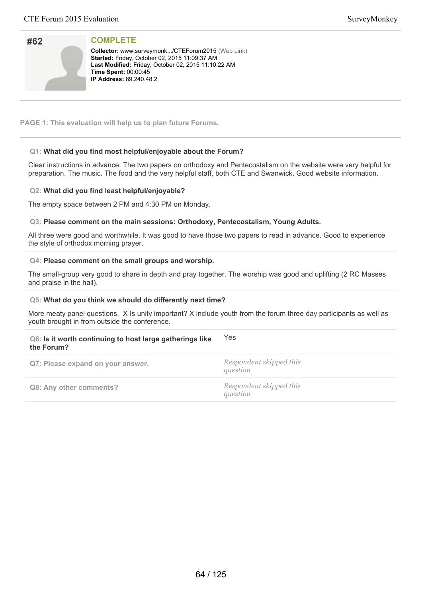| #62 |  |
|-----|--|
|     |  |

**Collector:** www.surveymonk.../CTEForum2015 (Web Link) **Started: Friday, October 02, 2015 11:09:37 AM** Last Modified: Friday, October 02, 2015 11:10:22 AM **Time Spent:** 00:00:45 **IP Address:** 89.240.48.2

**PAGE 1: This evaluation will help us to plan future Forums.**

# **Q1: What did you find most helpful/enjoyable about the Forum?**

Clear instructions in advance. The two papers on orthodoxy and Pentecostalism on the website were very helpful for preparation. The music. The food and the very helpful staff, both CTE and Swanwick. Good website information.

# **Q2: What did you find least helpful/enjoyable?**

The empty space between 2 PM and 4:30 PM on Monday.

# **Q3: Please comment on the main sessions: Orthodoxy, Pentecostalism, Young Adults.**

All three were good and worthwhile. It was good to have those two papers to read in advance. Good to experience the style of orthodox morning prayer.

## **Q4: Please comment on the small groups and worship.**

The small-group very good to share in depth and pray together. The worship was good and uplifting (2 RC Masses and praise in the hall).

## **Q5: What do you think we should do differently next time?**

More meaty panel questions. X Is unity important? X include youth from the forum three day participants as well as youth brought in from outside the conference.

### **Q6: Is it worth continuing to host large gatherings like the Forum?** Yes

| Q7: Please expand on your answer. | Respondent skipped this<br>question |
|-----------------------------------|-------------------------------------|
| Q8: Any other comments?           | Respondent skipped this<br>question |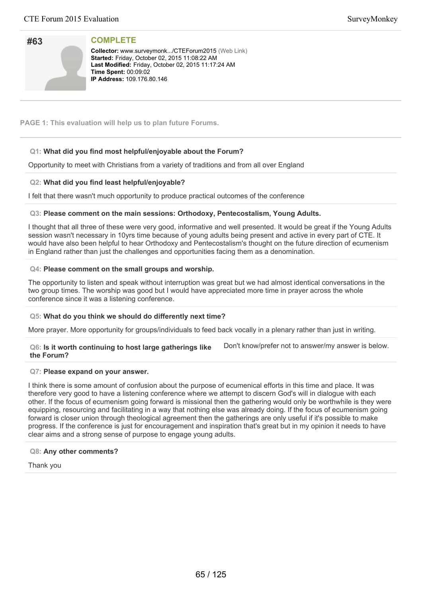| #63 |  |
|-----|--|
|     |  |
|     |  |
|     |  |

**Collector:** www.surveymonk.../CTEForum2015 (Web Link) **Started: Friday, October 02, 2015 11:08:22 AM** Last Modified: Friday, October 02, 2015 11:17:24 AM **Time Spent:** 00:09:02 **IP Address: 109.176.80.146** 

**PAGE 1: This evaluation will help us to plan future Forums.**

# **Q1: What did you find most helpful/enjoyable about the Forum?**

Opportunity to meet with Christians from a variety of traditions and from all over England

# **Q2: What did you find least helpful/enjoyable?**

I felt that there wasn't much opportunity to produce practical outcomes of the conference

# **Q3: Please comment on the main sessions: Orthodoxy, Pentecostalism, Young Adults.**

I thought that all three of these were very good, informative and well presented. It would be great if the Young Adults session wasn't necessary in 10yrs time because of young adults being present and active in every part of CTE. It would have also been helpful to hear Orthodoxy and Pentecostalism's thought on the future direction of ecumenism in England rather than just the challenges and opportunities facing them as a denomination.

# **Q4: Please comment on the small groups and worship.**

The opportunity to listen and speak without interruption was great but we had almost identical conversations in the two group times. The worship was good but I would have appreciated more time in prayer across the whole conference since it was a listening conference.

## **Q5: What do you think we should do differently next time?**

More prayer. More opportunity for groups/individuals to feed back vocally in a plenary rather than just in writing.

### **Q6: Is it worth continuing to host large gatherings like the Forum?**

Don't know/prefer not to answer/my answer is below.

## **Q7: Please expand on your answer.**

I think there is some amount of confusion about the purpose of ecumenical efforts in this time and place. It was therefore very good to have a listening conference where we attempt to discern God's will in dialogue with each other. If the focus of ecumenism going forward is missional then the gathering would only be worthwhile is they were equipping, resourcing and facilitating in a way that nothing else was already doing. If the focus of ecumenism going forward is closer union through theological agreement then the gatherings are only useful if it's possible to make progress. If the conference is just for encouragement and inspiration that's great but in my opinion it needs to have clear aims and a strong sense of purpose to engage young adults.

## **Q8: Any other comments?**

Thank you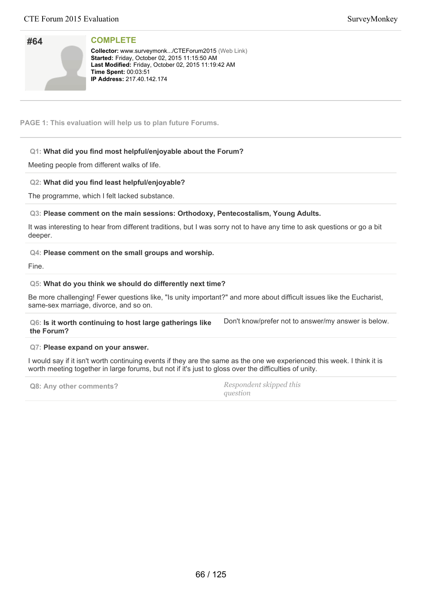| #64 |  |
|-----|--|
|     |  |
|     |  |
|     |  |

Collector: www.surveymonk.../CTEForum2015 (Web Link) **Started:** Friday, October 02, 2015 11:15:50 AM Last Modified: Friday, October 02, 2015 11:19:42 AM **Time Spent:** 00:03:51 **IP Address: 217.40.142.174** 

**PAGE 1: This evaluation will help us to plan future Forums.**

# **Q1: What did you find most helpful/enjoyable about the Forum?**

Meeting people from different walks of life.

# **Q2: What did you find least helpful/enjoyable?**

The programme, which I felt lacked substance.

# **Q3: Please comment on the main sessions: Orthodoxy, Pentecostalism, Young Adults.**

It was interesting to hear from different traditions, but I was sorry not to have any time to ask questions or go a bit deeper.

# **Q4: Please comment on the small groups and worship.**

Fine.

# **Q5: What do you think we should do differently next time?**

Be more challenging! Fewer questions like, "Is unity important?" and more about difficult issues like the Eucharist, same-sex marriage, divorce, and so on.

**Q6: Is it worth continuing to host large gatherings like the Forum?** Don't know/prefer not to answer/my answer is below.

## **Q7: Please expand on your answer.**

I would say if it isn't worth continuing events if they are the same as the one we experienced this week. I think it is worth meeting together in large forums, but not if it's just to gloss over the difficulties of unity.

**Q8: Any other comments?** *Respondent skipped this question*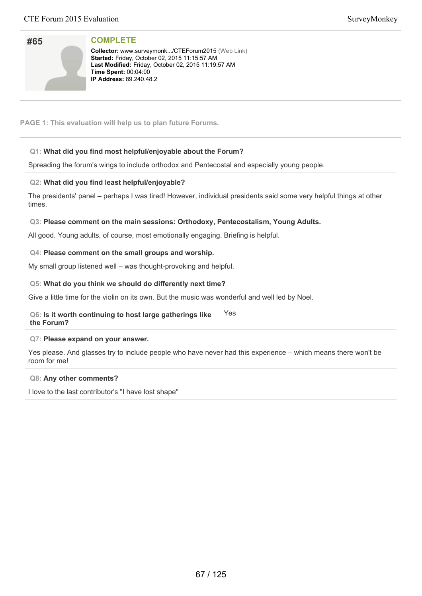| SurveyMonkey |
|--------------|
|--------------|

| #65 |  |
|-----|--|
|     |  |
|     |  |
|     |  |

**Collector:** www.surveymonk.../CTEForum2015 (Web Link) **Started:** Friday, October 02, 2015 11:15:57 AM Last Modified: Friday, October 02, 2015 11:19:57 AM **Time Spent:** 00:04:00 **IP Address:** 89.240.48.2

**PAGE 1: This evaluation will help us to plan future Forums.**

# **Q1: What did you find most helpful/enjoyable about the Forum?**

Spreading the forum's wings to include orthodox and Pentecostal and especially young people.

# **Q2: What did you find least helpful/enjoyable?**

The presidents' panel – perhaps I was tired! However, individual presidents said some very helpful things at other times.

# **Q3: Please comment on the main sessions: Orthodoxy, Pentecostalism, Young Adults.**

All good. Young adults, of course, most emotionally engaging. Briefing is helpful.

# **Q4: Please comment on the small groups and worship.**

My small group listened well – was thought-provoking and helpful.

# **Q5: What do you think we should do differently next time?**

Give a little time for the violin on its own. But the music was wonderful and well led by Noel.

### **Q6: Is it worth continuing to host large gatherings like the Forum?** Yes

## **Q7: Please expand on your answer.**

Yes please. And glasses try to include people who have never had this experience – which means there won't be room for me!

## **Q8: Any other comments?**

I love to the last contributor's "I have lost shape"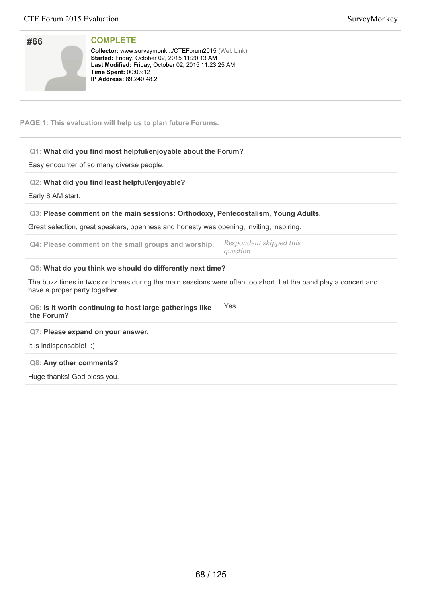| #66 |  |
|-----|--|
|     |  |
|     |  |

**Collector:** www.surveymonk.../CTEForum2015 (Web Link) Started: Friday, October 02, 2015 11:20:13 AM Last Modified: Friday, October 02, 2015 11:23:25 AM **Time Spent:** 00:03:12 **IP Address: 89.240.48.2** 

**PAGE 1: This evaluation will help us to plan future Forums.**

# **Q1: What did you find most helpful/enjoyable about the Forum?**

Easy encounter of so many diverse people.

# **Q2: What did you find least helpful/enjoyable?**

Early 8 AM start.

## **Q3: Please comment on the main sessions: Orthodoxy, Pentecostalism, Young Adults.**

Great selection, great speakers, openness and honesty was opening, inviting, inspiring.

| Q4: Please comment on the small groups and worship. | Respondent skipped this<br>auestion |
|-----------------------------------------------------|-------------------------------------|
|-----------------------------------------------------|-------------------------------------|

## **Q5: What do you think we should do differently next time?**

The buzz times in twos or threes during the main sessions were often too short. Let the band play a concert and have a proper party together.

### **Q6: Is it worth continuing to host large gatherings like the Forum?** Yes

## **Q7: Please expand on your answer.**

It is indispensable! :)

## **Q8: Any other comments?**

Huge thanks! God bless you.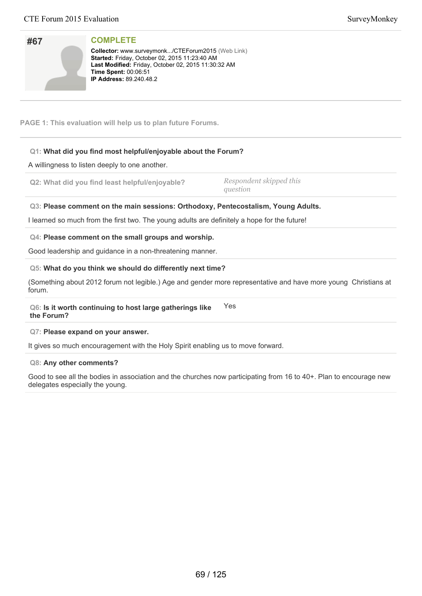| SurveyMonkey |
|--------------|
|--------------|

| #67 |  |
|-----|--|
|     |  |
|     |  |
|     |  |

**Collector:** www.surveymonk.../CTEForum2015 (Web Link) **Started:** Friday, October 02, 2015 11:23:40 AM Last Modified: Friday, October 02, 2015 11:30:32 AM **Time Spent:** 00:06:51 **IP Address:** 89.240.48.2

**PAGE 1: This evaluation will help us to plan future Forums.**

# **Q1: What did you find most helpful/enjoyable about the Forum?**

A willingness to listen deeply to one another.

**Q2: What did you find least helpful/enjoyable?** *Respondent skipped this*

*question*

**Q3: Please comment on the main sessions: Orthodoxy, Pentecostalism, Young Adults.**

I learned so much from the first two. The young adults are definitely a hope for the future!

# **Q4: Please comment on the small groups and worship.**

Good leadership and guidance in a non-threatening manner.

# **Q5: What do you think we should do differently next time?**

(Something about 2012 forum not legible.) Age and gender more representative and have more young Christians at forum.

**Q6: Is it worth continuing to host large gatherings like the Forum?** Yes

## **Q7: Please expand on your answer.**

It gives so much encouragement with the Holy Spirit enabling us to move forward.

## **Q8: Any other comments?**

Good to see all the bodies in association and the churches now participating from 16 to 40+. Plan to encourage new delegates especially the young.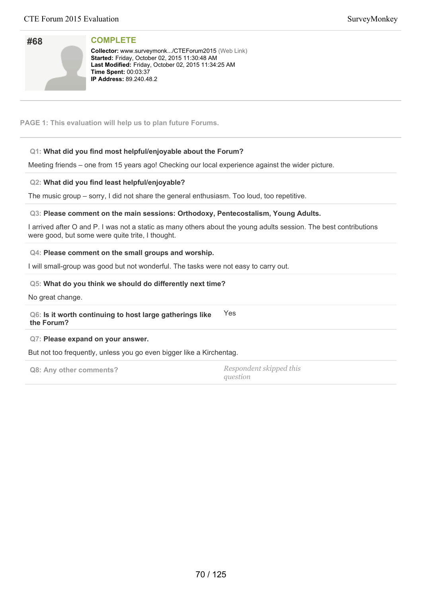| #68 |  |
|-----|--|
|     |  |
|     |  |
|     |  |

**Collector:** www.surveymonk.../CTEForum2015 (Web Link) **Started: Friday, October 02, 2015 11:30:48 AM** Last Modified: Friday, October 02, 2015 11:34:25 AM **Time Spent:** 00:03:37 **IP Address: 89.240.48.2** 

**PAGE 1: This evaluation will help us to plan future Forums.**

# **Q1: What did you find most helpful/enjoyable about the Forum?**

Meeting friends – one from 15 years ago! Checking our local experience against the wider picture.

# **Q2: What did you find least helpful/enjoyable?**

The music group – sorry, I did not share the general enthusiasm. Too loud, too repetitive.

# **Q3: Please comment on the main sessions: Orthodoxy, Pentecostalism, Young Adults.**

I arrived after O and P. I was not a static as many others about the young adults session. The best contributions were good, but some were quite trite, I thought.

# **Q4: Please comment on the small groups and worship.**

I will small-group was good but not wonderful. The tasks were not easy to carry out.

# **Q5: What do you think we should do differently next time?**

No great change.

**Q6: Is it worth continuing to host large gatherings like the Forum?** Yes

## **Q7: Please expand on your answer.**

But not too frequently, unless you go even bigger like a Kirchentag.

**Q8: Any other comments?** *Respondent skipped this question*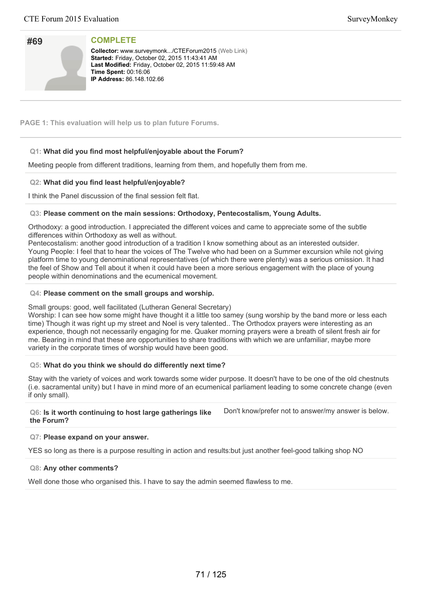| #69 |  |
|-----|--|
|     |  |
|     |  |
|     |  |

**Collector:** www.surveymonk.../CTEForum2015 (Web Link) **Started: Friday, October 02, 2015 11:43:41 AM** Last Modified: Friday, October 02, 2015 11:59:48 AM **Time Spent: 00:16:06 IP Address:** 86.148.102.66

**PAGE 1: This evaluation will help us to plan future Forums.**

# **Q1: What did you find most helpful/enjoyable about the Forum?**

Meeting people from different traditions, learning from them, and hopefully them from me.

# **Q2: What did you find least helpful/enjoyable?**

I think the Panel discussion of the final session felt flat.

# **Q3: Please comment on the main sessions: Orthodoxy, Pentecostalism, Young Adults.**

Orthodoxy: a good introduction. I appreciated the different voices and came to appreciate some of the subtle differences within Orthodoxy as well as without.

Pentecostalism: another good introduction of a tradition I know something about as an interested outsider. Young People: I feel that to hear the voices of The Twelve who had been on a Summer excursion while not giving platform time to young denominational representatives (of which there were plenty) was a serious omission. It had the feel of Show and Tell about it when it could have been a more serious engagement with the place of young people within denominations and the ecumenical movement.

# **Q4: Please comment on the small groups and worship.**

## Small groups: good, well facilitated (Lutheran General Secretary)

Worship: I can see how some might have thought it a little too samey (sung worship by the band more or less each time) Though it was right up my street and Noel is very talented.. The Orthodox prayers were interesting as an experience, though not necessarily engaging for me. Quaker morning prayers were a breath of silent fresh air for me. Bearing in mind that these are opportunities to share traditions with which we are unfamiliar, maybe more variety in the corporate times of worship would have been good.

## **Q5: What do you think we should do differently next time?**

Stay with the variety of voices and work towards some wider purpose. It doesn't have to be one of the old chestnuts (i.e. sacramental unity) but I have in mind more of an ecumenical parliament leading to some concrete change (even if only small).

### **Q6: Is it worth continuing to host large gatherings like the Forum?** Don't know/prefer not to answer/my answer is below.

## **Q7: Please expand on your answer.**

YES so long as there is a purpose resulting in action and results:but just another feel-good talking shop NO

## **Q8: Any other comments?**

Well done those who organised this. I have to say the admin seemed flawless to me.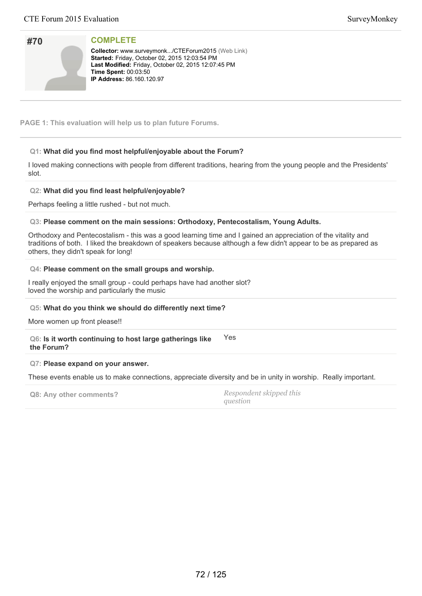| #70 |  |
|-----|--|
|     |  |
|     |  |
|     |  |

Collector: www.surveymonk.../CTEForum2015 (Web Link) **Started:** Friday, October 02, 2015 12:03:54 PM Last Modified: Friday, October 02, 2015 12:07:45 PM **Time Spent:** 00:03:50 **IP Address:** 86.160.120.97

**PAGE 1: This evaluation will help us to plan future Forums.**

# **Q1: What did you find most helpful/enjoyable about the Forum?**

I loved making connections with people from different traditions, hearing from the young people and the Presidents' slot.

# **Q2: What did you find least helpful/enjoyable?**

Perhaps feeling a little rushed - but not much.

# **Q3: Please comment on the main sessions: Orthodoxy, Pentecostalism, Young Adults.**

Orthodoxy and Pentecostalism - this was a good learning time and I gained an appreciation of the vitality and traditions of both. I liked the breakdown of speakers because although a few didn't appear to be as prepared as others, they didn't speak for long!

# **Q4: Please comment on the small groups and worship.**

I really enjoyed the small group - could perhaps have had another slot? loved the worship and particularly the music

# **Q5: What do you think we should do differently next time?**

More women up front please!!

### **Q6: Is it worth continuing to host large gatherings like the Forum?** Yes

## **Q7: Please expand on your answer.**

These events enable us to make connections, appreciate diversity and be in unity in worship. Really important.

| Q8: Any other comments? | Respondent skipped this |
|-------------------------|-------------------------|
|                         | question                |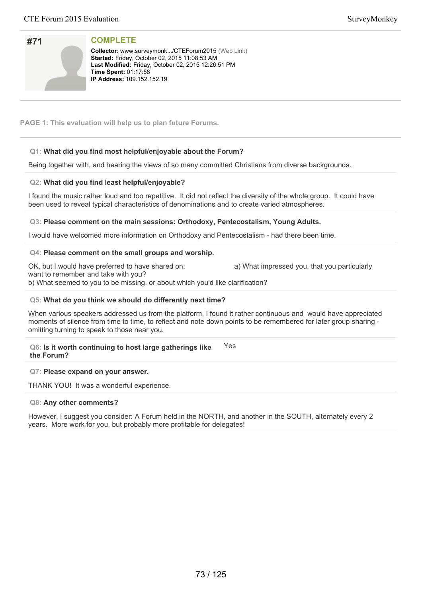# **#71**

**COMPLETE**

**Collector:** www.surveymonk.../CTEForum2015 (Web Link) **Started:** Friday, October 02, 2015 11:08:53 AM Last Modified: Friday, October 02, 2015 12:26:51 PM **Time Spent: 01:17:58 IP Address: 109.152.152.19** 

**PAGE 1: This evaluation will help us to plan future Forums.**

# **Q1: What did you find most helpful/enjoyable about the Forum?**

Being together with, and hearing the views of so many committed Christians from diverse backgrounds.

# **Q2: What did you find least helpful/enjoyable?**

I found the music rather loud and too repetitive. It did not reflect the diversity of the whole group. It could have been used to reveal typical characteristics of denominations and to create varied atmospheres.

# **Q3: Please comment on the main sessions: Orthodoxy, Pentecostalism, Young Adults.**

I would have welcomed more information on Orthodoxy and Pentecostalism - had there been time.

# **Q4: Please comment on the small groups and worship.**

OK, but I would have preferred to have shared on: a) What impressed you, that you particularly

want to remember and take with you? b) What seemed to you to be missing, or about which you'd like clarification?

# **Q5: What do you think we should do differently next time?**

When various speakers addressed us from the platform, I found it rather continuous and would have appreciated moments of silence from time to time, to reflect and note down points to be remembered for later group sharing omitting turning to speak to those near you.

**Q6: Is it worth continuing to host large gatherings like the Forum?** Yes

# **Q7: Please expand on your answer.**

THANK YOU! It was a wonderful experience.

# **Q8: Any other comments?**

However, I suggest you consider: A Forum held in the NORTH, and another in the SOUTH, alternately every 2 years. More work for you, but probably more profitable for delegates!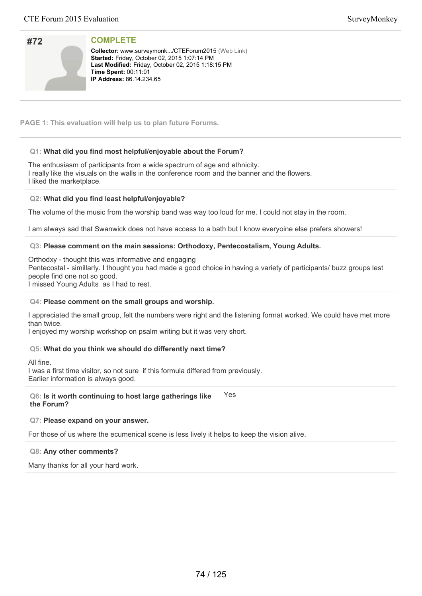| #72 |  |
|-----|--|
|     |  |
|     |  |
|     |  |

**Collector:** www.surveymonk.../CTEForum2015 (Web Link) **Started: Friday, October 02, 2015 1:07:14 PM** Last Modified: Friday, October 02, 2015 1:18:15 PM **Time Spent:** 00:11:01 **IP Address:** 86.14.234.65

**PAGE 1: This evaluation will help us to plan future Forums.**

# **Q1: What did you find most helpful/enjoyable about the Forum?**

The enthusiasm of participants from a wide spectrum of age and ethnicity. I really like the visuals on the walls in the conference room and the banner and the flowers. I liked the marketplace.

### **Q2: What did you find least helpful/enjoyable?**

The volume of the music from the worship band was way too loud for me. I could not stay in the room.

I am always sad that Swanwick does not have access to a bath but I know everyoine else prefers showers!

# **Q3: Please comment on the main sessions: Orthodoxy, Pentecostalism, Young Adults.**

Orthodxy - thought this was informative and engaging Pentecostal - simillarly. I thought you had made a good choice in having a variety of participants/ buzz groups lest people find one not so good. I missed Young Adults as I had to rest.

#### **Q4: Please comment on the small groups and worship.**

I appreciated the small group, felt the numbers were right and the listening format worked. We could have met more than twice.

I enjoyed my worship workshop on psalm writing but it was very short.

# **Q5: What do you think we should do differently next time?**

All fine.

I was a first time visitor, so not sure if this formula differed from previously. Earlier information is always good.

#### **Q6: Is it worth continuing to host large gatherings like the Forum?** Yes

#### **Q7: Please expand on your answer.**

For those of us where the ecumenical scene is less lively it helps to keep the vision alive.

#### **Q8: Any other comments?**

Many thanks for all your hard work.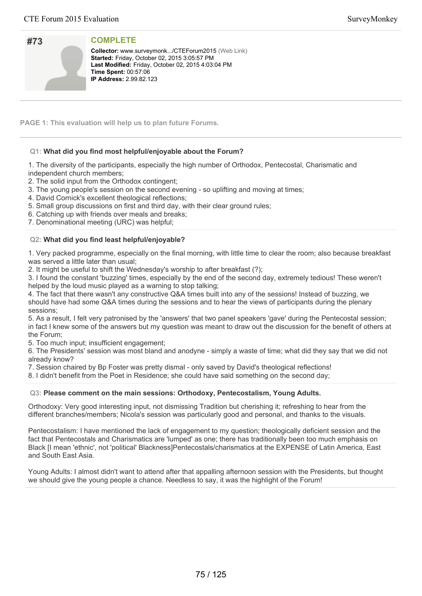| #73 |  |
|-----|--|
|     |  |
|     |  |
|     |  |

**Collector:** www.surveymonk.../CTEForum2015 (Web Link) **Started:** Friday, October 02, 2015 3:05:57 PM Last Modified: Friday, October 02, 2015 4:03:04 PM **Time Spent: 00:57:06 IP Address:** 2.99.82.123

**PAGE 1: This evaluation will help us to plan future Forums.**

# **Q1: What did you find most helpful/enjoyable about the Forum?**

1. The diversity of the participants, especially the high number of Orthodox, Pentecostal, Charismatic and independent church members;

2. The solid input from the Orthodox contingent;

- 3. The young people's session on the second evening so uplifting and moving at times;
- 4. David Cornick's excellent theological reflections;
- 5. Small group discussions on first and third day, with their clear ground rules;
- 6. Catching up with friends over meals and breaks;
- 7. Denominational meeting (URC) was helpful;

### **Q2: What did you find least helpful/enjoyable?**

1. Very packed programme, especially on the final morning, with little time to clear the room; also because breakfast was served a little later than usual;

2. It might be useful to shift the Wednesday's worship to after breakfast (?);

3. I found the constant 'buzzing' times, especially by the end of the second day, extremely tedious! These weren't helped by the loud music played as a warning to stop talking;

4. The fact that there wasn't any constructive Q&A times built into any of the sessions! Instead of buzzing, we should have had some Q&A times during the sessions and to hear the views of participants during the plenary sessions;

5. As a result, I felt very patronised by the 'answers' that two panel speakers 'gave' during the Pentecostal session; in fact I knew some of the answers but my question was meant to draw out the discussion for the benefit of others at the Forum;

5. Too much input; insufficient engagement;

6. The Presidents' session was most bland and anodyne - simply a waste of time; what did they say that we did not already know?

7. Session chaired by Bp Foster was pretty dismal - only saved by David's theological reflections!

8. I didn't benefit from the Poet in Residence; she could have said something on the second day;

#### **Q3: Please comment on the main sessions: Orthodoxy, Pentecostalism, Young Adults.**

Orthodoxy: Very good interesting input, not dismissing Tradition but cherishing it; refreshing to hear from the different branches/members; Nicola's session was particularly good and personal, and thanks to the visuals.

Pentecostalism: I have mentioned the lack of engagement to my question; theologically deficient session and the fact that Pentecostals and Charismatics are 'lumped' as one; there has traditionally been too much emphasis on Black [I mean 'ethnic', not 'political' Blackness]Pentecostals/charismatics at the EXPENSE of Latin America, East and South East Asia.

Young Adults: I almost didn't want to attend after that appalling afternoon session with the Presidents, but thought we should give the young people a chance. Needless to say, it was the highlight of the Forum!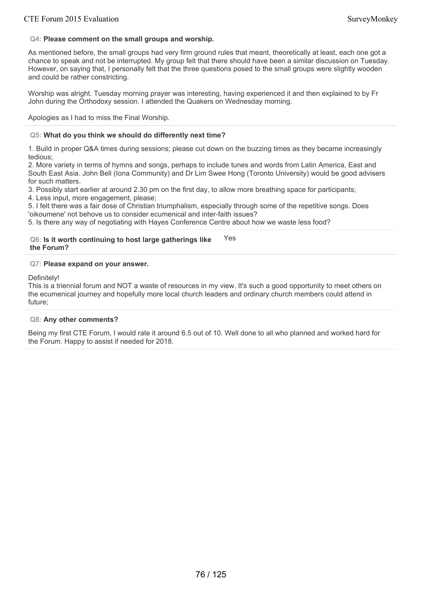# **Q4: Please comment on the small groups and worship.**

As mentioned before, the small groups had very firm ground rules that meant, theoretically at least, each one got a chance to speak and not be interrupted. My group felt that there should have been a similar discussion on Tuesday. However, on saying that, I personally felt that the three questions posed to the small groups were slightly wooden and could be rather constricting.

Worship was alright. Tuesday morning prayer was interesting, having experienced it and then explained to by Fr John during the Orthodoxy session. I attended the Quakers on Wednesday morning.

Apologies as I had to miss the Final Worship.

### **Q5: What do you think we should do differently next time?**

1. Build in proper Q&A times during sessions; please cut down on the buzzing times as they became increasingly tedious;

2. More variety in terms of hymns and songs, perhaps to include tunes and words from Latin America, East and South East Asia. John Bell (Iona Community) and Dr Lim Swee Hong (Toronto University) would be good advisers for such matters.

3. Possibly start earlier at around 2.30 pm on the first day, to allow more breathing space for participants;

4. Less input, more engagement, please;

5. I felt there was a fair dose of Christian triumphalism, especially through some of the repetitive songs. Does 'oikoumene' not behove us to consider ecumenical and inter-faith issues?

5. Is there any way of negotiating with Hayes Conference Centre about how we waste less food?

#### **Q6: Is it worth continuing to host large gatherings like the Forum?** Yes

### **Q7: Please expand on your answer.**

Definitely!

This is a triennial forum and NOT a waste of resources in my view. It's such a good opportunity to meet others on the ecumenical journey and hopefully more local church leaders and ordinary church members could attend in future;

# **Q8: Any other comments?**

Being my first CTE Forum, I would rate it around 6.5 out of 10. Well done to all who planned and worked hard for the Forum. Happy to assist if needed for 2018.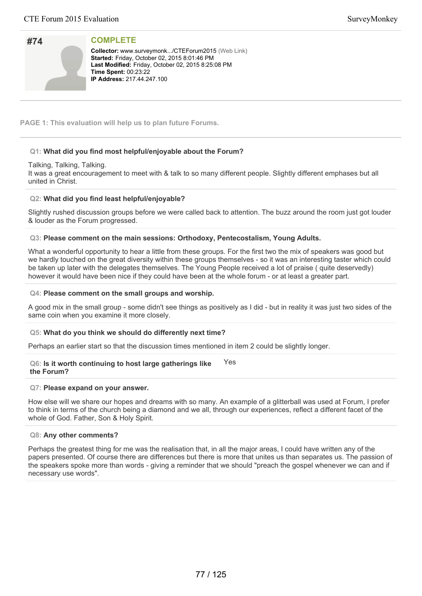| #74 |  |
|-----|--|
|     |  |
|     |  |
|     |  |

**Collector:** www.surveymonk.../CTEForum2015 (Web Link) **Started: Friday, October 02, 2015 8:01:46 PM** Last Modified: Friday, October 02, 2015 8:25:08 PM **Time Spent: 00:23:22 IP Address: 217.44.247.100** 

**PAGE 1: This evaluation will help us to plan future Forums.**

# **Q1: What did you find most helpful/enjoyable about the Forum?**

#### Talking, Talking, Talking.

It was a great encouragement to meet with & talk to so many different people. Slightly different emphases but all united in Christ.

#### **Q2: What did you find least helpful/enjoyable?**

Slightly rushed discussion groups before we were called back to attention. The buzz around the room just got louder & louder as the Forum progressed.

#### **Q3: Please comment on the main sessions: Orthodoxy, Pentecostalism, Young Adults.**

What a wonderful opportunity to hear a little from these groups. For the first two the mix of speakers was good but we hardly touched on the great diversity within these groups themselves - so it was an interesting taster which could be taken up later with the delegates themselves. The Young People received a lot of praise ( quite deservedly) however it would have been nice if they could have been at the whole forum - or at least a greater part.

#### **Q4: Please comment on the small groups and worship.**

A good mix in the small group - some didn't see things as positively as I did - but in reality it was just two sides of the same coin when you examine it more closely.

#### **Q5: What do you think we should do differently next time?**

Perhaps an earlier start so that the discussion times mentioned in item 2 could be slightly longer.

#### **Q6: Is it worth continuing to host large gatherings like the Forum?** Yes

#### **Q7: Please expand on your answer.**

How else will we share our hopes and dreams with so many. An example of a glitterball was used at Forum, I prefer to think in terms of the church being a diamond and we all, through our experiences, reflect a different facet of the whole of God. Father, Son & Holy Spirit.

#### **Q8: Any other comments?**

Perhaps the greatest thing for me was the realisation that, in all the major areas, I could have written any of the papers presented. Of course there are differences but there is more that unites us than separates us. The passion of the speakers spoke more than words - giving a reminder that we should "preach the gospel whenever we can and if necessary use words".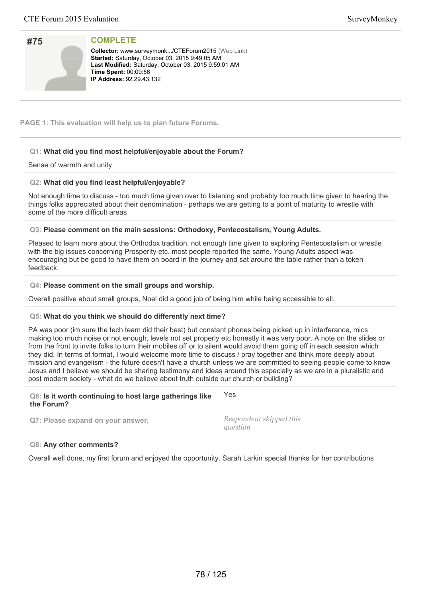| #75 |  |
|-----|--|
|     |  |
|     |  |
|     |  |

**Collector:** www.surveymonk.../CTEForum2015 (Web Link) Started: Saturday, October 03, 2015 9:49:05 AM Last Modified: Saturday, October 03, 2015 9:59:01 AM **Time Spent: 00:09:56 IP Address: 92.29.43.132** 

**PAGE 1: This evaluation will help us to plan future Forums.**

# **Q1: What did you find most helpful/enjoyable about the Forum?**

# Sense of warmth and unity

# **Q2: What did you find least helpful/enjoyable?**

Not enough time to discuss - too much time given over to listening and probably too much time given to hearing the things folks appreciated about their denomination - perhaps we are getting to a point of maturity to wrestle with some of the more difficult areas

**Q3: Please comment on the main sessions: Orthodoxy, Pentecostalism, Young Adults.**

Pleased to learn more about the Orthodox tradition, not enough time given to exploring Pentecostalism or wrestle with the big issues concerning Prosperity etc. most people reported the same. Young Adults aspect was encouraging but be good to have them on board in the journey and sat around the table rather than a token feedback.

### **Q4: Please comment on the small groups and worship.**

Overall positive about small groups, Noel did a good job of being him while being accessible to all.

# **Q5: What do you think we should do differently next time?**

PA was poor (im sure the tech team did their best) but constant phones being picked up in interferance, mics making too much noise or not enough, levels not set properly etc honestly it was very poor. A note on the slides or from the front to invite folks to turn their mobiles off or to silent would avoid them going off in each session which they did. In terms of format, I would welcome more time to discuss / pray together and think more deeply about mission and evangelism - the future doesn't have a church unless we are committed to seeing people come to know Jesus and I believe we should be sharing testimony and ideas around this especially as we are in a pluralistic and post modern society - what do we believe about truth outside our church or building?

| Q6: Is it worth continuing to host large gatherings like<br>the Forum? | Yes                                 |
|------------------------------------------------------------------------|-------------------------------------|
| Q7: Please expand on your answer.                                      | Respondent skipped this<br>question |

#### **Q8: Any other comments?**

Overall well done, my first forum and enjoyed the opportunity. Sarah Larkin special thanks for her contributions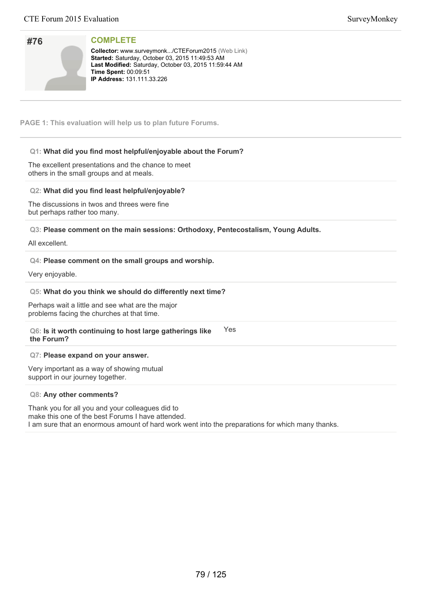| #76 |  |
|-----|--|
|     |  |
|     |  |
|     |  |

**Collector:** www.surveymonk.../CTEForum2015 (Web Link) Started: Saturday, October 03, 2015 11:49:53 AM Last Modified: Saturday, October 03, 2015 11:59:44 AM **Time Spent: 00:09:51 IP Address: 131.111.33.226** 

**PAGE 1: This evaluation will help us to plan future Forums.**

# **Q1: What did you find most helpful/enjoyable about the Forum?**

The excellent presentations and the chance to meet others in the small groups and at meals.

### **Q2: What did you find least helpful/enjoyable?**

The discussions in twos and threes were fine but perhaps rather too many.

**Q3: Please comment on the main sessions: Orthodoxy, Pentecostalism, Young Adults.**

All excellent.

### **Q4: Please comment on the small groups and worship.**

Very enjoyable.

### **Q5: What do you think we should do differently next time?**

Perhaps wait a little and see what are the major problems facing the churches at that time.

#### **Q6: Is it worth continuing to host large gatherings like the Forum?** Yes

#### **Q7: Please expand on your answer.**

Very important as a way of showing mutual support in our journey together.

#### **Q8: Any other comments?**

Thank you for all you and your colleagues did to make this one of the best Forums I have attended. I am sure that an enormous amount of hard work went into the preparations for which many thanks.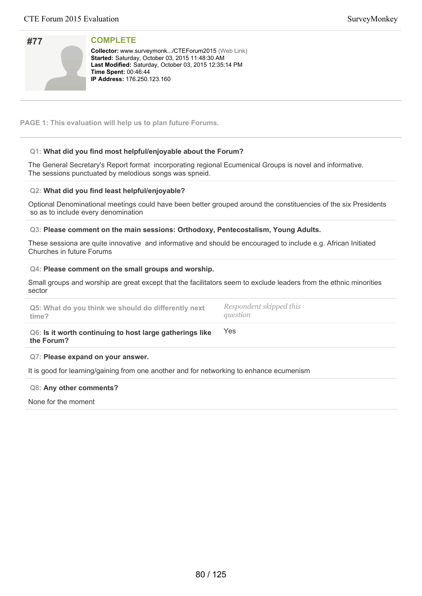| #77 |  |
|-----|--|
|     |  |
|     |  |
|     |  |

**Collector:** www.surveymonk.../CTEForum2015 (Web Link) Started: Saturday, October 03, 2015 11:48:30 AM Last Modified: Saturday, October 03, 2015 12:35:14 PM **Time Spent: 00:46:44 IP Address: 176.250.123.160** 

**PAGE 1: This evaluation will help us to plan future Forums.**

# **Q1: What did you find most helpful/enjoyable about the Forum?**

The General Secretary's Report format incorporating regional Ecumenical Groups is novel and informative. The sessions punctuated by melodious songs was spneid.

### **Q2: What did you find least helpful/enjoyable?**

Optional Denominational meetings could have been better grouped around the constituencies of the six Presidents so as to include every denomination

#### **Q3: Please comment on the main sessions: Orthodoxy, Pentecostalism, Young Adults.**

These sessiona are quite innovative and informative and should be encouraged to include e.g. African Initiated Churches in future Forums

#### **Q4: Please comment on the small groups and worship.**

Small groups and worship are great except that the facilitators seem to exclude leaders from the ethnic minorities sector

| Of lo it worth continuing to heat lerge asthorings like |                         |
|---------------------------------------------------------|-------------------------|
| Q5: What do you think we should do differently next     | Respondent skipped this |
| time?                                                   | question                |

#### **Q6: Is it worth continuing to host large gatherings like the Forum?**

#### **Q7: Please expand on your answer.**

It is good for learning/gaining from one another and for networking to enhance ecumenism

# **Q8: Any other comments?**

None for the moment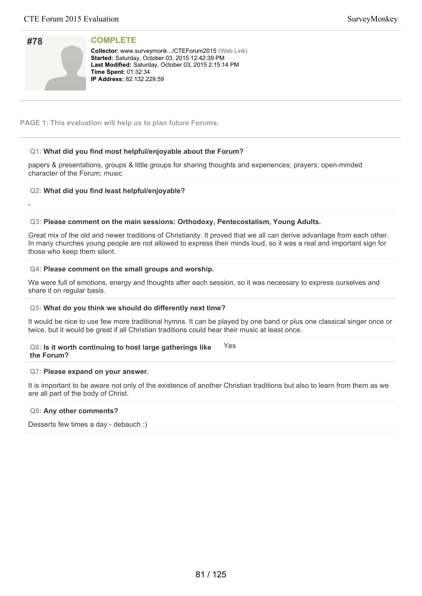| #78 |  |
|-----|--|
|     |  |
|     |  |
|     |  |

-

**COMPLETE**

**Collector:** www.surveymonk.../CTEForum2015 (Web Link) Started: Saturday, October 03, 2015 12:42:39 PM Last Modified: Saturday, October 03, 2015 2:15:14 PM **Time Spent: 01:32:34 IP Address:** 82.132.229.59

**PAGE 1: This evaluation will help us to plan future Forums.**

# **Q1: What did you find most helpful/enjoyable about the Forum?**

papers & presentations, groups & little groups for sharing thoughts and experiences; prayers; open-minded character of the Forum; music

# **Q2: What did you find least helpful/enjoyable?**

#### **Q3: Please comment on the main sessions: Orthodoxy, Pentecostalism, Young Adults.**

Great mix of the old and newer traditions of Christianity. It proved that we all can derive advantage from each other. In many churches young people are not allowed to express their minds loud, so it was a real and important sign for those who keep them silent.

#### **Q4: Please comment on the small groups and worship.**

We were full of emotions, energy and thoughts after each session, so it was necessary to express ourselves and share it on regular basis.

#### **Q5: What do you think we should do differently next time?**

It would be nice to use few more traditional hymns. It can be played by one band or plus one classical singer once or twice, but it would be great if all Christian traditions could hear their music at least once.

#### **Q6: Is it worth continuing to host large gatherings like the Forum?** Yes

#### **Q7: Please expand on your answer.**

It is important to be aware not only of the existence of another Christian traditions but also to learn from them as we are all part of the body of Christ.

#### **Q8: Any other comments?**

Desserts few times a day - debauch :)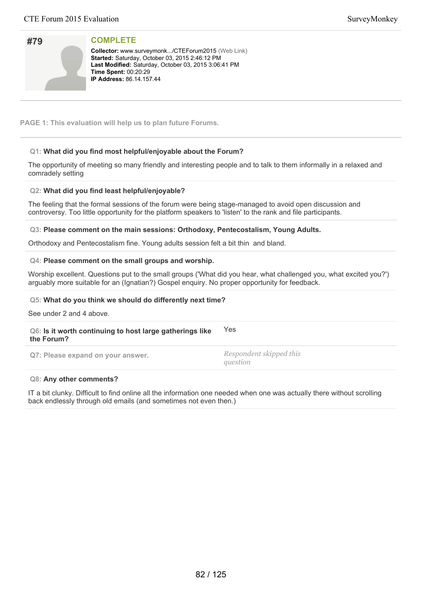| #79 |  |
|-----|--|
|     |  |
|     |  |
|     |  |

**Collector:** www.surveymonk.../CTEForum2015 (Web Link) **Started: Saturday, October 03, 2015 2:46:12 PM** Last Modified: Saturday, October 03, 2015 3:06:41 PM **Time Spent: 00:20:29 IP Address:** 86.14.157.44

**PAGE 1: This evaluation will help us to plan future Forums.**

# **Q1: What did you find most helpful/enjoyable about the Forum?**

The opportunity of meeting so many friendly and interesting people and to talk to them informally in a relaxed and comradely setting

# **Q2: What did you find least helpful/enjoyable?**

The feeling that the formal sessions of the forum were being stage-managed to avoid open discussion and controversy. Too little opportunity for the platform speakers to 'listen' to the rank and file participants.

#### **Q3: Please comment on the main sessions: Orthodoxy, Pentecostalism, Young Adults.**

Orthodoxy and Pentecostalism fine. Young adults session felt a bit thin and bland.

#### **Q4: Please comment on the small groups and worship.**

Worship excellent. Questions put to the small groups ('What did you hear, what challenged you, what excited you?') arguably more suitable for an (Ignatian?) Gospel enquiry. No proper opportunity for feedback.

#### **Q5: What do you think we should do differently next time?**

See under 2 and 4 above.

#### **Q6: Is it worth continuing to host large gatherings like the Forum?** Yes

**Q7: Please expand on your answer.** *Respondent skipped this*

*question*

#### **Q8: Any other comments?**

IT a bit clunky. Difficult to find online all the information one needed when one was actually there without scrolling back endlessly through old emails (and sometimes not even then.)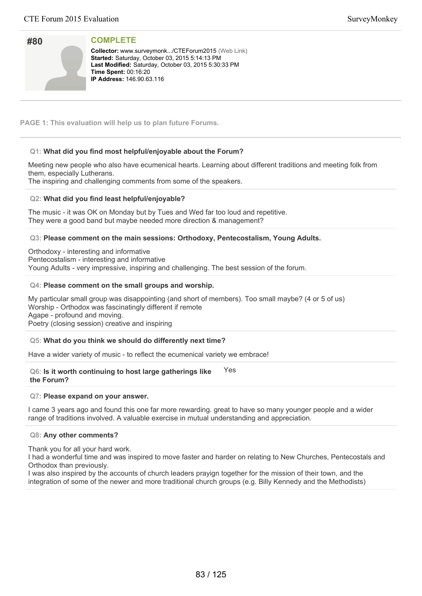| #80 |  |
|-----|--|
|     |  |
|     |  |
|     |  |

**Collector:** www.surveymonk.../CTEForum2015 (Web Link) **Started: Saturday, October 03, 2015 5:14:13 PM** Last Modified: Saturday, October 03, 2015 5:30:33 PM **Time Spent: 00:16:20 IP Address: 146.90.63.116** 

**PAGE 1: This evaluation will help us to plan future Forums.**

# **Q1: What did you find most helpful/enjoyable about the Forum?**

Meeting new people who also have ecumenical hearts. Learning about different traditions and meeting folk from them, especially Lutherans.

The inspiring and challenging comments from some of the speakers.

### **Q2: What did you find least helpful/enjoyable?**

The music - it was OK on Monday but by Tues and Wed far too loud and repetitive. They were a good band but maybe needed more direction & management?

### **Q3: Please comment on the main sessions: Orthodoxy, Pentecostalism, Young Adults.**

Orthodoxy - interesting and informative Pentecostalism - interesting and informative Young Adults - very impressive, inspiring and challenging. The best session of the forum.

#### **Q4: Please comment on the small groups and worship.**

My particular small group was disappointing (and short of members). Too small maybe? (4 or 5 of us) Worship - Orthodox was fascinatingly different if remote Agape - profound and moving. Poetry (closing session) creative and inspiring

# **Q5: What do you think we should do differently next time?**

Have a wider variety of music - to reflect the ecumenical variety we embrace!

#### **Q6: Is it worth continuing to host large gatherings like the Forum?** Yes

#### **Q7: Please expand on your answer.**

I came 3 years ago and found this one far more rewarding. great to have so many younger people and a wider range of traditions involved. A valuable exercise in mutual understanding and appreciation.

#### **Q8: Any other comments?**

Thank you for all your hard work.

I had a wonderful time and was inspired to move faster and harder on relating to New Churches, Pentecostals and Orthodox than previously.

I was also inspired by the accounts of church leaders prayign together for the mission of their town, and the integration of some of the newer and more traditional church groups (e.g. Billy Kennedy and the Methodists)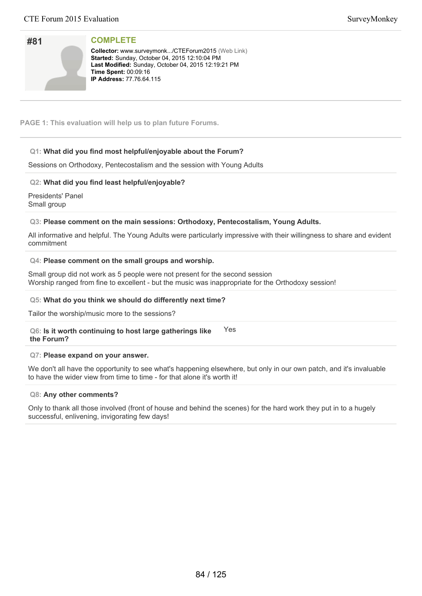| SurveyMonkey |
|--------------|
|--------------|

| #81 |  |  |
|-----|--|--|
|     |  |  |
|     |  |  |

**Collector:** www.surveymonk.../CTEForum2015 (Web Link) **Started: Sunday, October 04, 2015 12:10:04 PM** Last Modified: Sunday, October 04, 2015 12:19:21 PM **Time Spent: 00:09:16 IP Address: 77.76.64.115** 

**PAGE 1: This evaluation will help us to plan future Forums.**

# **Q1: What did you find most helpful/enjoyable about the Forum?**

Sessions on Orthodoxy, Pentecostalism and the session with Young Adults

# **Q2: What did you find least helpful/enjoyable?**

Presidents' Panel Small group

### **Q3: Please comment on the main sessions: Orthodoxy, Pentecostalism, Young Adults.**

All informative and helpful. The Young Adults were particularly impressive with their willingness to share and evident commitment

#### **Q4: Please comment on the small groups and worship.**

Small group did not work as 5 people were not present for the second session Worship ranged from fine to excellent - but the music was inappropriate for the Orthodoxy session!

#### **Q5: What do you think we should do differently next time?**

Tailor the worship/music more to the sessions?

**Q6: Is it worth continuing to host large gatherings like the Forum?** Yes

#### **Q7: Please expand on your answer.**

We don't all have the opportunity to see what's happening elsewhere, but only in our own patch, and it's invaluable to have the wider view from time to time - for that alone it's worth it!

#### **Q8: Any other comments?**

Only to thank all those involved (front of house and behind the scenes) for the hard work they put in to a hugely successful, enlivening, invigorating few days!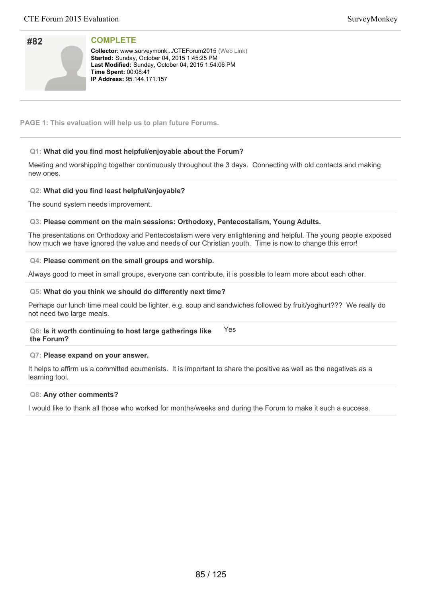| #82 |  |
|-----|--|
|     |  |
|     |  |
|     |  |

Collector: www.surveymonk.../CTEForum2015 (Web Link) **Started: Sunday, October 04, 2015 1:45:25 PM** Last Modified: Sunday, October 04, 2015 1:54:06 PM **Time Spent: 00:08:41 IP Address: 95.144.171.157** 

**PAGE 1: This evaluation will help us to plan future Forums.**

# **Q1: What did you find most helpful/enjoyable about the Forum?**

Meeting and worshipping together continuously throughout the 3 days. Connecting with old contacts and making new ones.

# **Q2: What did you find least helpful/enjoyable?**

The sound system needs improvement.

# **Q3: Please comment on the main sessions: Orthodoxy, Pentecostalism, Young Adults.**

The presentations on Orthodoxy and Pentecostalism were very enlightening and helpful. The young people exposed how much we have ignored the value and needs of our Christian youth. Time is now to change this error!

### **Q4: Please comment on the small groups and worship.**

Always good to meet in small groups, everyone can contribute, it is possible to learn more about each other.

### **Q5: What do you think we should do differently next time?**

Perhaps our lunch time meal could be lighter, e.g. soup and sandwiches followed by fruit/yoghurt??? We really do not need two large meals.

#### **Q6: Is it worth continuing to host large gatherings like the Forum?** Yes

#### **Q7: Please expand on your answer.**

It helps to affirm us a committed ecumenists. It is important to share the positive as well as the negatives as a learning tool.

#### **Q8: Any other comments?**

I would like to thank all those who worked for months/weeks and during the Forum to make it such a success.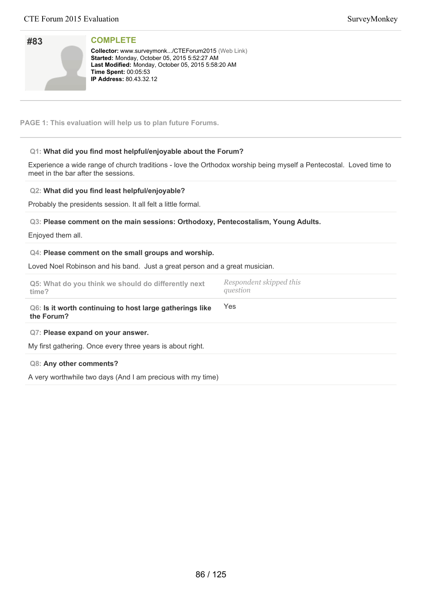| #83 |  |
|-----|--|
|     |  |
|     |  |
|     |  |

**Collector:** www.surveymonk.../CTEForum2015 (Web Link) **Started:** Monday, October 05, 2015 5:52:27 AM Last Modified: Monday, October 05, 2015 5:58:20 AM **Time Spent:** 00:05:53 **IP Address:** 80.43.32.12

**PAGE 1: This evaluation will help us to plan future Forums.**

# **Q1: What did you find most helpful/enjoyable about the Forum?**

Experience a wide range of church traditions - love the Orthodox worship being myself a Pentecostal. Loved time to meet in the bar after the sessions.

### **Q2: What did you find least helpful/enjoyable?**

Probably the presidents session. It all felt a little formal.

### **Q3: Please comment on the main sessions: Orthodoxy, Pentecostalism, Young Adults.**

Enjoyed them all.

#### **Q4: Please comment on the small groups and worship.**

Loved Noel Robinson and his band. Just a great person and a great musician.

| Q5: What do you think we should do differently next<br>time?                                    | Respondent skipped this<br>question |
|-------------------------------------------------------------------------------------------------|-------------------------------------|
| Q6: Is it worth continuing to host large gatherings like<br>the Forum?                          | Yes                                 |
| Q7: Please expand on your answer.<br>My first gathering. Once every three years is about right. |                                     |
| Q8: Any other comments?                                                                         |                                     |

A very worthwhile two days (And I am precious with my time)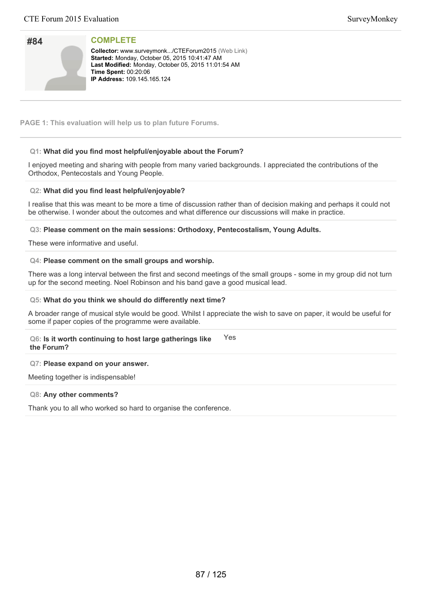| #84 |  |
|-----|--|
|     |  |

**Collector:** www.surveymonk.../CTEForum2015 (Web Link) **Started: Monday, October 05, 2015 10:41:47 AM** Last Modified: Monday, October 05, 2015 11:01:54 AM **Time Spent: 00:20:06 IP Address: 109.145.165.124** 

**PAGE 1: This evaluation will help us to plan future Forums.**

# **Q1: What did you find most helpful/enjoyable about the Forum?**

I enjoyed meeting and sharing with people from many varied backgrounds. I appreciated the contributions of the Orthodox, Pentecostals and Young People.

### **Q2: What did you find least helpful/enjoyable?**

I realise that this was meant to be more a time of discussion rather than of decision making and perhaps it could not be otherwise. I wonder about the outcomes and what difference our discussions will make in practice.

**Q3: Please comment on the main sessions: Orthodoxy, Pentecostalism, Young Adults.**

These were informative and useful.

#### **Q4: Please comment on the small groups and worship.**

There was a long interval between the first and second meetings of the small groups - some in my group did not turn up for the second meeting. Noel Robinson and his band gave a good musical lead.

#### **Q5: What do you think we should do differently next time?**

A broader range of musical style would be good. Whilst I appreciate the wish to save on paper, it would be useful for some if paper copies of the programme were available.

#### **Q6: Is it worth continuing to host large gatherings like the Forum?** Yes

# **Q7: Please expand on your answer.**

Meeting together is indispensable!

#### **Q8: Any other comments?**

Thank you to all who worked so hard to organise the conference.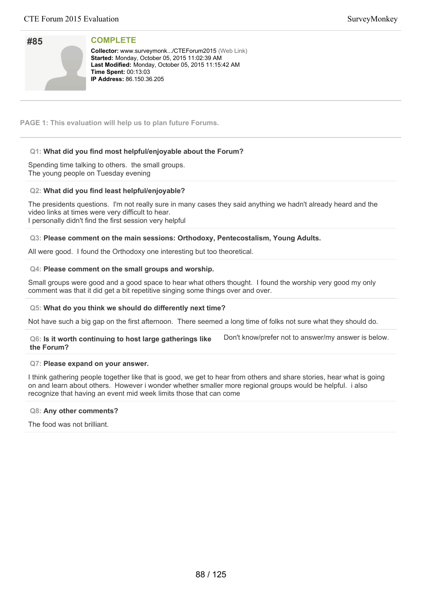| #85 |  |
|-----|--|
|     |  |
|     |  |
|     |  |

**Collector:** www.surveymonk.../CTEForum2015 (Web Link) **Started: Monday, October 05, 2015 11:02:39 AM** Last Modified: Monday, October 05, 2015 11:15:42 AM **Time Spent: 00:13:03 IP Address:** 86.150.36.205

**PAGE 1: This evaluation will help us to plan future Forums.**

# **Q1: What did you find most helpful/enjoyable about the Forum?**

Spending time talking to others. the small groups. The young people on Tuesday evening

### **Q2: What did you find least helpful/enjoyable?**

The presidents questions. I'm not really sure in many cases they said anything we hadn't already heard and the video links at times were very difficult to hear. I personally didn't find the first session very helpful

### **Q3: Please comment on the main sessions: Orthodoxy, Pentecostalism, Young Adults.**

All were good. I found the Orthodoxy one interesting but too theoretical.

### **Q4: Please comment on the small groups and worship.**

Small groups were good and a good space to hear what others thought. I found the worship very good my only comment was that it did get a bit repetitive singing some things over and over.

#### **Q5: What do you think we should do differently next time?**

Not have such a big gap on the first afternoon. There seemed a long time of folks not sure what they should do.

| Q6: Is it worth continuing to host large gatherings like | Don't know/prefer not to answer/my answer is below. |
|----------------------------------------------------------|-----------------------------------------------------|
| the Forum?                                               |                                                     |

#### **Q7: Please expand on your answer.**

I think gathering people together like that is good, we get to hear from others and share stories, hear what is going on and learn about others. However i wonder whether smaller more regional groups would be helpful. i also recognize that having an event mid week limits those that can come

#### **Q8: Any other comments?**

The food was not brilliant.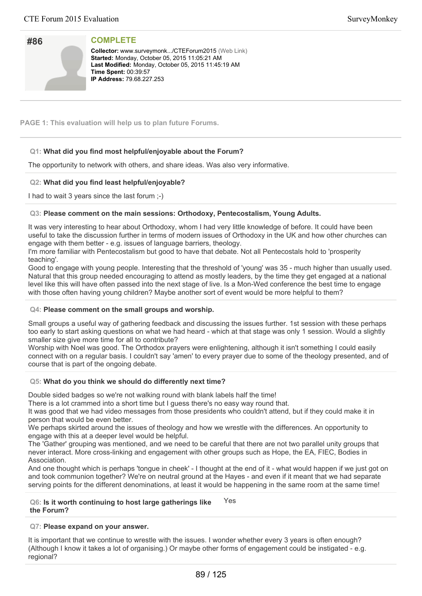| #86 |  |
|-----|--|
|     |  |
|     |  |
|     |  |

**Collector:** www.surveymonk.../CTEForum2015 (Web Link) **Started: Monday, October 05, 2015 11:05:21 AM** Last Modified: Monday, October 05, 2015 11:45:19 AM **Time Spent: 00:39:57 IP Address: 79.68.227.253** 

**PAGE 1: This evaluation will help us to plan future Forums.**

# **Q1: What did you find most helpful/enjoyable about the Forum?**

The opportunity to network with others, and share ideas. Was also very informative.

# **Q2: What did you find least helpful/enjoyable?**

I had to wait 3 years since the last forum ;-)

### **Q3: Please comment on the main sessions: Orthodoxy, Pentecostalism, Young Adults.**

It was very interesting to hear about Orthodoxy, whom I had very little knowledge of before. It could have been useful to take the discussion further in terms of modern issues of Orthodoxy in the UK and how other churches can engage with them better - e.g. issues of language barriers, theology.

I'm more familiar with Pentecostalism but good to have that debate. Not all Pentecostals hold to 'prosperity teaching'.

Good to engage with young people. Interesting that the threshold of 'young' was 35 - much higher than usually used. Natural that this group needed encouraging to attend as mostly leaders, by the time they get engaged at a national level like this will have often passed into the next stage of live. Is a Mon-Wed conference the best time to engage with those often having young children? Maybe another sort of event would be more helpful to them?

#### **Q4: Please comment on the small groups and worship.**

Small groups a useful way of gathering feedback and discussing the issues further. 1st session with these perhaps too early to start asking questions on what we had heard - which at that stage was only 1 session. Would a slightly smaller size give more time for all to contribute?

Worship with Noel was good. The Orthodox prayers were enlightening, although it isn't something I could easily connect with on a regular basis. I couldn't say 'amen' to every prayer due to some of the theology presented, and of course that is part of the ongoing debate.

# **Q5: What do you think we should do differently next time?**

Double sided badges so we're not walking round with blank labels half the time!

There is a lot crammed into a short time but I guess there's no easy way round that.

It was good that we had video messages from those presidents who couldn't attend, but if they could make it in person that would be even better.

We perhaps skirted around the issues of theology and how we wrestle with the differences. An opportunity to engage with this at a deeper level would be helpful.

The 'Gather' grouping was mentioned, and we need to be careful that there are not two parallel unity groups that never interact. More cross-linking and engagement with other groups such as Hope, the EA, FIEC, Bodies in Association.

And one thought which is perhaps 'tongue in cheek' - I thought at the end of it - what would happen if we just got on and took communion together? We're on neutral ground at the Hayes - and even if it meant that we had separate serving points for the different denominations, at least it would be happening in the same room at the same time!

#### **Q6: Is it worth continuing to host large gatherings like the Forum?** Yes

# **Q7: Please expand on your answer.**

It is important that we continue to wrestle with the issues. I wonder whether every 3 years is often enough? (Although I know it takes a lot of organising.) Or maybe other forms of engagement could be instigated - e.g. regional?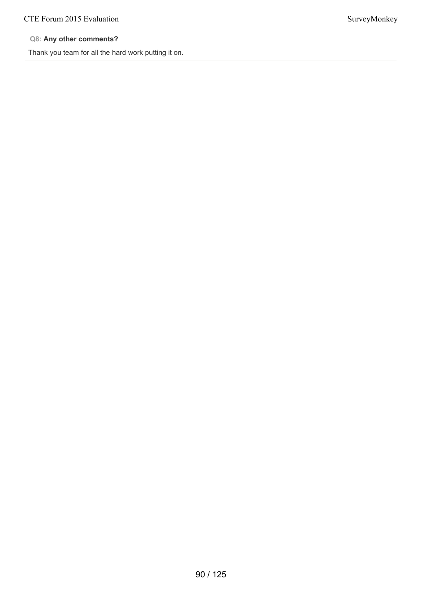# CTE Forum 2015 Evaluation SurveyMonkey

# **Q8: Any other comments?**

Thank you team for all the hard work putting it on.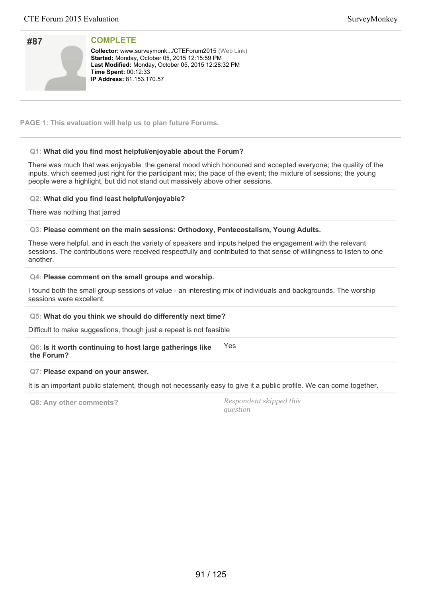| #87 |  |
|-----|--|
|     |  |
|     |  |
|     |  |

**Collector:** www.surveymonk.../CTEForum2015 (Web Link) **Started: Monday, October 05, 2015 12:15:59 PM** Last Modified: Monday, October 05, 2015 12:28:32 PM **Time Spent: 00:12:33 IP Address:** 81.153.170.57

**PAGE 1: This evaluation will help us to plan future Forums.**

# **Q1: What did you find most helpful/enjoyable about the Forum?**

There was much that was enjoyable: the general mood which honoured and accepted everyone; the quality of the inputs, which seemed just right for the participant mix; the pace of the event; the mixture of sessions; the young people were a highlight, but did not stand out massively above other sessions.

### **Q2: What did you find least helpful/enjoyable?**

There was nothing that jarred

### **Q3: Please comment on the main sessions: Orthodoxy, Pentecostalism, Young Adults.**

These were helpful, and in each the variety of speakers and inputs helped the engagement with the relevant sessions. The contributions were received respectfully and contributed to that sense of willingness to listen to one another.

#### **Q4: Please comment on the small groups and worship.**

I found both the small group sessions of value - an interesting mix of individuals and backgrounds. The worship sessions were excellent.

#### **Q5: What do you think we should do differently next time?**

Difficult to make suggestions, though just a repeat is not feasible

**Q6: Is it worth continuing to host large gatherings like the Forum?** Yes

#### **Q7: Please expand on your answer.**

It is an important public statement, though not necessarily easy to give it a public profile. We can come together.

**Q8: Any other comments?** *Respondent skipped this question*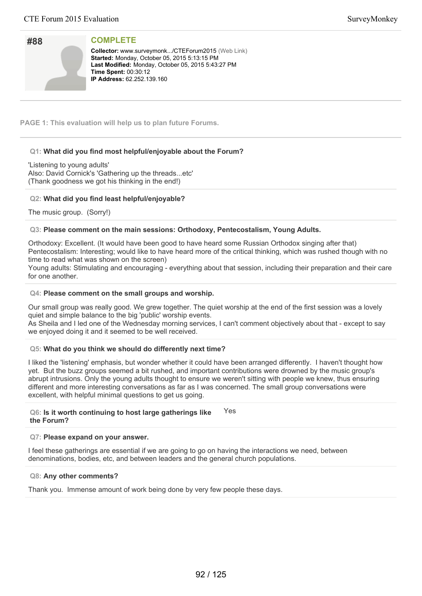| #88 |  |
|-----|--|
|     |  |
|     |  |
|     |  |

**Collector:** www.surveymonk.../CTEForum2015 (Web Link) **Started: Monday, October 05, 2015 5:13:15 PM** Last Modified: Monday, October 05, 2015 5:43:27 PM **Time Spent: 00:30:12 IP Address: 62.252.139.160** 

**PAGE 1: This evaluation will help us to plan future Forums.**

# **Q1: What did you find most helpful/enjoyable about the Forum?**

'Listening to young adults' Also: David Cornick's 'Gathering up the threads...etc' (Thank goodness we got his thinking in the end!)

### **Q2: What did you find least helpful/enjoyable?**

The music group. (Sorry!)

#### **Q3: Please comment on the main sessions: Orthodoxy, Pentecostalism, Young Adults.**

Orthodoxy: Excellent. (It would have been good to have heard some Russian Orthodox singing after that) Pentecostalism: Interesting; would like to have heard more of the critical thinking, which was rushed though with no time to read what was shown on the screen)

Young adults: Stimulating and encouraging - everything about that session, including their preparation and their care for one another.

#### **Q4: Please comment on the small groups and worship.**

Our small group was really good. We grew together. The quiet worship at the end of the first session was a lovely quiet and simple balance to the big 'public' worship events. As Sheila and I led one of the Wednesday morning services, I can't comment objectively about that - except to say we enjoyed doing it and it seemed to be well received.

#### **Q5: What do you think we should do differently next time?**

I liked the 'listening' emphasis, but wonder whether it could have been arranged differently. I haven't thought how yet. But the buzz groups seemed a bit rushed, and important contributions were drowned by the music group's abrupt intrusions. Only the young adults thought to ensure we weren't sitting with people we knew, thus ensuring different and more interesting conversations as far as I was concerned. The small group conversations were excellent, with helpful minimal questions to get us going.

#### **Q6: Is it worth continuing to host large gatherings like the Forum?** Yes

### **Q7: Please expand on your answer.**

I feel these gatherings are essential if we are going to go on having the interactions we need, between denominations, bodies, etc, and between leaders and the general church populations.

#### **Q8: Any other comments?**

Thank you. Immense amount of work being done by very few people these days.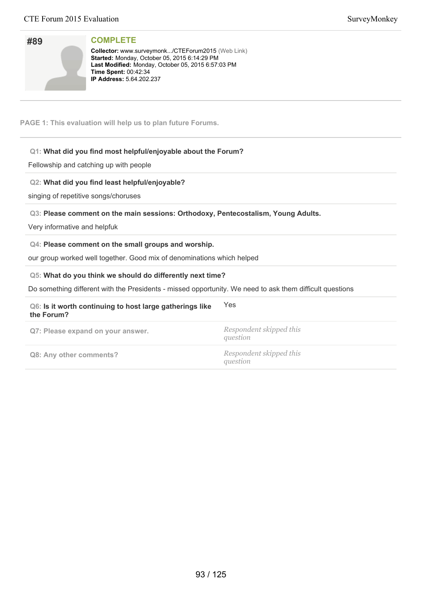| #89 |  |
|-----|--|
|     |  |
|     |  |

**Collector:** www.surveymonk.../CTEForum2015 (Web Link) **Started:** Monday, October 05, 2015 6:14:29 PM Last Modified: Monday, October 05, 2015 6:57:03 PM **Time Spent:** 00:42:34 **IP Address:** 5.64.202.237

**PAGE 1: This evaluation will help us to plan future Forums.**

# **Q1: What did you find most helpful/enjoyable about the Forum?**

Fellowship and catching up with people

# **Q2: What did you find least helpful/enjoyable?**

singing of repetitive songs/choruses

### **Q3: Please comment on the main sessions: Orthodoxy, Pentecostalism, Young Adults.**

Very informative and helpfuk

#### **Q4: Please comment on the small groups and worship.**

our group worked well together. Good mix of denominations which helped

#### **Q5: What do you think we should do differently next time?**

Do something different with the Presidents - missed opportunity. We need to ask them difficult questions

# **Q6: Is it worth continuing to host large gatherings like the Forum?** Yes **Q7: Please expand on your answer.** *Respondent skipped this question* **Q8: Any other comments?** *Respondent skipped this question*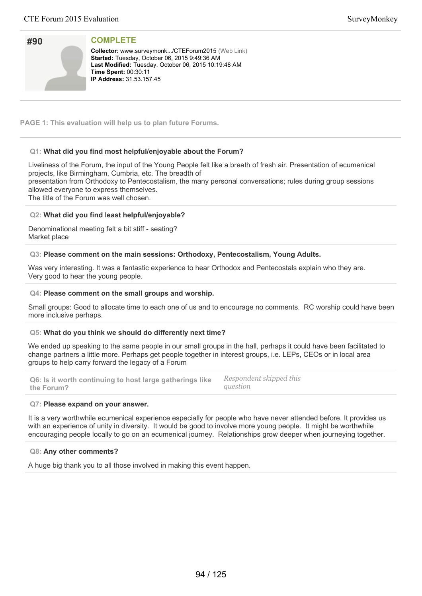| #90 |  |
|-----|--|
|     |  |
|     |  |
|     |  |
|     |  |

Collector: www.surveymonk.../CTEForum2015 (Web Link) Started: Tuesday, October 06, 2015 9:49:36 AM Last Modified: Tuesday, October 06, 2015 10:19:48 AM **Time Spent: 00:30:11 IP Address:** 31.53.157.45

**PAGE 1: This evaluation will help us to plan future Forums.**

# **Q1: What did you find most helpful/enjoyable about the Forum?**

Liveliness of the Forum, the input of the Young People felt like a breath of fresh air. Presentation of ecumenical projects, like Birmingham, Cumbria, etc. The breadth of presentation from Orthodoxy to Pentecostalism, the many personal conversations; rules during group sessions allowed everyone to express themselves.

The title of the Forum was well chosen.

### **Q2: What did you find least helpful/enjoyable?**

Denominational meeting felt a bit stiff - seating? Market place

### **Q3: Please comment on the main sessions: Orthodoxy, Pentecostalism, Young Adults.**

Was very interesting. It was a fantastic experience to hear Orthodox and Pentecostals explain who they are. Very good to hear the young people.

#### **Q4: Please comment on the small groups and worship.**

Small groups: Good to allocate time to each one of us and to encourage no comments. RC worship could have been more inclusive perhaps.

#### **Q5: What do you think we should do differently next time?**

We ended up speaking to the same people in our small groups in the hall, perhaps it could have been facilitated to change partners a little more. Perhaps get people together in interest groups, i.e. LEPs, CEOs or in local area groups to help carry forward the legacy of a Forum

**Q6: Is it worth continuing to host large gatherings like the Forum?** *Respondent skipped this question*

#### **Q7: Please expand on your answer.**

It is a very worthwhile ecumenical experience especially for people who have never attended before. It provides us with an experience of unity in diversity. It would be good to involve more young people. It might be worthwhile encouraging people locally to go on an ecumenical journey. Relationships grow deeper when journeying together.

#### **Q8: Any other comments?**

A huge big thank you to all those involved in making this event happen.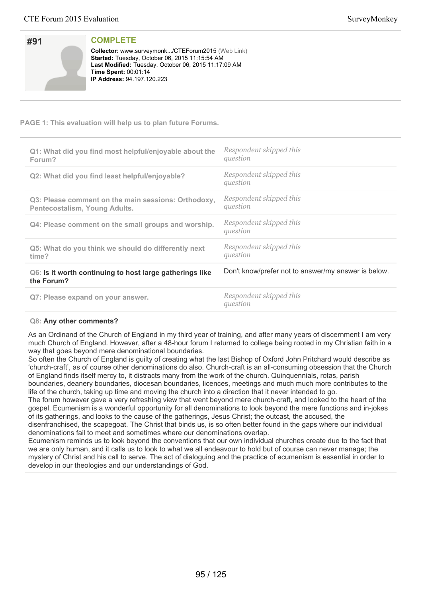| #91 |  |
|-----|--|
|     |  |
|     |  |
|     |  |

**Collector:** www.surveymonk.../CTEForum2015 (Web Link) **Started:** Tuesday, October 06, 2015 11:15:54 AM Last Modified: Tuesday, October 06, 2015 11:17:09 AM **Time Spent: 00:01:14 IP Address: 94.197.120.223** 

# **PAGE 1: This evaluation will help us to plan future Forums.**

| Q1: What did you find most helpful/enjoyable about the<br>Forum?                     | Respondent skipped this<br>question                 |
|--------------------------------------------------------------------------------------|-----------------------------------------------------|
| Q2: What did you find least helpful/enjoyable?                                       | Respondent skipped this<br>question                 |
| Q3: Please comment on the main sessions: Orthodoxy,<br>Pentecostalism, Young Adults. | Respondent skipped this<br>question                 |
| Q4: Please comment on the small groups and worship.                                  | Respondent skipped this<br>question                 |
| Q5: What do you think we should do differently next<br>time?                         | Respondent skipped this<br>question                 |
| Q6: Is it worth continuing to host large gatherings like<br>the Forum?               | Don't know/prefer not to answer/my answer is below. |
| Q7: Please expand on your answer.                                                    | Respondent skipped this<br>question                 |

# **Q8: Any other comments?**

As an Ordinand of the Church of England in my third year of training, and after many years of discernment I am very much Church of England. However, after a 48-hour forum I returned to college being rooted in my Christian faith in a way that goes beyond mere denominational boundaries.

So often the Church of England is guilty of creating what the last Bishop of Oxford John Pritchard would describe as 'church-craft', as of course other denominations do also. Church-craft is an all-consuming obsession that the Church of England finds itself mercy to, it distracts many from the work of the church. Quinquennials, rotas, parish boundaries, deanery boundaries, diocesan boundaries, licences, meetings and much much more contributes to the

life of the church, taking up time and moving the church into a direction that it never intended to go. The forum however gave a very refreshing view that went beyond mere church-craft, and looked to the heart of the gospel. Ecumenism is a wonderful opportunity for all denominations to look beyond the mere functions and in-jokes of its gatherings, and looks to the cause of the gatherings, Jesus Christ; the outcast, the accused, the

disenfranchised, the scapegoat. The Christ that binds us, is so often better found in the gaps where our individual denominations fail to meet and sometimes where our denominations overlap.

Ecumenism reminds us to look beyond the conventions that our own individual churches create due to the fact that we are only human, and it calls us to look to what we all endeavour to hold but of course can never manage; the mystery of Christ and his call to serve. The act of dialoguing and the practice of ecumenism is essential in order to develop in our theologies and our understandings of God.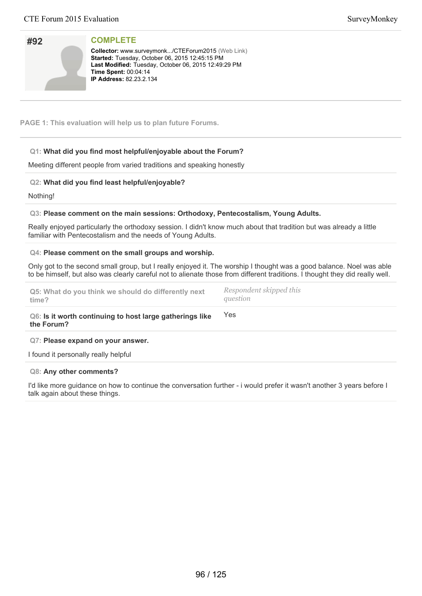| #92 |  |
|-----|--|
|     |  |
|     |  |
|     |  |

**Collector:** www.surveymonk.../CTEForum2015 (Web Link) **Started:** Tuesday, October 06, 2015 12:45:15 PM Last Modified: Tuesday, October 06, 2015 12:49:29 PM **Time Spent:** 00:04:14 **IP Address:** 82.23.2.134

**PAGE 1: This evaluation will help us to plan future Forums.**

# **Q1: What did you find most helpful/enjoyable about the Forum?**

Meeting different people from varied traditions and speaking honestly

# **Q2: What did you find least helpful/enjoyable?**

Nothing!

### **Q3: Please comment on the main sessions: Orthodoxy, Pentecostalism, Young Adults.**

Really enjoyed particularly the orthodoxy session. I didn't know much about that tradition but was already a little familiar with Pentecostalism and the needs of Young Adults.

#### **Q4: Please comment on the small groups and worship.**

Only got to the second small group, but I really enjoyed it. The worship I thought was a good balance. Noel was able to be himself, but also was clearly careful not to alienate those from different traditions. I thought they did really well.

| Q5: What do you think we should do differently next | Respondent skipped this |
|-----------------------------------------------------|-------------------------|
| time?                                               | question                |
|                                                     |                         |

**Q6: Is it worth continuing to host large gatherings like the Forum?** Yes

#### **Q7: Please expand on your answer.**

I found it personally really helpful

#### **Q8: Any other comments?**

I'd like more guidance on how to continue the conversation further - i would prefer it wasn't another 3 years before I talk again about these things.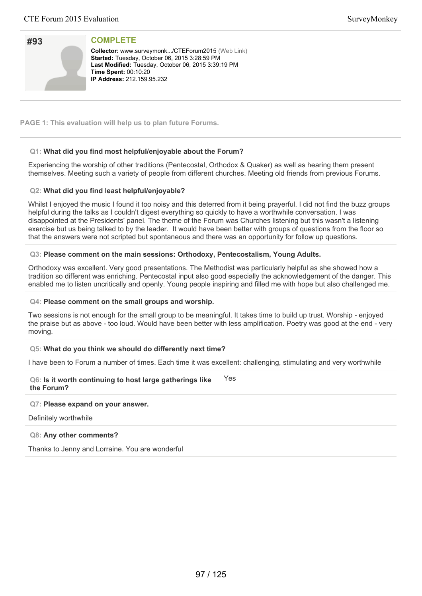| #93 |  |
|-----|--|
|     |  |
|     |  |
|     |  |

**Collector:** www.surveymonk.../CTEForum2015 (Web Link) **Started: Tuesday, October 06, 2015 3:28:59 PM** Last Modified: Tuesday, October 06, 2015 3:39:19 PM **Time Spent: 00:10:20 IP Address:** 212.159.95.232

**PAGE 1: This evaluation will help us to plan future Forums.**

# **Q1: What did you find most helpful/enjoyable about the Forum?**

Experiencing the worship of other traditions (Pentecostal, Orthodox & Quaker) as well as hearing them present themselves. Meeting such a variety of people from different churches. Meeting old friends from previous Forums.

### **Q2: What did you find least helpful/enjoyable?**

Whilst I enjoyed the music I found it too noisy and this deterred from it being prayerful. I did not find the buzz groups helpful during the talks as I couldn't digest everything so quickly to have a worthwhile conversation. I was disappointed at the Presidents' panel. The theme of the Forum was Churches listening but this wasn't a listening exercise but us being talked to by the leader. It would have been better with groups of questions from the floor so that the answers were not scripted but spontaneous and there was an opportunity for follow up questions.

### **Q3: Please comment on the main sessions: Orthodoxy, Pentecostalism, Young Adults.**

Orthodoxy was excellent. Very good presentations. The Methodist was particularly helpful as she showed how a tradition so different was enriching. Pentecostal input also good especially the acknowledgement of the danger. This enabled me to listen uncritically and openly. Young people inspiring and filled me with hope but also challenged me.

#### **Q4: Please comment on the small groups and worship.**

Two sessions is not enough for the small group to be meaningful. It takes time to build up trust. Worship - enjoyed the praise but as above - too loud. Would have been better with less amplification. Poetry was good at the end - very moving.

# **Q5: What do you think we should do differently next time?**

I have been to Forum a number of times. Each time it was excellent: challenging, stimulating and very worthwhile

**Q6: Is it worth continuing to host large gatherings like the Forum? Y**es

#### **Q7: Please expand on your answer.**

Definitely worthwhile

#### **Q8: Any other comments?**

Thanks to Jenny and Lorraine. You are wonderful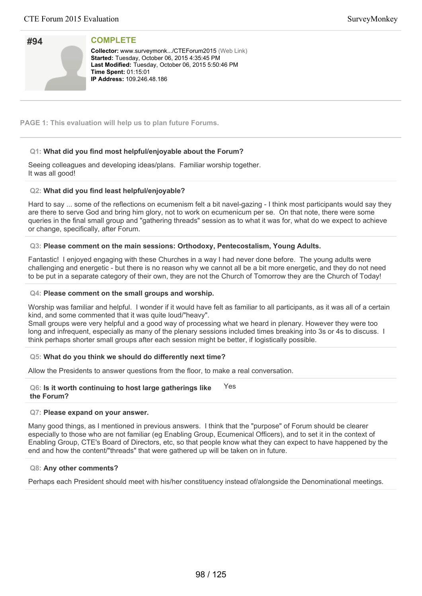| #94 |  |
|-----|--|
|     |  |
|     |  |
|     |  |

**Collector:** www.surveymonk.../CTEForum2015 (Web Link) **Started: Tuesday, October 06, 2015 4:35:45 PM** Last Modified: Tuesday, October 06, 2015 5:50:46 PM **Time Spent: 01:15:01 IP Address: 109.246.48.186** 

**PAGE 1: This evaluation will help us to plan future Forums.**

# **Q1: What did you find most helpful/enjoyable about the Forum?**

Seeing colleagues and developing ideas/plans. Familiar worship together. It was all good!

### **Q2: What did you find least helpful/enjoyable?**

Hard to say ... some of the reflections on ecumenism felt a bit navel-gazing - I think most participants would say they are there to serve God and bring him glory, not to work on ecumenicum per se. On that note, there were some queries in the final small group and "gathering threads" session as to what it was for, what do we expect to achieve or change, specifically, after Forum.

### **Q3: Please comment on the main sessions: Orthodoxy, Pentecostalism, Young Adults.**

Fantastic! I enjoyed engaging with these Churches in a way I had never done before. The young adults were challenging and energetic - but there is no reason why we cannot all be a bit more energetic, and they do not need to be put in a separate category of their own, they are not the Church of Tomorrow they are the Church of Today!

#### **Q4: Please comment on the small groups and worship.**

Worship was familiar and helpful. I wonder if it would have felt as familiar to all participants, as it was all of a certain kind, and some commented that it was quite loud/"heavy".

Small groups were very helpful and a good way of processing what we heard in plenary. However they were too long and infrequent, especially as many of the plenary sessions included times breaking into 3s or 4s to discuss. I think perhaps shorter small groups after each session might be better, if logistically possible.

#### **Q5: What do you think we should do differently next time?**

Allow the Presidents to answer questions from the floor, to make a real conversation.

#### **Q6: Is it worth continuing to host large gatherings like the Forum?** Yes

#### **Q7: Please expand on your answer.**

Many good things, as I mentioned in previous answers. I think that the "purpose" of Forum should be clearer especially to those who are not familiar (eg Enabling Group, Ecumenical Officers), and to set it in the context of Enabling Group, CTE's Board of Directors, etc, so that people know what they can expect to have happened by the end and how the content/"threads" that were gathered up will be taken on in future.

#### **Q8: Any other comments?**

Perhaps each President should meet with his/her constituency instead of/alongside the Denominational meetings.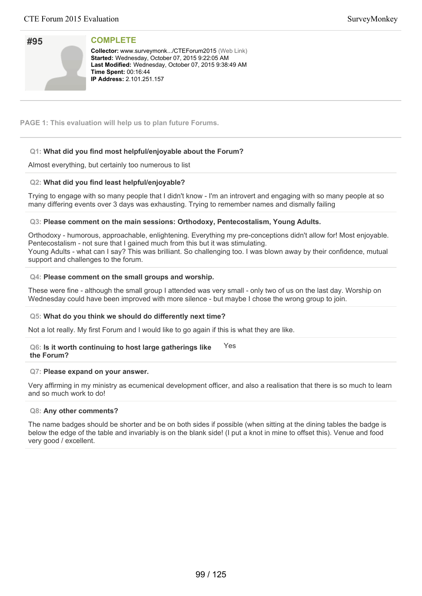| #95 |  |
|-----|--|
|     |  |
|     |  |
|     |  |

**Collector:** www.surveymonk.../CTEForum2015 (Web Link) **Started: Wednesday, October 07, 2015 9:22:05 AM** Last Modified: Wednesday, October 07, 2015 9:38:49 AM **Time Spent: 00:16:44 IP Address: 2.101.251.157** 

**PAGE 1: This evaluation will help us to plan future Forums.**

# **Q1: What did you find most helpful/enjoyable about the Forum?**

Almost everything, but certainly too numerous to list

# **Q2: What did you find least helpful/enjoyable?**

Trying to engage with so many people that I didn't know - I'm an introvert and engaging with so many people at so many differing events over 3 days was exhausting. Trying to remember names and dismally failing

# **Q3: Please comment on the main sessions: Orthodoxy, Pentecostalism, Young Adults.**

Orthodoxy - humorous, approachable, enlightening. Everything my pre-conceptions didn't allow for! Most enjoyable. Pentecostalism - not sure that I gained much from this but it was stimulating. Young Adults - what can I say? This was brilliant. So challenging too. I was blown away by their confidence, mutual support and challenges to the forum.

# **Q4: Please comment on the small groups and worship.**

These were fine - although the small group I attended was very small - only two of us on the last day. Worship on Wednesday could have been improved with more silence - but maybe I chose the wrong group to join.

# **Q5: What do you think we should do differently next time?**

Not a lot really. My first Forum and I would like to go again if this is what they are like.

#### **Q6: Is it worth continuing to host large gatherings like the Forum?** Yes

# **Q7: Please expand on your answer.**

Very affirming in my ministry as ecumenical development officer, and also a realisation that there is so much to learn and so much work to do!

# **Q8: Any other comments?**

The name badges should be shorter and be on both sides if possible (when sitting at the dining tables the badge is below the edge of the table and invariably is on the blank side! (I put a knot in mine to offset this). Venue and food very good / excellent.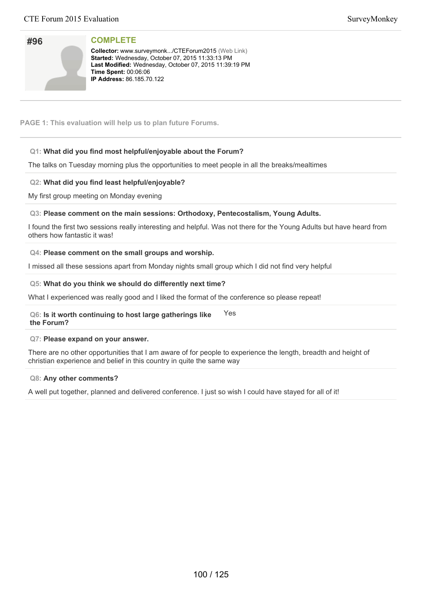| #96 |  |
|-----|--|
|     |  |
|     |  |
|     |  |
|     |  |
|     |  |

**Collector:** www.surveymonk.../CTEForum2015 (Web Link) Started: Wednesday, October 07, 2015 11:33:13 PM Last Modified: Wednesday, October 07, 2015 11:39:19 PM **Time Spent: 00:06:06 IP Address:** 86.185.70.122

**PAGE 1: This evaluation will help us to plan future Forums.**

# **Q1: What did you find most helpful/enjoyable about the Forum?**

The talks on Tuesday morning plus the opportunities to meet people in all the breaks/mealtimes

# **Q2: What did you find least helpful/enjoyable?**

My first group meeting on Monday evening

### **Q3: Please comment on the main sessions: Orthodoxy, Pentecostalism, Young Adults.**

I found the first two sessions really interesting and helpful. Was not there for the Young Adults but have heard from others how fantastic it was!

### **Q4: Please comment on the small groups and worship.**

I missed all these sessions apart from Monday nights small group which I did not find very helpful

### **Q5: What do you think we should do differently next time?**

What I experienced was really good and I liked the format of the conference so please repeat!

#### **Q6: Is it worth continuing to host large gatherings like the Forum?** Yes

#### **Q7: Please expand on your answer.**

There are no other opportunities that I am aware of for people to experience the length, breadth and height of christian experience and belief in this country in quite the same way

#### **Q8: Any other comments?**

A well put together, planned and delivered conference. I just so wish I could have stayed for all of it!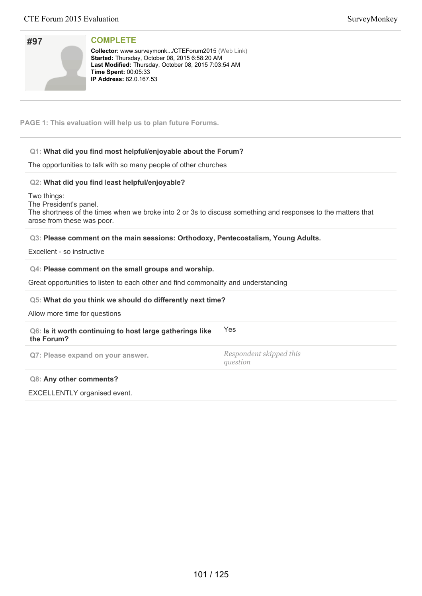| #97 |  |
|-----|--|
|     |  |
|     |  |
|     |  |

**Collector:** www.surveymonk.../CTEForum2015 (Web Link) Started: Thursday, October 08, 2015 6:58:20 AM Last Modified: Thursday, October 08, 2015 7:03:54 AM **Time Spent: 00:05:33 IP Address: 82.0.167.53** 

**PAGE 1: This evaluation will help us to plan future Forums.**

# **Q1: What did you find most helpful/enjoyable about the Forum?**

The opportunities to talk with so many people of other churches

# **Q2: What did you find least helpful/enjoyable?**

Two things: The President's panel. The shortness of the times when we broke into 2 or 3s to discuss something and responses to the matters that arose from these was poor.

# **Q3: Please comment on the main sessions: Orthodoxy, Pentecostalism, Young Adults.**

Excellent - so instructive

### **Q4: Please comment on the small groups and worship.**

Great opportunities to listen to each other and find commonality and understanding

#### **Q5: What do you think we should do differently next time?**

Allow more time for questions

#### **Q6: Is it worth continuing to host large gatherings like the Forum?** Yes

**Q7: Please expand on your answer.** *Respondent skipped this*

*question*

#### **Q8: Any other comments?**

EXCELLENTLY organised event.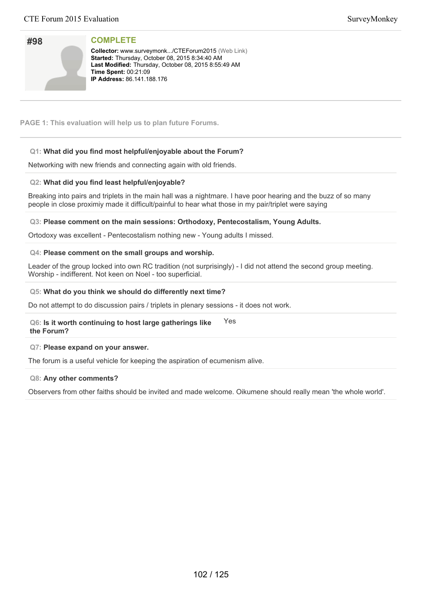| #98 |  |
|-----|--|
|     |  |
|     |  |
|     |  |

**Collector:** www.surveymonk.../CTEForum2015 (Web Link) **Started:** Thursday, October 08, 2015 8:34:40 AM Last Modified: Thursday, October 08, 2015 8:55:49 AM **Time Spent:** 00:21:09 **IP Address: 86.141.188.176** 

**PAGE 1: This evaluation will help us to plan future Forums.**

# **Q1: What did you find most helpful/enjoyable about the Forum?**

Networking with new friends and connecting again with old friends.

# **Q2: What did you find least helpful/enjoyable?**

Breaking into pairs and triplets in the main hall was a nightmare. I have poor hearing and the buzz of so many people in close proximiy made it difficult/painful to hear what those in my pair/triplet were saying

# **Q3: Please comment on the main sessions: Orthodoxy, Pentecostalism, Young Adults.**

Ortodoxy was excellent - Pentecostalism nothing new - Young adults I missed.

### **Q4: Please comment on the small groups and worship.**

Leader of the group locked into own RC tradition (not surprisingly) - I did not attend the second group meeting. Worship - indifferent. Not keen on Noel - too superficial.

### **Q5: What do you think we should do differently next time?**

Do not attempt to do discussion pairs / triplets in plenary sessions - it does not work.

#### **Q6: Is it worth continuing to host large gatherings like the Forum?** Yes

#### **Q7: Please expand on your answer.**

The forum is a useful vehicle for keeping the aspiration of ecumenism alive.

#### **Q8: Any other comments?**

Observers from other faiths should be invited and made welcome. Oikumene should really mean 'the whole world'.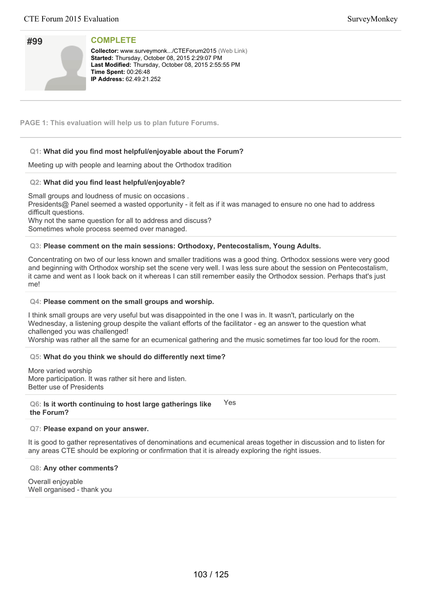| #99 |  |
|-----|--|
|     |  |
|     |  |
|     |  |

**Collector:** www.surveymonk.../CTEForum2015 (Web Link) Started: Thursday, October 08, 2015 2:29:07 PM Last Modified: Thursday, October 08, 2015 2:55:55 PM **Time Spent: 00:26:48 IP Address:** 62.49.21.252

**PAGE 1: This evaluation will help us to plan future Forums.**

# **Q1: What did you find most helpful/enjoyable about the Forum?**

Meeting up with people and learning about the Orthodox tradition

# **Q2: What did you find least helpful/enjoyable?**

Small groups and loudness of music on occasions .

Presidents@ Panel seemed a wasted opportunity - it felt as if it was managed to ensure no one had to address difficult questions.

Why not the same question for all to address and discuss?

Sometimes whole process seemed over managed.

# **Q3: Please comment on the main sessions: Orthodoxy, Pentecostalism, Young Adults.**

Concentrating on two of our less known and smaller traditions was a good thing. Orthodox sessions were very good and beginning with Orthodox worship set the scene very well. I was less sure about the session on Pentecostalism, it came and went as I look back on it whereas I can still remember easily the Orthodox session. Perhaps that's just me!

#### **Q4: Please comment on the small groups and worship.**

I think small groups are very useful but was disappointed in the one I was in. It wasn't, particularly on the Wednesday, a listening group despite the valiant efforts of the facilitator - eg an answer to the question what challenged you was challenged!

Worship was rather all the same for an ecumenical gathering and the music sometimes far too loud for the room.

#### **Q5: What do you think we should do differently next time?**

More varied worship More participation. It was rather sit here and listen. Better use of Presidents

**Q6: Is it worth continuing to host large gatherings like the Forum?** Yes

#### **Q7: Please expand on your answer.**

It is good to gather representatives of denominations and ecumenical areas together in discussion and to listen for any areas CTE should be exploring or confirmation that it is already exploring the right issues.

#### **Q8: Any other comments?**

Overall enjoyable Well organised - thank you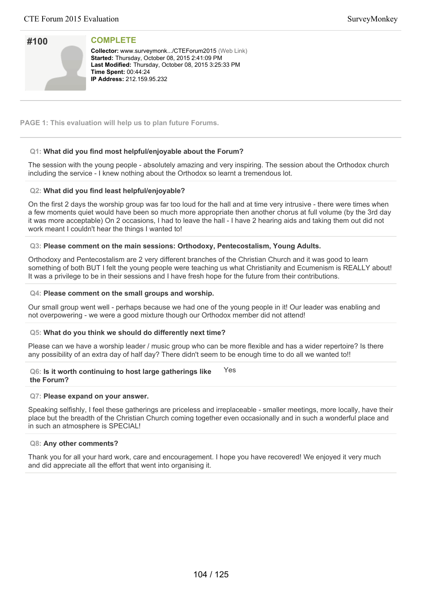| #100 |  |
|------|--|
|      |  |
|      |  |

**Collector:** www.surveymonk.../CTEForum2015 (Web Link) Started: Thursday, October 08, 2015 2:41:09 PM Last Modified: Thursday, October 08, 2015 3:25:33 PM **Time Spent: 00:44:24 IP Address:** 212.159.95.232

**PAGE 1: This evaluation will help us to plan future Forums.**

# **Q1: What did you find most helpful/enjoyable about the Forum?**

The session with the young people - absolutely amazing and very inspiring. The session about the Orthodox church including the service - I knew nothing about the Orthodox so learnt a tremendous lot.

### **Q2: What did you find least helpful/enjoyable?**

On the first 2 days the worship group was far too loud for the hall and at time very intrusive - there were times when a few moments quiet would have been so much more appropriate then another chorus at full volume (by the 3rd day it was more acceptable) On 2 occasions, I had to leave the hall - I have 2 hearing aids and taking them out did not work meant I couldn't hear the things I wanted to!

### **Q3: Please comment on the main sessions: Orthodoxy, Pentecostalism, Young Adults.**

Orthodoxy and Pentecostalism are 2 very different branches of the Christian Church and it was good to learn something of both BUT I felt the young people were teaching us what Christianity and Ecumenism is REALLY about! It was a privilege to be in their sessions and I have fresh hope for the future from their contributions.

#### **Q4: Please comment on the small groups and worship.**

Our small group went well - perhaps because we had one of the young people in it! Our leader was enabling and not overpowering - we were a good mixture though our Orthodox member did not attend!

# **Q5: What do you think we should do differently next time?**

Please can we have a worship leader / music group who can be more flexible and has a wider repertoire? Is there any possibility of an extra day of half day? There didn't seem to be enough time to do all we wanted to!!

#### **Q6: Is it worth continuing to host large gatherings like the Forum?** Yes

#### **Q7: Please expand on your answer.**

Speaking selfishly, I feel these gatherings are priceless and irreplaceable - smaller meetings, more locally, have their place but the breadth of the Christian Church coming together even occasionally and in such a wonderful place and in such an atmosphere is SPECIAL!

#### **Q8: Any other comments?**

Thank you for all your hard work, care and encouragement. I hope you have recovered! We enjoyed it very much and did appreciate all the effort that went into organising it.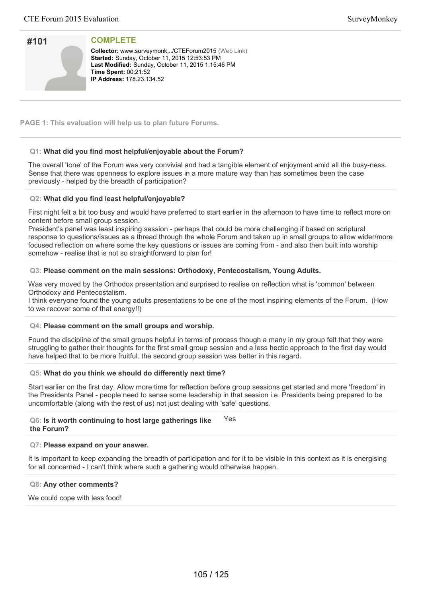| #101 |  |
|------|--|
|      |  |
|      |  |
|      |  |

**Collector:** www.surveymonk.../CTEForum2015 (Web Link) Started: Sunday, October 11, 2015 12:53:53 PM Last Modified: Sunday, October 11, 2015 1:15:46 PM **Time Spent: 00:21:52 IP Address: 178.23.134.52** 

**PAGE 1: This evaluation will help us to plan future Forums.**

# **Q1: What did you find most helpful/enjoyable about the Forum?**

The overall 'tone' of the Forum was very convivial and had a tangible element of enjoyment amid all the busy-ness. Sense that there was openness to explore issues in a more mature way than has sometimes been the case previously - helped by the breadth of participation?

### **Q2: What did you find least helpful/enjoyable?**

First night felt a bit too busy and would have preferred to start earlier in the afternoon to have time to reflect more on content before small group session.

President's panel was least inspiring session - perhaps that could be more challenging if based on scriptural response to questions/issues as a thread through the whole Forum and taken up in small groups to allow wider/more focused reflection on where some the key questions or issues are coming from - and also then built into worship somehow - realise that is not so straightforward to plan for!

### **Q3: Please comment on the main sessions: Orthodoxy, Pentecostalism, Young Adults.**

Was very moved by the Orthodox presentation and surprised to realise on reflection what is 'common' between Orthodoxy and Pentecostalism.

I think everyone found the young adults presentations to be one of the most inspiring elements of the Forum. (How to we recover some of that energy!!)

#### **Q4: Please comment on the small groups and worship.**

Found the discipline of the small groups helpful in terms of process though a many in my group felt that they were struggling to gather their thoughts for the first small group session and a less hectic approach to the first day would have helped that to be more fruitful. the second group session was better in this regard.

#### **Q5: What do you think we should do differently next time?**

Start earlier on the first day. Allow more time for reflection before group sessions get started and more 'freedom' in the Presidents Panel - people need to sense some leadership in that session i.e. Presidents being prepared to be uncomfortable (along with the rest of us) not just dealing with 'safe' questions.

#### **Q6: Is it worth continuing to host large gatherings like the Forum?** Yes

# **Q7: Please expand on your answer.**

It is important to keep expanding the breadth of participation and for it to be visible in this context as it is energising for all concerned - I can't think where such a gathering would otherwise happen.

#### **Q8: Any other comments?**

We could cope with less food!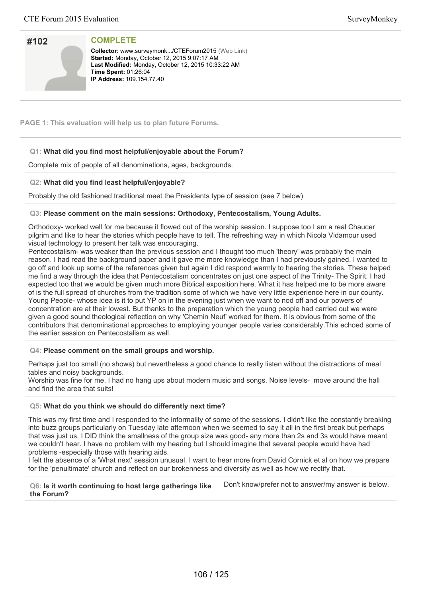| #102 |  |
|------|--|
|      |  |
|      |  |
|      |  |

**Collector:** www.surveymonk.../CTEForum2015 (Web Link) **Started: Monday, October 12, 2015 9:07:17 AM** Last Modified: Monday, October 12, 2015 10:33:22 AM **Time Spent: 01:26:04 IP Address: 109.154.77.40** 

**PAGE 1: This evaluation will help us to plan future Forums.**

# **Q1: What did you find most helpful/enjoyable about the Forum?**

Complete mix of people of all denominations, ages, backgrounds.

### **Q2: What did you find least helpful/enjoyable?**

Probably the old fashioned traditional meet the Presidents type of session (see 7 below)

### **Q3: Please comment on the main sessions: Orthodoxy, Pentecostalism, Young Adults.**

Orthodoxy- worked well for me because it flowed out of the worship session. I suppose too I am a real Chaucer pilgrim and like to hear the stories which people have to tell. The refreshing way in which Nicola Vidamour used visual technology to present her talk was encouraging.

Pentecostalism- was weaker than the previous session and I thought too much 'theory' was probably the main reason. I had read the background paper and it gave me more knowledge than I had previously gained. I wanted to go off and look up some of the references given but again I did respond warmly to hearing the stories. These helped me find a way through the idea that Pentecostalism concentrates on just one aspect of the Trinity- The Spirit. I had expected too that we would be given much more Biblical exposition here. What it has helped me to be more aware of is the full spread of churches from the tradition some of which we have very little experience here in our county. Young People- whose idea is it to put YP on in the evening just when we want to nod off and our powers of concentration are at their lowest. But thanks to the preparation which the young people had carried out we were given a good sound theological reflection on why 'Chemin Neuf' worked for them. It is obvious from some of the contributors that denominational approaches to employing younger people varies considerably.This echoed some of the earlier session on Pentecostalism as well.

#### **Q4: Please comment on the small groups and worship.**

Perhaps just too small (no shows) but nevertheless a good chance to really listen without the distractions of meal tables and noisy backgrounds.

Worship was fine for me. I had no hang ups about modern music and songs. Noise levels- move around the hall and find the area that suits!

#### **Q5: What do you think we should do differently next time?**

This was my first time and I responded to the informality of some of the sessions. I didn't like the constantly breaking into buzz groups particularly on Tuesday late afternoon when we seemed to say it all in the first break but perhaps that was just us. I DID think the smallness of the group size was good- any more than 2s and 3s would have meant we couldn't hear. I have no problem with my hearing but I should imagine that several people would have had problems -especially those with hearing aids.

I felt the absence of a 'What next' session unusual. I want to hear more from David Cornick et al on how we prepare for the 'penultimate' church and reflect on our brokenness and diversity as well as how we rectify that.

**Q6: Is it worth continuing to host large gatherings like the Forum?** Don't know/prefer not to answer/my answer is below.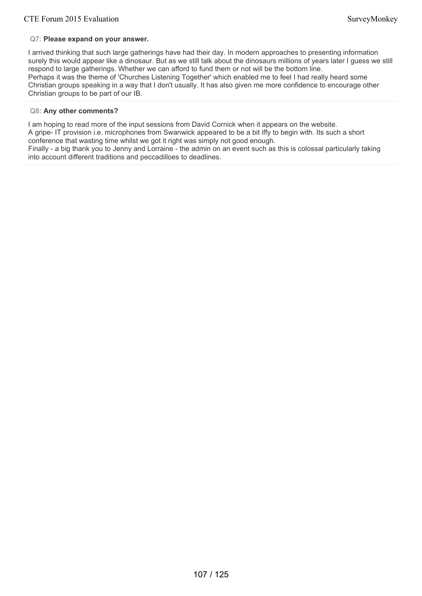# **Q7: Please expand on your answer.**

I arrived thinking that such large gatherings have had their day. In modern approaches to presenting information surely this would appear like a dinosaur. But as we still talk about the dinosaurs millions of years later I guess we still respond to large gatherings. Whether we can afford to fund them or not will be the bottom line. Perhaps it was the theme of 'Churches Listening Together' which enabled me to feel I had really heard some Christian groups speaking in a way that I don't usually. It has also given me more confidence to encourage other Christian groups to be part of our IB.

### **Q8: Any other comments?**

I am hoping to read more of the input sessions from David Cornick when it appears on the website. A gripe- IT provision i.e. microphones from Swanwick appeared to be a bit iffy to begin with. Its such a short conference that wasting time whilst we got it right was simply not good enough. Finally - a big thank you to Jenny and Lorraine - the admin on an event such as this is colossal particularly taking into account different traditions and peccadilloes to deadlines.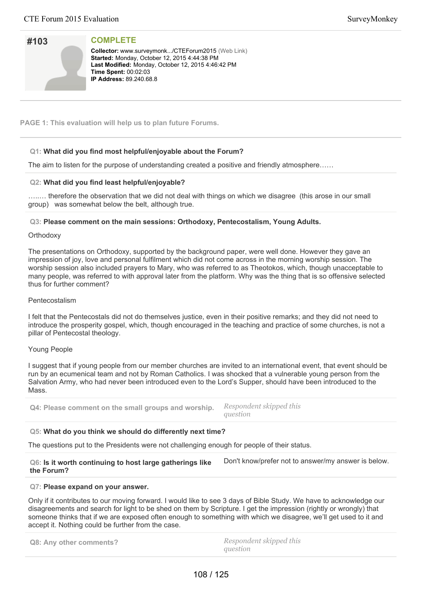| SurveyMonkey |  |
|--------------|--|
|              |  |

| #103 |  |
|------|--|
|      |  |
|      |  |

**Collector:** www.surveymonk.../CTEForum2015 (Web Link) **Started: Monday, October 12, 2015 4:44:38 PM** Last Modified: Monday, October 12, 2015 4:46:42 PM **Time Spent: 00:02:03 IP Address:** 89.240.68.8

**PAGE 1: This evaluation will help us to plan future Forums.**

# **Q1: What did you find most helpful/enjoyable about the Forum?**

The aim to listen for the purpose of understanding created a positive and friendly atmosphere……

# **Q2: What did you find least helpful/enjoyable?**

…..… therefore the observation that we did not deal with things on which we disagree (this arose in our small group) was somewhat below the belt, although true.

**Q3: Please comment on the main sessions: Orthodoxy, Pentecostalism, Young Adults.**

#### **Orthodoxy**

The presentations on Orthodoxy, supported by the background paper, were well done. However they gave an impression of joy, love and personal fulfilment which did not come across in the morning worship session. The worship session also included prayers to Mary, who was referred to as Theotokos, which, though unacceptable to many people, was referred to with approval later from the platform. Why was the thing that is so offensive selected thus for further comment?

# Pentecostalism

I felt that the Pentecostals did not do themselves justice, even in their positive remarks; and they did not need to introduce the prosperity gospel, which, though encouraged in the teaching and practice of some churches, is not a pillar of Pentecostal theology.

# Young People

I suggest that if young people from our member churches are invited to an international event, that event should be run by an ecumenical team and not by Roman Catholics. I was shocked that a vulnerable young person from the Salvation Army, who had never been introduced even to the Lord's Supper, should have been introduced to the Mass.

**Q4: Please comment on the small groups and worship.** *Respondent skipped this question*

# **Q5: What do you think we should do differently next time?**

The questions put to the Presidents were not challenging enough for people of their status.

| Q6: Is it worth continuing to host large gatherings like | Don't know/prefer not to answer/my answer is below. |
|----------------------------------------------------------|-----------------------------------------------------|
| the Forum?                                               |                                                     |

#### **Q7: Please expand on your answer.**

Only if it contributes to our moving forward. I would like to see 3 days of Bible Study. We have to acknowledge our disagreements and search for light to be shed on them by Scripture. I get the impression (rightly or wrongly) that someone thinks that if we are exposed often enough to something with which we disagree, we'll get used to it and accept it. Nothing could be further from the case.

| Q8: Any other comments? | Respondent skipped this |
|-------------------------|-------------------------|
|                         | question                |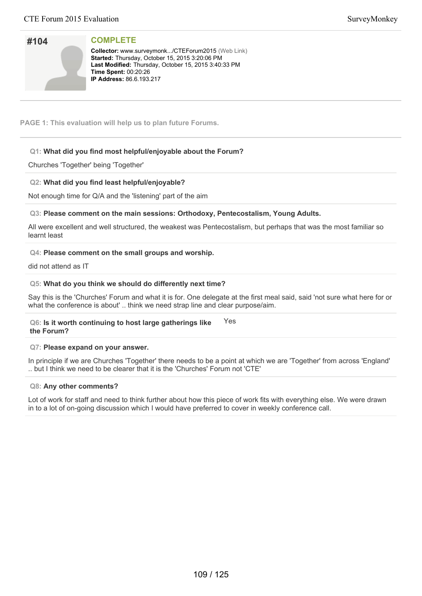# **#104**

#### **COMPLETE**

**Collector:** www.surveymonk.../CTEForum2015 (Web Link) **Started:** Thursday, October 15, 2015 3:20:06 PM Last Modified: Thursday, October 15, 2015 3:40:33 PM **Time Spent: 00:20:26 IP Address:** 86.6.193.217

**PAGE 1: This evaluation will help us to plan future Forums.**

#### **Q1: What did you find most helpful/enjoyable about the Forum?**

Churches 'Together' being 'Together'

#### **Q2: What did you find least helpful/enjoyable?**

Not enough time for Q/A and the 'listening' part of the aim

#### **Q3: Please comment on the main sessions: Orthodoxy, Pentecostalism, Young Adults.**

All were excellent and well structured, the weakest was Pentecostalism, but perhaps that was the most familiar so learnt least

#### **Q4: Please comment on the small groups and worship.**

did not attend as IT

#### **Q5: What do you think we should do differently next time?**

Say this is the 'Churches' Forum and what it is for. One delegate at the first meal said, said 'not sure what here for or what the conference is about' .. think we need strap line and clear purpose/aim.

#### **Q6: Is it worth continuing to host large gatherings like the Forum?** Yes

#### **Q7: Please expand on your answer.**

In principle if we are Churches 'Together' there needs to be a point at which we are 'Together' from across 'England' .. but I think we need to be clearer that it is the 'Churches' Forum not 'CTE'

#### **Q8: Any other comments?**

Lot of work for staff and need to think further about how this piece of work fits with everything else. We were drawn in to a lot of on-going discussion which I would have preferred to cover in weekly conference call.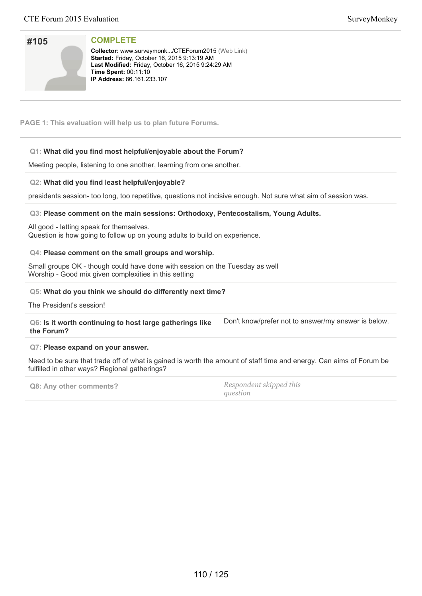| SurveyMonkey |  |
|--------------|--|
|--------------|--|

| #105 |  |
|------|--|
|      |  |
|      |  |
|      |  |
|      |  |
|      |  |
|      |  |

Collector: www.surveymonk.../CTEForum2015 (Web Link) **Started:** Friday, October 16, 2015 9:13:19 AM Last Modified: Friday, October 16, 2015 9:24:29 AM **Time Spent:** 00:11:10 **IP Address: 86.161.233.107** 

**PAGE 1: This evaluation will help us to plan future Forums.**

# **Q1: What did you find most helpful/enjoyable about the Forum?**

Meeting people, listening to one another, learning from one another.

#### **Q2: What did you find least helpful/enjoyable?**

presidents session- too long, too repetitive, questions not incisive enough. Not sure what aim of session was.

#### **Q3: Please comment on the main sessions: Orthodoxy, Pentecostalism, Young Adults.**

All good - letting speak for themselves. Question is how going to follow up on young adults to build on experience.

#### **Q4: Please comment on the small groups and worship.**

Small groups OK - though could have done with session on the Tuesday as well Worship - Good mix given complexities in this setting

#### **Q5: What do you think we should do differently next time?**

The President's session!

**Q6: Is it worth continuing to host large gatherings like the Forum?** Don't know/prefer not to answer/my answer is below.

#### **Q7: Please expand on your answer.**

Need to be sure that trade off of what is gained is worth the amount of staff time and energy. Can aims of Forum be fulfilled in other ways? Regional gatherings?

**Q8: Any other comments?** *Respondent skipped this question*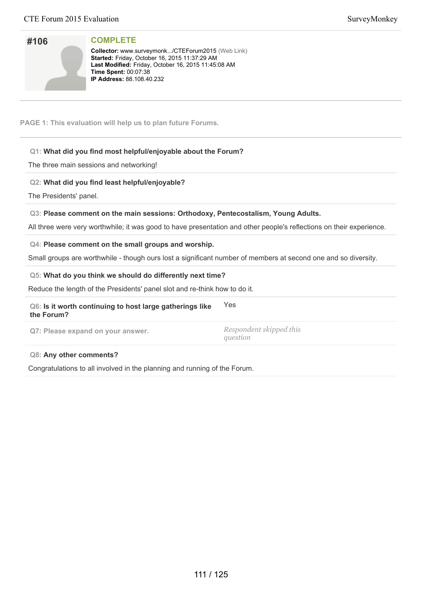**Collector:** www.surveymonk.../CTEForum2015 (Web Link) Started: Friday, October 16, 2015 11:37:29 AM Last Modified: Friday, October 16, 2015 11:45:08 AM **Time Spent:** 00:07:38 **IP Address:** 88.108.40.232

**PAGE 1: This evaluation will help us to plan future Forums.**

# **Q1: What did you find most helpful/enjoyable about the Forum?**

The three main sessions and networking!

# **Q2: What did you find least helpful/enjoyable?**

The Presidents' panel.

#### **Q3: Please comment on the main sessions: Orthodoxy, Pentecostalism, Young Adults.**

All three were very worthwhile; it was good to have presentation and other people's reflections on their experience.

#### **Q4: Please comment on the small groups and worship.**

Small groups are worthwhile - though ours lost a significant number of members at second one and so diversity.

#### **Q5: What do you think we should do differently next time?**

Reduce the length of the Presidents' panel slot and re-think how to do it.

#### **Q6: Is it worth continuing to host large gatherings like the Forum?** Yes

**Q7: Please expand on your answer.** *Respondent skipped this*

*question*

#### **Q8: Any other comments?**

Congratulations to all involved in the planning and running of the Forum.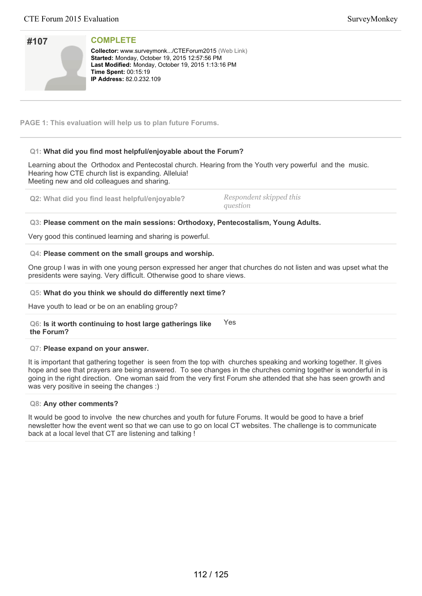| #107 | <b>COM</b>                                                  |
|------|-------------------------------------------------------------|
|      | Collect<br><b>Started</b><br><b>Last M</b><br><b>Time S</b> |
|      | <b>IP Add</b>                                               |

tor: www.surveymonk.../CTEForum2015 (Web Link) **d: Monday, October 19, 2015 12:57:56 PM Lodified: Monday, October 19, 2015 1:13:16 PM Spent:** 00:15:19 **Iress:** 82.0.232.109

**PAGE 1: This evaluation will help us to plan future Forums.**

# **Q1: What did you find most helpful/enjoyable about the Forum?**

Learning about the Orthodox and Pentecostal church. Hearing from the Youth very powerful and the music. Hearing how CTE church list is expanding. Alleluia! Meeting new and old colleagues and sharing.

**Q2: What did you find least helpful/enjoyable?** *Respondent skipped this*

*question*

# **Q3: Please comment on the main sessions: Orthodoxy, Pentecostalism, Young Adults.**

Very good this continued learning and sharing is powerful.

#### **Q4: Please comment on the small groups and worship.**

One group I was in with one young person expressed her anger that churches do not listen and was upset what the presidents were saying. Very difficult. Otherwise good to share views.

#### **Q5: What do you think we should do differently next time?**

Have youth to lead or be on an enabling group?

**Q6: Is it worth continuing to host large gatherings like the Forum?** Yes

#### **Q7: Please expand on your answer.**

It is important that gathering together is seen from the top with churches speaking and working together. It gives hope and see that prayers are being answered. To see changes in the churches coming together is wonderful in is going in the right direction. One woman said from the very first Forum she attended that she has seen growth and was very positive in seeing the changes :)

#### **Q8: Any other comments?**

It would be good to involve the new churches and youth for future Forums. It would be good to have a brief newsletter how the event went so that we can use to go on local CT websites. The challenge is to communicate back at a local level that CT are listening and talking !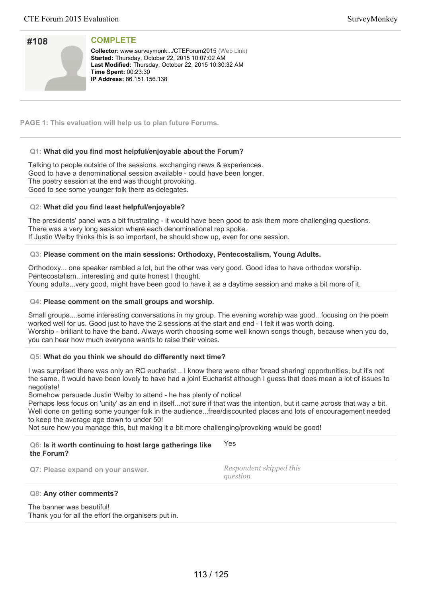| #108 |  |
|------|--|
|      |  |
|      |  |
|      |  |

**Collector:** www.surveymonk.../CTEForum2015 (Web Link) **Started:** Thursday, October 22, 2015 10:07:02 AM Last Modified: Thursday, October 22, 2015 10:30:32 AM **Time Spent:: 00:23:30 IP Address: 86.151.156.138** 

**PAGE 1: This evaluation will help us to plan future Forums.**

### **Q1: What did you find most helpful/enjoyable about the Forum?**

Talking to people outside of the sessions, exchanging news & experiences. Good to have a denominational session available - could have been longer. The poetry session at the end was thought provoking. Good to see some younger folk there as delegates.

#### **Q2: What did you find least helpful/enjoyable?**

The presidents' panel was a bit frustrating - it would have been good to ask them more challenging questions. There was a very long session where each denominational rep spoke. If Justin Welby thinks this is so important, he should show up, even for one session.

#### **Q3: Please comment on the main sessions: Orthodoxy, Pentecostalism, Young Adults.**

Orthodoxy... one speaker rambled a lot, but the other was very good. Good idea to have orthodox worship. Pentecostalism...interesting and quite honest I thought. Young adults...very good, might have been good to have it as a daytime session and make a bit more of it.

#### **Q4: Please comment on the small groups and worship.**

Small groups....some interesting conversations in my group. The evening worship was good...focusing on the poem worked well for us. Good just to have the 2 sessions at the start and end - I felt it was worth doing. Worship - brilliant to have the band. Always worth choosing some well known songs though, because when you do, you can hear how much everyone wants to raise their voices.

# **Q5: What do you think we should do differently next time?**

I was surprised there was only an RC eucharist .. I know there were other 'bread sharing' opportunities, but it's not the same. It would have been lovely to have had a joint Eucharist although I guess that does mean a lot of issues to negotiate!

Somehow persuade Justin Welby to attend - he has plenty of notice!

Perhaps less focus on 'unity' as an end in itself...not sure if that was the intention, but it came across that way a bit. Well done on getting some younger folk in the audience...free/discounted places and lots of encouragement needed to keep the average age down to under 50!

Not sure how you manage this, but making it a bit more challenging/provoking would be good!

| Q6: Is it worth continuing to host large gatherings like<br>the Forum? | Yes                                 |
|------------------------------------------------------------------------|-------------------------------------|
| Q7: Please expand on your answer.                                      | Respondent skipped this<br>question |

#### **Q8: Any other comments?**

The banner was beautiful! Thank you for all the effort the organisers put in.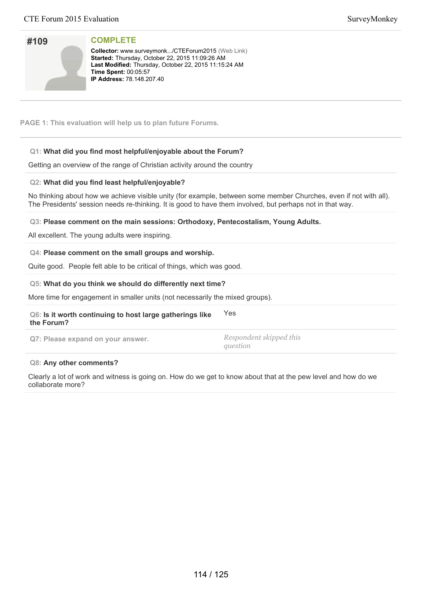| SurveyMonkey |  |
|--------------|--|
|--------------|--|

| #109 |  |
|------|--|
|      |  |
|      |  |

**Collector:** www.surveymonk.../CTEForum2015 (Web Link) **Started:** Thursday, October 22, 2015 11:09:26 AM Last Modified: Thursday, October 22, 2015 11:15:24 AM **Time Spent: 00:05:57 IP Address: 78.148.207.40** 

**PAGE 1: This evaluation will help us to plan future Forums.**

# **Q1: What did you find most helpful/enjoyable about the Forum?**

Getting an overview of the range of Christian activity around the country

# **Q2: What did you find least helpful/enjoyable?**

No thinking about how we achieve visible unity (for example, between some member Churches, even if not with all). The Presidents' session needs re-thinking. It is good to have them involved, but perhaps not in that way.

**Q3: Please comment on the main sessions: Orthodoxy, Pentecostalism, Young Adults.**

All excellent. The young adults were inspiring.

# **Q4: Please comment on the small groups and worship.**

Quite good. People felt able to be critical of things, which was good.

#### **Q5: What do you think we should do differently next time?**

More time for engagement in smaller units (not necessarily the mixed groups).

#### **Q6: Is it worth continuing to host large gatherings like the Forum?** Yes

**Q7: Please expand on your answer.** *Respondent skipped this*

*question*

#### **Q8: Any other comments?**

Clearly a lot of work and witness is going on. How do we get to know about that at the pew level and how do we collaborate more?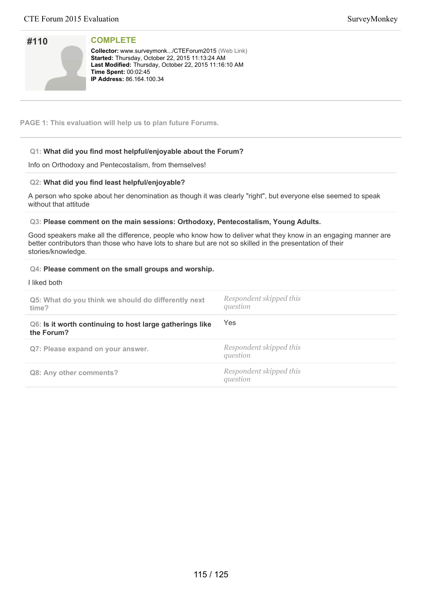| #110 |  |
|------|--|
|      |  |
|      |  |
|      |  |

**Collector:** www.surveymonk.../CTEForum2015 (Web Link) **Started:** Thursday, October 22, 2015 11:13:24 AM Last Modified: Thursday, October 22, 2015 11:16:10 AM **Time Spent:** 00:02:45 **IP Address:** 86.164.100.34

**PAGE 1: This evaluation will help us to plan future Forums.**

# **Q1: What did you find most helpful/enjoyable about the Forum?**

Info on Orthodoxy and Pentecostalism, from themselves!

# **Q2: What did you find least helpful/enjoyable?**

A person who spoke about her denomination as though it was clearly "right", but everyone else seemed to speak without that attitude

# **Q3: Please comment on the main sessions: Orthodoxy, Pentecostalism, Young Adults.**

Good speakers make all the difference, people who know how to deliver what they know in an engaging manner are better contributors than those who have lots to share but are not so skilled in the presentation of their stories/knowledge.

#### **Q4: Please comment on the small groups and worship.**

I liked both

| Q5: What do you think we should do differently next<br>time?           | Respondent skipped this<br>question |
|------------------------------------------------------------------------|-------------------------------------|
| Q6: Is it worth continuing to host large gatherings like<br>the Forum? | Yes                                 |
| Q7: Please expand on your answer.                                      | Respondent skipped this<br>question |
| Q8: Any other comments?                                                | Respondent skipped this<br>question |
|                                                                        |                                     |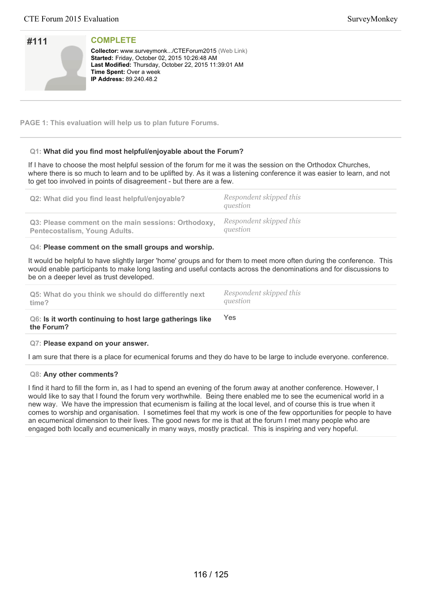| #111 | <b>COMPLETE</b>                                          |
|------|----------------------------------------------------------|
|      |                                                          |
|      | <b>Collector:</b> www.surveymonk/CTEForum2015 (Web Link) |
|      | Started: Friday, October 02, 2015 10:26:48 AM            |
|      |                                                          |
|      | Last Modified: Thursday, October 22, 2015 11:39:01 AM    |
|      | <b>Time Spent: Over a week</b>                           |
|      | <b>IP Address: 89.240.48.2</b>                           |
|      |                                                          |
|      |                                                          |

#### **PAGE 1: This evaluation will help us to plan future Forums.**

#### **Q1: What did you find most helpful/enjoyable about the Forum?**

If I have to choose the most helpful session of the forum for me it was the session on the Orthodox Churches, where there is so much to learn and to be uplifted by. As it was a listening conference it was easier to learn, and not to get too involved in points of disagreement - but there are a few.

| Q2: What did you find least helpful/enjoyable?      | Respondent skipped this<br>question |
|-----------------------------------------------------|-------------------------------------|
| Q3: Please comment on the main sessions: Orthodoxy, | Respondent skipped this             |
| <b>Pentecostalism, Young Adults.</b>                | question                            |

#### **Q4: Please comment on the small groups and worship.**

It would be helpful to have slightly larger 'home' groups and for them to meet more often during the conference. This would enable participants to make long lasting and useful contacts across the denominations and for discussions to be on a deeper level as trust developed.

| Q5: What do you think we should do differently next                                                             | Respondent skipped this |
|-----------------------------------------------------------------------------------------------------------------|-------------------------|
| time?                                                                                                           | question                |
| the contract of the contract of the contract of the contract of the contract of the contract of the contract of |                         |

#### **Q6: Is it worth continuing to host large gatherings like the Forum?** Yes

#### **Q7: Please expand on your answer.**

I am sure that there is a place for ecumenical forums and they do have to be large to include everyone. conference.

#### **Q8: Any other comments?**

I find it hard to fill the form in, as I had to spend an evening of the forum away at another conference. However, I would like to say that I found the forum very worthwhile. Being there enabled me to see the ecumenical world in a new way. We have the impression that ecumenism is failing at the local level, and of course this is true when it comes to worship and organisation. I sometimes feel that my work is one of the few opportunities for people to have an ecumenical dimension to their lives. The good news for me is that at the forum I met many people who are engaged both locally and ecumenically in many ways, mostly practical. This is inspiring and very hopeful.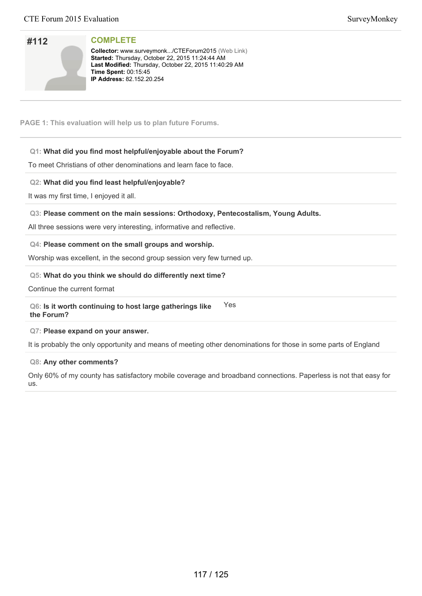| #112 |  |
|------|--|
|      |  |
|      |  |
|      |  |

**Collector:** www.surveymonk.../CTEForum2015 (Web Link) Started: Thursday, October 22, 2015 11:24:44 AM Last Modified: Thursday, October 22, 2015 11:40:29 AM **Time Spent:** 00:15:45 **IP Address: 82.152.20.254** 

**PAGE 1: This evaluation will help us to plan future Forums.**

## **Q1: What did you find most helpful/enjoyable about the Forum?**

To meet Christians of other denominations and learn face to face.

#### **Q2: What did you find least helpful/enjoyable?**

It was my first time, I enjoyed it all.

#### **Q3: Please comment on the main sessions: Orthodoxy, Pentecostalism, Young Adults.**

All three sessions were very interesting, informative and reflective.

#### **Q4: Please comment on the small groups and worship.**

Worship was excellent, in the second group session very few turned up.

#### **Q5: What do you think we should do differently next time?**

Continue the current format

#### **Q6: Is it worth continuing to host large gatherings like the Forum?** Yes

#### **Q7: Please expand on your answer.**

It is probably the only opportunity and means of meeting other denominations for those in some parts of England

#### **Q8: Any other comments?**

Only 60% of my county has satisfactory mobile coverage and broadband connections. Paperless is not that easy for us.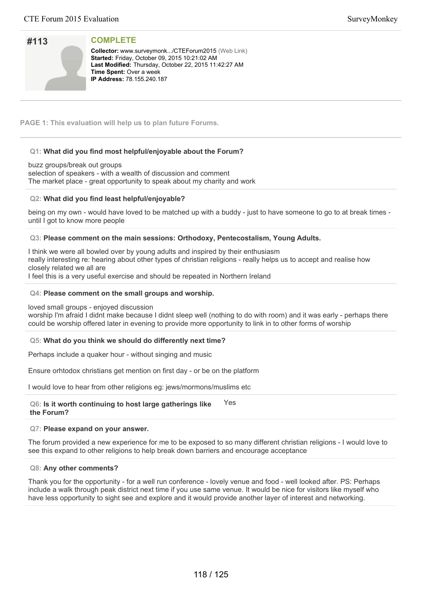| #113 |  |
|------|--|
|      |  |
|      |  |
|      |  |

**Collector:** www.surveymonk.../CTEForum2015 (Web Link) **Started:** Friday, October 09, 2015 10:21:02 AM Last Modified: Thursday, October 22, 2015 11:42:27 AM **Time Spent: Over a week IP Address: 78.155.240.187** 

**PAGE 1: This evaluation will help us to plan future Forums.**

#### **Q1: What did you find most helpful/enjoyable about the Forum?**

buzz groups/break out groups selection of speakers - with a wealth of discussion and comment The market place - great opportunity to speak about my charity and work

#### **Q2: What did you find least helpful/enjoyable?**

being on my own - would have loved to be matched up with a buddy - just to have someone to go to at break times until I got to know more people

#### **Q3: Please comment on the main sessions: Orthodoxy, Pentecostalism, Young Adults.**

I think we were all bowled over by young adults and inspired by their enthusiasm really interesting re: hearing about other types of christian religions - really helps us to accept and realise how closely related we all are

I feel this is a very useful exercise and should be repeated in Northern Ireland

#### **Q4: Please comment on the small groups and worship.**

loved small groups - enjoyed discussion

worship I'm afraid I didnt make because I didnt sleep well (nothing to do with room) and it was early - perhaps there could be worship offered later in evening to provide more opportunity to link in to other forms of worship

#### **Q5: What do you think we should do differently next time?**

Perhaps include a quaker hour - without singing and music

Ensure orhtodox christians get mention on first day - or be on the platform

I would love to hear from other religions eg: jews/mormons/muslims etc

**Q6: Is it worth continuing to host large gatherings like the Forum?** Yes

#### **Q7: Please expand on your answer.**

The forum provided a new experience for me to be exposed to so many different christian religions - I would love to see this expand to other religions to help break down barriers and encourage acceptance

#### **Q8: Any other comments?**

Thank you for the opportunity - for a well run conference - lovely venue and food - well looked after. PS: Perhaps include a walk through peak district next time if you use same venue. It would be nice for visitors like myself who have less opportunity to sight see and explore and it would provide another layer of interest and networking.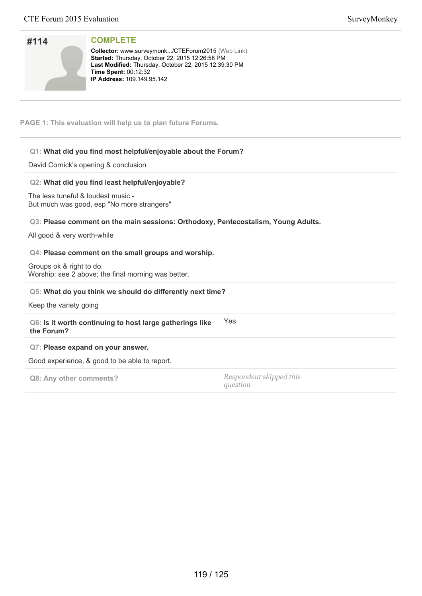| #114 |  |
|------|--|
|      |  |
|      |  |
|      |  |

**Collector:** www.surveymonk.../CTEForum2015 (Web Link) Started: Thursday, October 22, 2015 12:26:58 PM Last Modified: Thursday, October 22, 2015 12:39:30 PM **Time Spent: 00:12:32 IP Address: 109.149.95.142** 

**PAGE 1: This evaluation will help us to plan future Forums.**

# **Q1: What did you find most helpful/enjoyable about the Forum?**

David Cornick's opening & conclusion

# **Q2: What did you find least helpful/enjoyable?**

The less tuneful & loudest music - But much was good, esp "No more strangers"

# **Q3: Please comment on the main sessions: Orthodoxy, Pentecostalism, Young Adults.**

All good & very worth-while

# **Q4: Please comment on the small groups and worship.**

Groups ok & right to do. Worship: see 2 above; the final morning was better.

#### **Q5: What do you think we should do differently next time?**

Keep the variety going

#### **Q6: Is it worth continuing to host large gatherings like the Forum?** Yes

#### **Q7: Please expand on your answer.**

Good experience, & good to be able to report.

**Q8: Any other comments?** *Respondent skipped this question*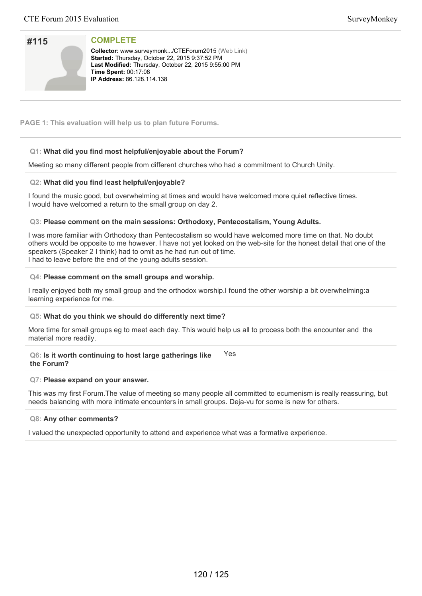# **#115**

**COMPLETE**

**Collector:** www.surveymonk.../CTEForum2015 (Web Link) Started: Thursday, October 22, 2015 9:37:52 PM Last Modified: Thursday, October 22, 2015 9:55:00 PM **Time Spent: 00:17:08 IP Address: 86.128.114.138** 

**PAGE 1: This evaluation will help us to plan future Forums.**

# **Q1: What did you find most helpful/enjoyable about the Forum?**

Meeting so many different people from different churches who had a commitment to Church Unity.

# **Q2: What did you find least helpful/enjoyable?**

I found the music good, but overwhelming at times and would have welcomed more quiet reflective times. I would have welcomed a return to the small group on day 2.

#### **Q3: Please comment on the main sessions: Orthodoxy, Pentecostalism, Young Adults.**

I was more familiar with Orthodoxy than Pentecostalism so would have welcomed more time on that. No doubt others would be opposite to me however. I have not yet looked on the web-site for the honest detail that one of the speakers (Speaker 2 I think) had to omit as he had run out of time. I had to leave before the end of the young adults session.

#### **Q4: Please comment on the small groups and worship.**

I really enjoyed both my small group and the orthodox worship.I found the other worship a bit overwhelming:a learning experience for me.

#### **Q5: What do you think we should do differently next time?**

More time for small groups eg to meet each day. This would help us all to process both the encounter and the material more readily.

#### **Q6: Is it worth continuing to host large gatherings like the Forum?** Yes

#### **Q7: Please expand on your answer.**

This was my first Forum.The value of meeting so many people all committed to ecumenism is really reassuring, but needs balancing with more intimate encounters in small groups. Deja-vu for some is new for others.

#### **Q8: Any other comments?**

I valued the unexpected opportunity to attend and experience what was a formative experience.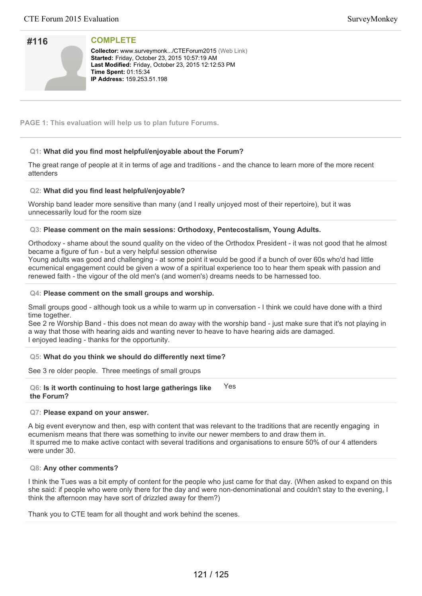| #116 |  |
|------|--|
|      |  |
|      |  |
|      |  |

**Collector:** www.surveymonk.../CTEForum2015 (Web Link) **Started: Friday, October 23, 2015 10:57:19 AM** Last Modified: Friday, October 23, 2015 12:12:53 PM **Time Spent: 01:15:34 IP Address: 159.253.51.198** 

**PAGE 1: This evaluation will help us to plan future Forums.**

# **Q1: What did you find most helpful/enjoyable about the Forum?**

The great range of people at it in terms of age and traditions - and the chance to learn more of the more recent attenders

# **Q2: What did you find least helpful/enjoyable?**

Worship band leader more sensitive than many (and I really unjoyed most of their repertoire), but it was unnecessarily loud for the room size

# **Q3: Please comment on the main sessions: Orthodoxy, Pentecostalism, Young Adults.**

Orthodoxy - shame about the sound quality on the video of the Orthodox President - it was not good that he almost became a figure of fun - but a very helpful session otherwise

Young adults was good and challenging - at some point it would be good if a bunch of over 60s who'd had little ecumenical engagement could be given a wow of a spiritual experience too to hear them speak with passion and renewed faith - the vigour of the old men's (and women's) dreams needs to be harnessed too.

#### **Q4: Please comment on the small groups and worship.**

Small groups good - although took us a while to warm up in conversation - I think we could have done with a third time together.

See 2 re Worship Band - this does not mean do away with the worship band - just make sure that it's not playing in a way that those with hearing aids and wanting never to heave to have hearing aids are damaged. I enjoyed leading - thanks for the opportunity.

# **Q5: What do you think we should do differently next time?**

See 3 re older people. Three meetings of small groups

#### **Q6: Is it worth continuing to host large gatherings like the Forum?** Yes

#### **Q7: Please expand on your answer.**

A big event everynow and then, esp with content that was relevant to the traditions that are recently engaging in ecumenism means that there was something to invite our newer members to and draw them in. It spurred me to make active contact with several traditions and organisations to ensure 50% of our 4 attenders were under 30.

#### **Q8: Any other comments?**

I think the Tues was a bit empty of content for the people who just came for that day. (When asked to expand on this she said: if people who were only there for the day and were non-denominational and couldn't stay to the evening, I think the afternoon may have sort of drizzled away for them?)

Thank you to CTE team for all thought and work behind the scenes.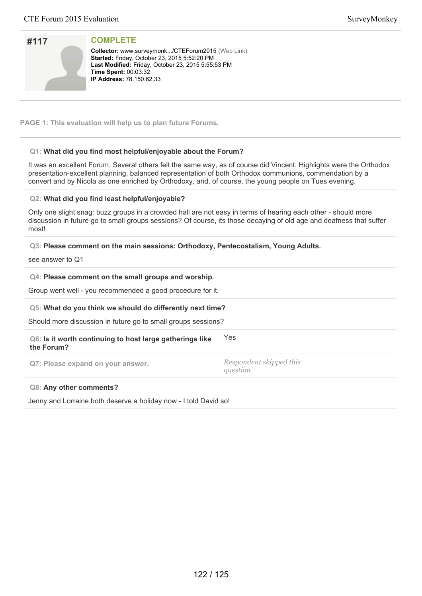| #117 |  |
|------|--|
|      |  |
|      |  |
|      |  |

**Collector:** www.surveymonk.../CTEForum2015 (Web Link) **Started: Friday, October 23, 2015 5:52:20 PM** Last Modified: Friday, October 23, 2015 5:55:53 PM **Time Spent:** 00:03:32 **IP Address: 78.150.62.33** 

**PAGE 1: This evaluation will help us to plan future Forums.**

### **Q1: What did you find most helpful/enjoyable about the Forum?**

It was an excellent Forum. Several others felt the same way, as of course did Vincent. Highlights were the Orthodox presentation-excellent planning, balanced representation of both Orthodox communions, commendation by a convert and by Nicola as one enriched by Orthodoxy, and, of course, the young people on Tues evening.

#### **Q2: What did you find least helpful/enjoyable?**

Only one slight snag: buzz groups in a crowded hall are not easy in terms of hearing each other - should more discussion in future go to small groups sessions? Of course, its those decaying of old age and deafness that suffer most!

#### **Q3: Please comment on the main sessions: Orthodoxy, Pentecostalism, Young Adults.**

see answer to Q1

# **Q4: Please comment on the small groups and worship.**

Group went well - you recommended a good procedure for it.

#### **Q5: What do you think we should do differently next time?**

Should more discussion in future go to small groups sessions?

| Q6: Is it worth continuing to host large gatherings like<br>the Forum? | Yes                                 |
|------------------------------------------------------------------------|-------------------------------------|
| Q7: Please expand on your answer.                                      | Respondent skipped this<br>question |

#### **Q8: Any other comments?**

Jenny and Lorraine both deserve a holiday now - I told David so!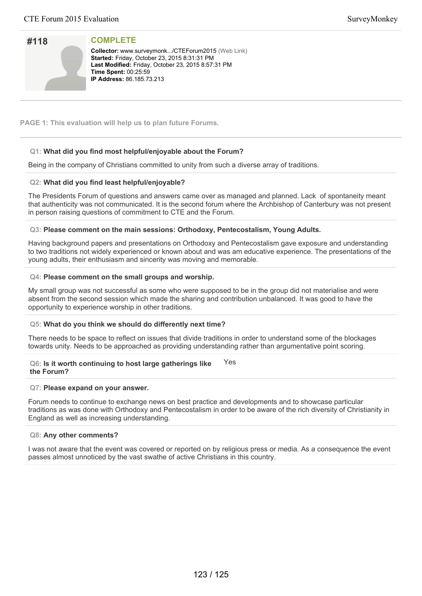| #118 |  |
|------|--|
|      |  |
|      |  |
|      |  |

**Collector:** www.surveymonk.../CTEForum2015 (Web Link) **Started: Friday, October 23, 2015 8:31:31 PM** Last Modified: Friday, October 23, 2015 8:57:31 PM **Time Spent:** 00:25:59 **IP Address:** 86.185.73.213

**PAGE 1: This evaluation will help us to plan future Forums.**

# **Q1: What did you find most helpful/enjoyable about the Forum?**

Being in the company of Christians committed to unity from such a diverse array of traditions.

# **Q2: What did you find least helpful/enjoyable?**

The Presidents Forum of questions and answers came over as managed and planned. Lack of spontaneity meant that authenticity was not communicated. It is the second forum where the Archbishop of Canterbury was not present in person raising questions of commitment to CTE and the Forum.

#### **Q3: Please comment on the main sessions: Orthodoxy, Pentecostalism, Young Adults.**

Having background papers and presentations on Orthodoxy and Pentecostalism gave exposure and understanding to two traditions not widely experienced or known about and was am educative experience. The presentations of the young adults, their enthusiasm and sincerity was moving and memorable.

#### **Q4: Please comment on the small groups and worship.**

My small group was not successful as some who were supposed to be in the group did not materialise and were absent from the second session which made the sharing and contribution unbalanced. It was good to have the opportunity to experience worship in other traditions.

#### **Q5: What do you think we should do differently next time?**

There needs to be space to reflect on issues that divide traditions in order to understand some of the blockages towards unity. Needs to be approached as providing understanding rather than argumentative point scoring.

#### **Q6: Is it worth continuing to host large gatherings like the Forum?** Yes

#### **Q7: Please expand on your answer.**

Forum needs to continue to exchange news on best practice and developments and to showcase particular traditions as was done with Orthodoxy and Pentecostalism in order to be aware of the rich diversity of Christianity in England as well as increasing understanding.

#### **Q8: Any other comments?**

I was not aware that the event was covered or reported on by religious press or media. As a consequence the event passes almost unnoticed by the vast swathe of active Christians in this country.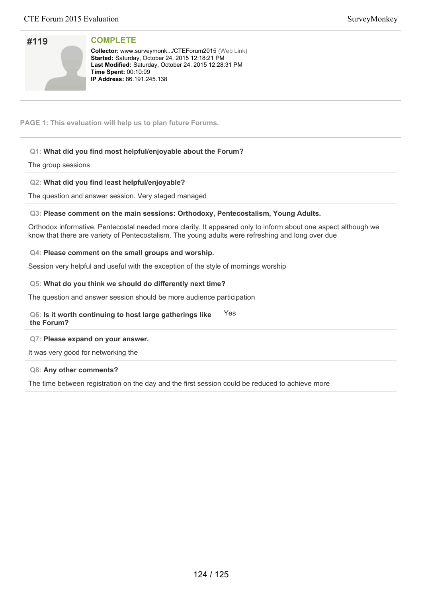# **#119**

**COMPLETE**

**Collector:** www.surveymonk.../CTEForum2015 (Web Link) Started: Saturday, October 24, 2015 12:18:21 PM Last Modified: Saturday, October 24, 2015 12:28:31 PM **Time Spent:** 00:10:09 **IP Address:** 86.191.245.138

**PAGE 1: This evaluation will help us to plan future Forums.**

# **Q1: What did you find most helpful/enjoyable about the Forum?**

The group sessions

# **Q2: What did you find least helpful/enjoyable?**

The question and answer session. Very staged managed

#### **Q3: Please comment on the main sessions: Orthodoxy, Pentecostalism, Young Adults.**

Orthodox informative. Pentecostal needed more clarity. It appeared only to inform about one aspect although we know that there are variety of Pentecostalism. The young adults were refreshing and long over due

#### **Q4: Please comment on the small groups and worship.**

Session very helpful and useful with the exception of the style of mornings worship

#### **Q5: What do you think we should do differently next time?**

The question and answer session should be more audience participation

#### **Q6: Is it worth continuing to host large gatherings like the Forum?** Yes

#### **Q7: Please expand on your answer.**

It was very good for networking the

#### **Q8: Any other comments?**

The time between registration on the day and the first session could be reduced to achieve more